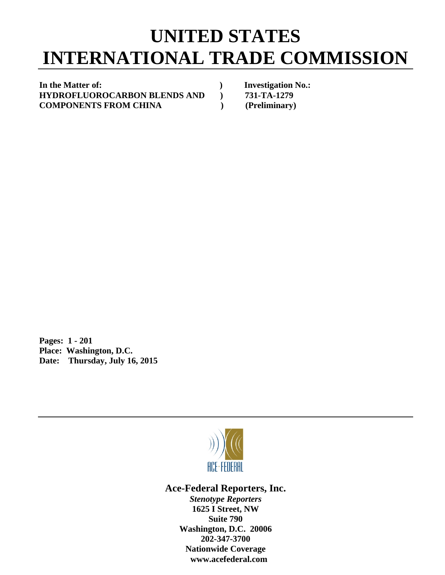## **UNITED STATES INTERNATIONAL TRADE COMMISSION**

In the Matter of: *In the Matter of: Physics Physics* **<b>***Physics Physics Physics Physics Physics* **<b>***Physics Physics Physics Physics Physics* **<b>***Physics Physics Physics Phy* **HYDROFLUOROCARBON BLENDS AND ) 731-TA-1279 COMPONENTS FROM CHINA ) (Preliminary)** 

**Pages: 1 - 201 Place: Washington, D.C. Date: Thursday, July 16, 2015** 



**Ace-Federal Reporters, Inc.** 

*Stenotype Reporters*  **1625 I Street, NW Suite 790 Washington, D.C. 20006 202-347-3700 Nationwide Coverage www.acefederal.com**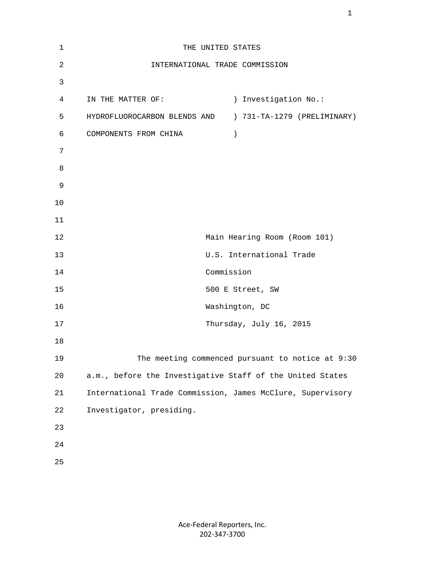| $\mathbf 1$    | THE UNITED STATES                                          |
|----------------|------------------------------------------------------------|
| $\overline{c}$ | INTERNATIONAL TRADE COMMISSION                             |
| 3              |                                                            |
| $\overline{4}$ | ) Investigation No.:<br>IN THE MATTER OF:                  |
| 5              | HYDROFLUOROCARBON BLENDS AND ) 731-TA-1279 (PRELIMINARY)   |
| 6              | COMPONENTS FROM CHINA<br>$\big)$                           |
| 7              |                                                            |
| 8              |                                                            |
| 9              |                                                            |
| 10             |                                                            |
| 11             |                                                            |
| 12             | Main Hearing Room (Room 101)                               |
| 13             | U.S. International Trade                                   |
| 14             | Commission                                                 |
| 15             | 500 E Street, SW                                           |
| 16             | Washington, DC                                             |
| 17             | Thursday, July 16, 2015                                    |
| 18             |                                                            |
| 19             | The meeting commenced pursuant to notice at 9:30           |
| 20             | a.m., before the Investigative Staff of the United States  |
| 21             | International Trade Commission, James McClure, Supervisory |
| 22             | Investigator, presiding.                                   |
| 23             |                                                            |
| 24             |                                                            |
| 25             |                                                            |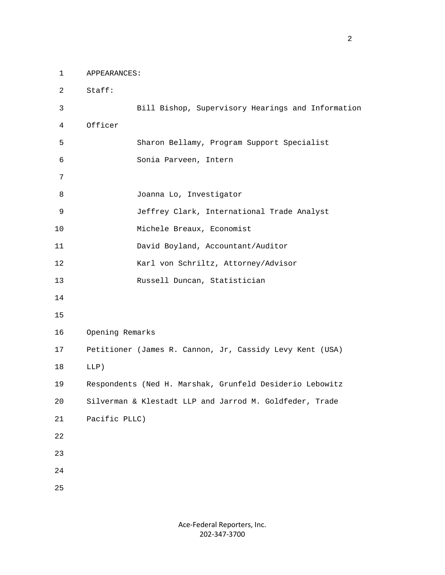1 APPEARANCES:

 2 Staff: 3 Bill Bishop, Supervisory Hearings and Information 4 Officer 5 Sharon Bellamy, Program Support Specialist 6 Sonia Parveen, Intern 7 8 Joanna Lo, Investigator 9 Jeffrey Clark, International Trade Analyst 10 Michele Breaux, Economist 11 David Boyland, Accountant/Auditor 12 Karl von Schriltz, Attorney/Advisor 13 Russell Duncan, Statistician 14 15 16 Opening Remarks 17 Petitioner (James R. Cannon, Jr, Cassidy Levy Kent (USA) 18 LLP) 19 Respondents (Ned H. Marshak, Grunfeld Desiderio Lebowitz 20 Silverman & Klestadt LLP and Jarrod M. Goldfeder, Trade 21 Pacific PLLC) 22 23 24 25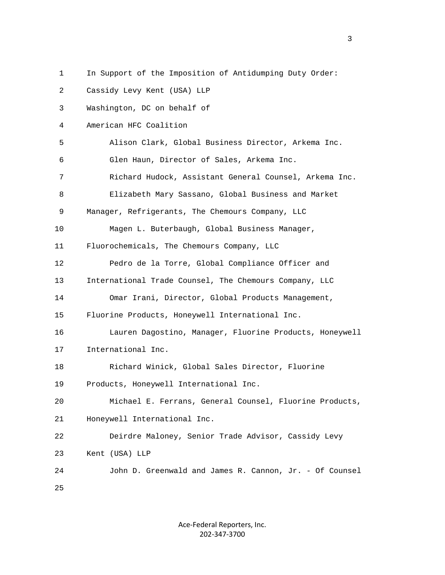1 In Support of the Imposition of Antidumping Duty Order:

 2 Cassidy Levy Kent (USA) LLP 3 Washington, DC on behalf of 4 American HFC Coalition 5 Alison Clark, Global Business Director, Arkema Inc. 6 Glen Haun, Director of Sales, Arkema Inc. 7 Richard Hudock, Assistant General Counsel, Arkema Inc. 8 Elizabeth Mary Sassano, Global Business and Market 9 Manager, Refrigerants, The Chemours Company, LLC 10 Magen L. Buterbaugh, Global Business Manager, 11 Fluorochemicals, The Chemours Company, LLC 12 Pedro de la Torre, Global Compliance Officer and 13 International Trade Counsel, The Chemours Company, LLC 14 Omar Irani, Director, Global Products Management, 15 Fluorine Products, Honeywell International Inc. 16 Lauren Dagostino, Manager, Fluorine Products, Honeywell 17 International Inc. 18 Richard Winick, Global Sales Director, Fluorine 19 Products, Honeywell International Inc. 20 Michael E. Ferrans, General Counsel, Fluorine Products, 21 Honeywell International Inc. 22 Deirdre Maloney, Senior Trade Advisor, Cassidy Levy 23 Kent (USA) LLP 24 John D. Greenwald and James R. Cannon, Jr. - Of Counsel 25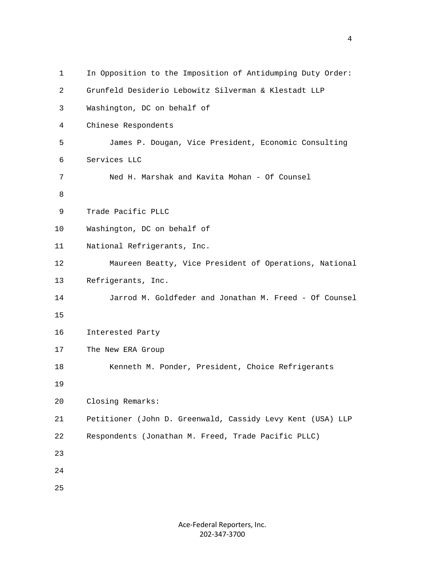| $\mathbf{1}$ | In Opposition to the Imposition of Antidumping Duty Order: |
|--------------|------------------------------------------------------------|
| 2            | Grunfeld Desiderio Lebowitz Silverman & Klestadt LLP       |
| 3            | Washington, DC on behalf of                                |
| 4            | Chinese Respondents                                        |
| 5            | James P. Dougan, Vice President, Economic Consulting       |
| 6            | Services LLC                                               |
| 7            | Ned H. Marshak and Kavita Mohan - Of Counsel               |
| 8            |                                                            |
| 9            | Trade Pacific PLLC                                         |
| 10           | Washington, DC on behalf of                                |
| 11           | National Refrigerants, Inc.                                |
| 12           | Maureen Beatty, Vice President of Operations, National     |
| 13           | Refrigerants, Inc.                                         |
| 14           | Jarrod M. Goldfeder and Jonathan M. Freed - Of Counsel     |
| 15           |                                                            |
| 16           | Interested Party                                           |
| 17           | The New ERA Group                                          |
| 18           | Kenneth M. Ponder, President, Choice Refrigerants          |
| 19           |                                                            |
| 20           | Closing Remarks:                                           |
| 21           | Petitioner (John D. Greenwald, Cassidy Levy Kent (USA) LLP |
| 22           | Respondents (Jonathan M. Freed, Trade Pacific PLLC)        |
| 23           |                                                            |
| 24           |                                                            |
| 25           |                                                            |
|              |                                                            |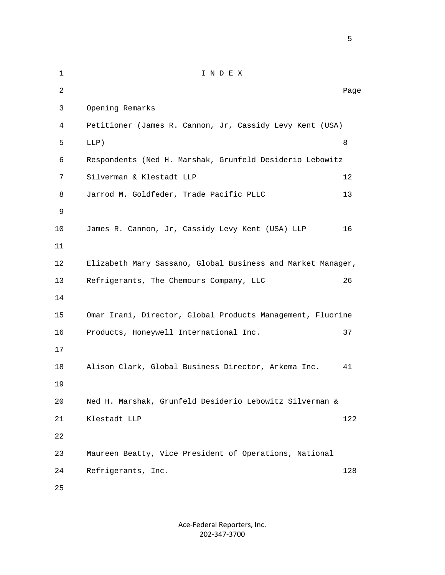1 I N D E X 2 **Page 12** Page 2 **Page 2** Page 2 Page 2 Page 2 Page 2 Page 2 Page 2 Page 2 Page 2 Page 2 Page 2 Page 2 Page 2 Page 2 Page 2 Page 2 Page 2 Page 2 Page 2 Page 2 Page 2 Page 2 Page 2 Page 2 Page 2 Page 2 Page 2 Page 2 Page 3 Opening Remarks 4 Petitioner (James R. Cannon, Jr, Cassidy Levy Kent (USA)  $5$  LLP) 8 6 Respondents (Ned H. Marshak, Grunfeld Desiderio Lebowitz 7 Silverman & Klestadt LLP 12 8 Jarrod M. Goldfeder, Trade Pacific PLLC 13 9 10 James R. Cannon, Jr, Cassidy Levy Kent (USA) LLP 16 11 12 Elizabeth Mary Sassano, Global Business and Market Manager, 13 Refrigerants, The Chemours Company, LLC 26 14 15 Omar Irani, Director, Global Products Management, Fluorine 16 Products, Honeywell International Inc. 37 17 18 Alison Clark, Global Business Director, Arkema Inc. 41 19 20 Ned H. Marshak, Grunfeld Desiderio Lebowitz Silverman & 21 Klestadt LLP 122 22 23 Maureen Beatty, Vice President of Operations, National 24 Refrigerants, Inc. 128 25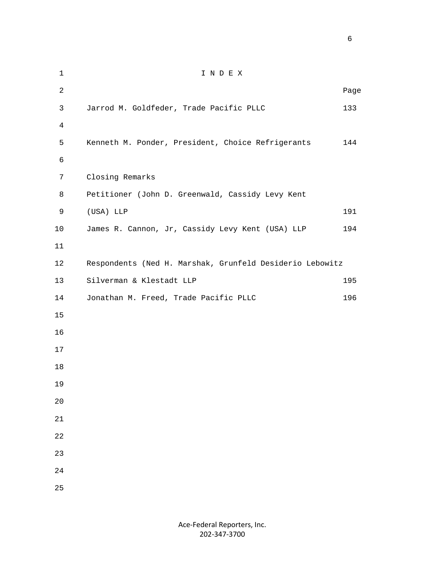1 I N D E X 2 **Page 12** Page 2 **Page 2** Page 2 Page 2 Page 2 Page 2 Page 2 Page 2 Page 2 Page 2 Page 2 Page 2 Page 2 Page 2 Page 2 Page 2 Page 2 Page 2 Page 2 Page 2 Page 2 Page 2 Page 2 Page 2 Page 2 Page 2 Page 2 Page 2 Page 2 Page 3 Jarrod M. Goldfeder, Trade Pacific PLLC 133 4 5 Kenneth M. Ponder, President, Choice Refrigerants 144 6 7 Closing Remarks 8 Petitioner (John D. Greenwald, Cassidy Levy Kent 9 (USA) LLP 191 10 James R. Cannon, Jr, Cassidy Levy Kent (USA) LLP 194 11 12 Respondents (Ned H. Marshak, Grunfeld Desiderio Lebowitz 13 Silverman & Klestadt LLP 195 14 Jonathan M. Freed, Trade Pacific PLLC 196 15 16 17 18 19 20 21 22 23 24 25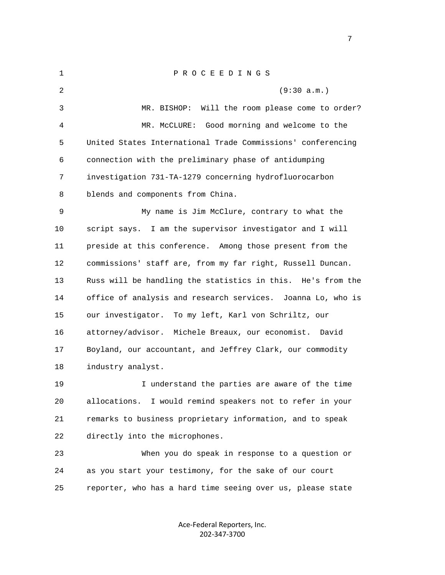1 P R O C E E D I N G S 2 (9:30 a.m.) 3 MR. BISHOP: Will the room please come to order? 4 MR. McCLURE: Good morning and welcome to the 5 United States International Trade Commissions' conferencing 6 connection with the preliminary phase of antidumping 7 investigation 731-TA-1279 concerning hydrofluorocarbon 8 blends and components from China. 9 My name is Jim McClure, contrary to what the 10 script says. I am the supervisor investigator and I will 11 preside at this conference. Among those present from the 12 commissions' staff are, from my far right, Russell Duncan. 13 Russ will be handling the statistics in this. He's from the 14 office of analysis and research services. Joanna Lo, who is 15 our investigator. To my left, Karl von Schriltz, our 16 attorney/advisor. Michele Breaux, our economist. David 17 Boyland, our accountant, and Jeffrey Clark, our commodity 18 industry analyst. 19 I understand the parties are aware of the time 20 allocations. I would remind speakers not to refer in your 21 remarks to business proprietary information, and to speak 22 directly into the microphones. 23 When you do speak in response to a question or 24 as you start your testimony, for the sake of our court

25 reporter, who has a hard time seeing over us, please state

Ace‐Federal Reporters, Inc. 202‐347‐3700

<u>2003: The contract of the contract of the contract of the contract of the contract of the contract of the con</u>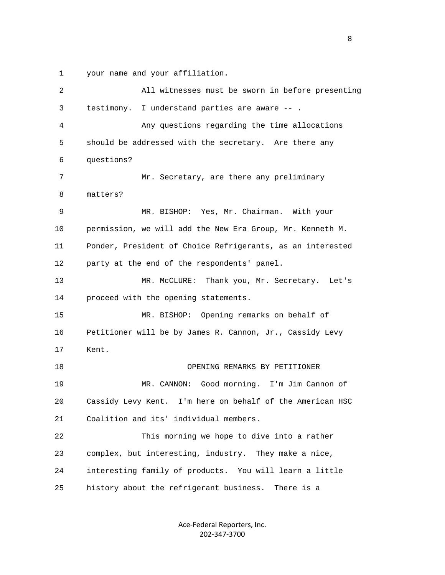1 your name and your affiliation.

 2 All witnesses must be sworn in before presenting 3 testimony. I understand parties are aware -- . 4 Any questions regarding the time allocations 5 should be addressed with the secretary. Are there any 6 questions? 7 Mr. Secretary, are there any preliminary 8 matters? 9 MR. BISHOP: Yes, Mr. Chairman. With your 10 permission, we will add the New Era Group, Mr. Kenneth M. 11 Ponder, President of Choice Refrigerants, as an interested 12 party at the end of the respondents' panel. 13 MR. McCLURE: Thank you, Mr. Secretary. Let's 14 proceed with the opening statements. 15 MR. BISHOP: Opening remarks on behalf of 16 Petitioner will be by James R. Cannon, Jr., Cassidy Levy 17 Kent. 18 OPENING REMARKS BY PETITIONER 19 MR. CANNON: Good morning. I'm Jim Cannon of 20 Cassidy Levy Kent. I'm here on behalf of the American HSC 21 Coalition and its' individual members. 22 This morning we hope to dive into a rather 23 complex, but interesting, industry. They make a nice, 24 interesting family of products. You will learn a little 25 history about the refrigerant business. There is a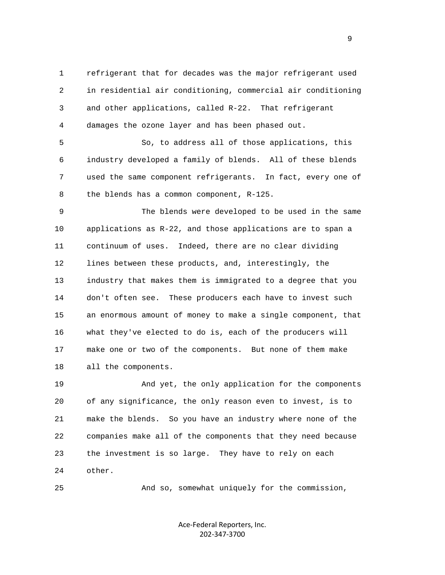1 refrigerant that for decades was the major refrigerant used 2 in residential air conditioning, commercial air conditioning 3 and other applications, called R-22. That refrigerant 4 damages the ozone layer and has been phased out.

 5 So, to address all of those applications, this 6 industry developed a family of blends. All of these blends 7 used the same component refrigerants. In fact, every one of 8 the blends has a common component, R-125.

 9 The blends were developed to be used in the same 10 applications as R-22, and those applications are to span a 11 continuum of uses. Indeed, there are no clear dividing 12 lines between these products, and, interestingly, the 13 industry that makes them is immigrated to a degree that you 14 don't often see. These producers each have to invest such 15 an enormous amount of money to make a single component, that 16 what they've elected to do is, each of the producers will 17 make one or two of the components. But none of them make 18 all the components.

 19 And yet, the only application for the components 20 of any significance, the only reason even to invest, is to 21 make the blends. So you have an industry where none of the 22 companies make all of the components that they need because 23 the investment is so large. They have to rely on each 24 other.

25 And so, somewhat uniquely for the commission,

Ace‐Federal Reporters, Inc. 202‐347‐3700

en de la provincia de la provincia de la provincia de la provincia de la provincia de la provincia de la provi<br>1900 : la provincia de la provincia de la provincia de la provincia de la provincia de la provincia de la prov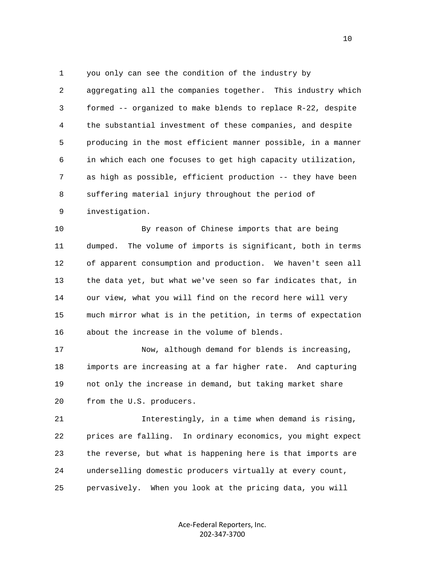1 you only can see the condition of the industry by 2 aggregating all the companies together. This industry which 3 formed -- organized to make blends to replace R-22, despite 4 the substantial investment of these companies, and despite 5 producing in the most efficient manner possible, in a manner 6 in which each one focuses to get high capacity utilization, 7 as high as possible, efficient production -- they have been 8 suffering material injury throughout the period of 9 investigation.

 10 By reason of Chinese imports that are being 11 dumped. The volume of imports is significant, both in terms 12 of apparent consumption and production. We haven't seen all 13 the data yet, but what we've seen so far indicates that, in 14 our view, what you will find on the record here will very 15 much mirror what is in the petition, in terms of expectation 16 about the increase in the volume of blends.

 17 Now, although demand for blends is increasing, 18 imports are increasing at a far higher rate. And capturing 19 not only the increase in demand, but taking market share 20 from the U.S. producers.

 21 Interestingly, in a time when demand is rising, 22 prices are falling. In ordinary economics, you might expect 23 the reverse, but what is happening here is that imports are 24 underselling domestic producers virtually at every count, 25 pervasively. When you look at the pricing data, you will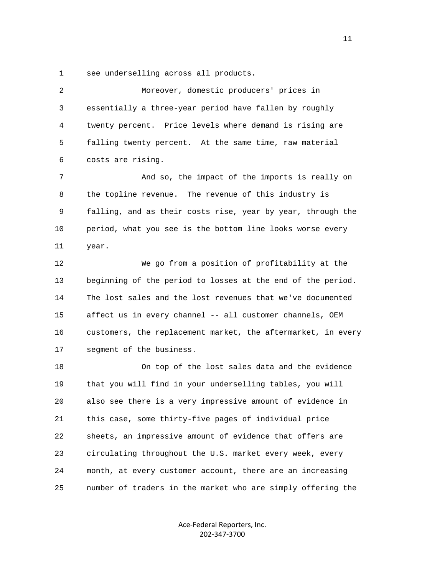1 see underselling across all products.

| 2  | Moreover, domestic producers' prices in                      |
|----|--------------------------------------------------------------|
| 3  | essentially a three-year period have fallen by roughly       |
| 4  | twenty percent. Price levels where demand is rising are      |
| 5  | falling twenty percent. At the same time, raw material       |
| 6  | costs are rising.                                            |
| 7  | And so, the impact of the imports is really on               |
| 8  | the topline revenue. The revenue of this industry is         |
| 9  | falling, and as their costs rise, year by year, through the  |
| 10 | period, what you see is the bottom line looks worse every    |
| 11 | year.                                                        |
| 12 | We go from a position of profitability at the                |
| 13 | beginning of the period to losses at the end of the period.  |
| 14 | The lost sales and the lost revenues that we've documented   |
| 15 | affect us in every channel -- all customer channels, OEM     |
| 16 | customers, the replacement market, the aftermarket, in every |
| 17 | segment of the business.                                     |
| 18 | On top of the lost sales data and the evidence               |
| 19 | that you will find in your underselling tables, you will     |
| 20 | also see there is a very impressive amount of evidence in    |
| 21 | this case, some thirty-five pages of individual price        |
| 22 | sheets, an impressive amount of evidence that offers are     |
| 23 | circulating throughout the U.S. market every week, every     |
| 24 | month, at every customer account, there are an increasing    |
| 25 | number of traders in the market who are simply offering the  |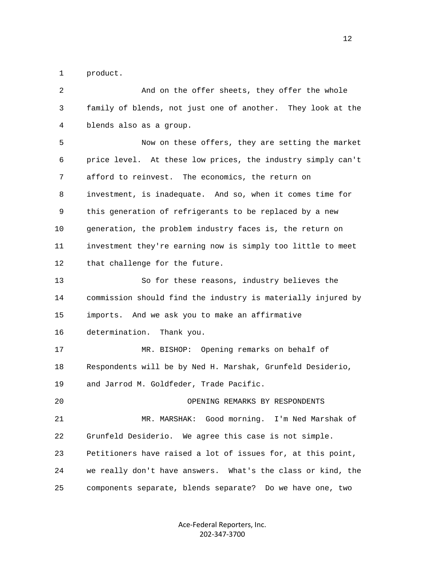1 product.

| 2  | And on the offer sheets, they offer the whole                |
|----|--------------------------------------------------------------|
| 3  | family of blends, not just one of another. They look at the  |
| 4  | blends also as a group.                                      |
| 5  | Now on these offers, they are setting the market             |
| 6  | price level. At these low prices, the industry simply can't  |
| 7  | afford to reinvest. The economics, the return on             |
| 8  | investment, is inadequate. And so, when it comes time for    |
| 9  | this generation of refrigerants to be replaced by a new      |
| 10 | generation, the problem industry faces is, the return on     |
| 11 | investment they're earning now is simply too little to meet  |
| 12 | that challenge for the future.                               |
| 13 | So for these reasons, industry believes the                  |
| 14 | commission should find the industry is materially injured by |
| 15 | imports. And we ask you to make an affirmative               |
| 16 | determination.<br>Thank you.                                 |
| 17 | Opening remarks on behalf of<br>MR. BISHOP:                  |
| 18 | Respondents will be by Ned H. Marshak, Grunfeld Desiderio,   |
| 19 | and Jarrod M. Goldfeder, Trade Pacific.                      |
| 20 | OPENING REMARKS BY RESPONDENTS                               |
| 21 | MR. MARSHAK: Good morning.<br>I'm Ned Marshak of             |
| 22 | Grunfeld Desiderio. We agree this case is not simple.        |
| 23 | Petitioners have raised a lot of issues for, at this point,  |
| 24 | we really don't have answers. What's the class or kind, the  |
| 25 | components separate, blends separate? Do we have one, two    |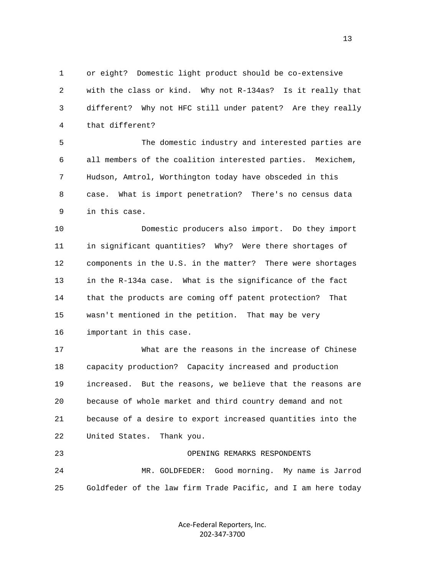1 or eight? Domestic light product should be co-extensive 2 with the class or kind. Why not R-134as? Is it really that 3 different? Why not HFC still under patent? Are they really 4 that different?

 5 The domestic industry and interested parties are 6 all members of the coalition interested parties. Mexichem, 7 Hudson, Amtrol, Worthington today have obsceded in this 8 case. What is import penetration? There's no census data 9 in this case.

 10 Domestic producers also import. Do they import 11 in significant quantities? Why? Were there shortages of 12 components in the U.S. in the matter? There were shortages 13 in the R-134a case. What is the significance of the fact 14 that the products are coming off patent protection? That 15 wasn't mentioned in the petition. That may be very 16 important in this case.

 17 What are the reasons in the increase of Chinese 18 capacity production? Capacity increased and production 19 increased. But the reasons, we believe that the reasons are 20 because of whole market and third country demand and not 21 because of a desire to export increased quantities into the 22 United States. Thank you.

 23 OPENING REMARKS RESPONDENTS 24 MR. GOLDFEDER: Good morning. My name is Jarrod 25 Goldfeder of the law firm Trade Pacific, and I am here today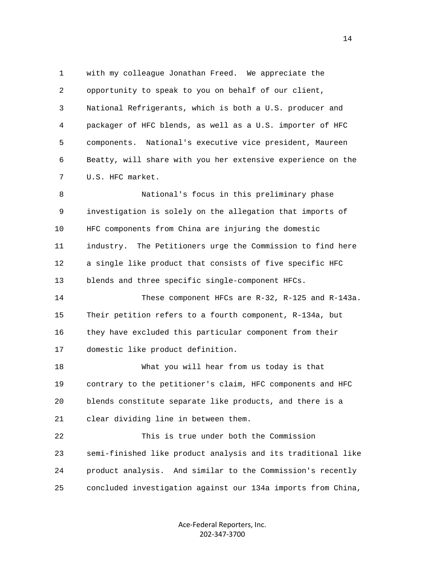1 with my colleague Jonathan Freed. We appreciate the 2 opportunity to speak to you on behalf of our client, 3 National Refrigerants, which is both a U.S. producer and 4 packager of HFC blends, as well as a U.S. importer of HFC 5 components. National's executive vice president, Maureen 6 Beatty, will share with you her extensive experience on the 7 U.S. HFC market.

 8 National's focus in this preliminary phase 9 investigation is solely on the allegation that imports of 10 HFC components from China are injuring the domestic 11 industry. The Petitioners urge the Commission to find here 12 a single like product that consists of five specific HFC 13 blends and three specific single-component HFCs.

 14 These component HFCs are R-32, R-125 and R-143a. 15 Their petition refers to a fourth component, R-134a, but 16 they have excluded this particular component from their 17 domestic like product definition.

 18 What you will hear from us today is that 19 contrary to the petitioner's claim, HFC components and HFC 20 blends constitute separate like products, and there is a 21 clear dividing line in between them.

 22 This is true under both the Commission 23 semi-finished like product analysis and its traditional like 24 product analysis. And similar to the Commission's recently 25 concluded investigation against our 134a imports from China,

> Ace‐Federal Reporters, Inc. 202‐347‐3700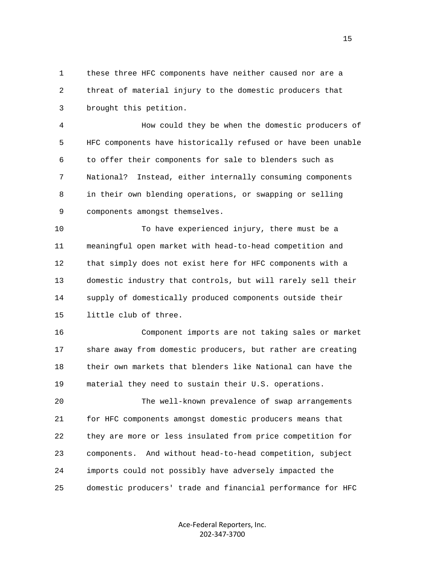1 these three HFC components have neither caused nor are a 2 threat of material injury to the domestic producers that 3 brought this petition.

 4 How could they be when the domestic producers of 5 HFC components have historically refused or have been unable 6 to offer their components for sale to blenders such as 7 National? Instead, either internally consuming components 8 in their own blending operations, or swapping or selling 9 components amongst themselves.

 10 To have experienced injury, there must be a 11 meaningful open market with head-to-head competition and 12 that simply does not exist here for HFC components with a 13 domestic industry that controls, but will rarely sell their 14 supply of domestically produced components outside their 15 little club of three.

 16 Component imports are not taking sales or market 17 share away from domestic producers, but rather are creating 18 their own markets that blenders like National can have the 19 material they need to sustain their U.S. operations.

 20 The well-known prevalence of swap arrangements 21 for HFC components amongst domestic producers means that 22 they are more or less insulated from price competition for 23 components. And without head-to-head competition, subject 24 imports could not possibly have adversely impacted the 25 domestic producers' trade and financial performance for HFC

> Ace‐Federal Reporters, Inc. 202‐347‐3700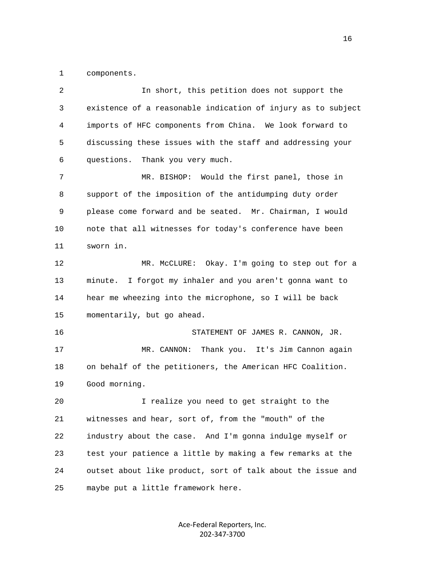1 components.

| 2  | In short, this petition does not support the                 |
|----|--------------------------------------------------------------|
| 3  | existence of a reasonable indication of injury as to subject |
| 4  | imports of HFC components from China. We look forward to     |
| 5  | discussing these issues with the staff and addressing your   |
| 6  | questions. Thank you very much.                              |
| 7  | Would the first panel, those in<br>MR. BISHOP:               |
| 8  | support of the imposition of the antidumping duty order      |
| 9  | please come forward and be seated. Mr. Chairman, I would     |
| 10 | note that all witnesses for today's conference have been     |
| 11 | sworn in.                                                    |
| 12 | MR. McCLURE: Okay. I'm going to step out for a               |
| 13 | minute. I forgot my inhaler and you aren't gonna want to     |
| 14 | hear me wheezing into the microphone, so I will be back      |
| 15 | momentarily, but go ahead.                                   |
| 16 | STATEMENT OF JAMES R. CANNON, JR.                            |
| 17 | MR. CANNON:<br>Thank you. It's Jim Cannon again              |
| 18 | on behalf of the petitioners, the American HFC Coalition.    |
| 19 | Good morning.                                                |
| 20 | I realize you need to get straight to the                    |
| 21 | witnesses and hear, sort of, from the "mouth" of the         |
| 22 | industry about the case. And I'm gonna indulge myself or     |
| 23 | test your patience a little by making a few remarks at the   |
| 24 | outset about like product, sort of talk about the issue and  |
| 25 | maybe put a little framework here.                           |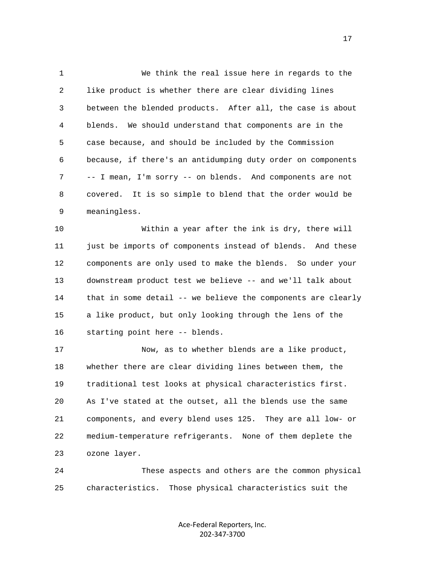1 We think the real issue here in regards to the 2 like product is whether there are clear dividing lines 3 between the blended products. After all, the case is about 4 blends. We should understand that components are in the 5 case because, and should be included by the Commission 6 because, if there's an antidumping duty order on components 7 -- I mean, I'm sorry -- on blends. And components are not 8 covered. It is so simple to blend that the order would be 9 meaningless.

 10 Within a year after the ink is dry, there will 11 just be imports of components instead of blends. And these 12 components are only used to make the blends. So under your 13 downstream product test we believe -- and we'll talk about 14 that in some detail -- we believe the components are clearly 15 a like product, but only looking through the lens of the 16 starting point here -- blends.

 17 Now, as to whether blends are a like product, 18 whether there are clear dividing lines between them, the 19 traditional test looks at physical characteristics first. 20 As I've stated at the outset, all the blends use the same 21 components, and every blend uses 125. They are all low- or 22 medium-temperature refrigerants. None of them deplete the 23 ozone layer.

 24 These aspects and others are the common physical 25 characteristics. Those physical characteristics suit the

> Ace‐Federal Reporters, Inc. 202‐347‐3700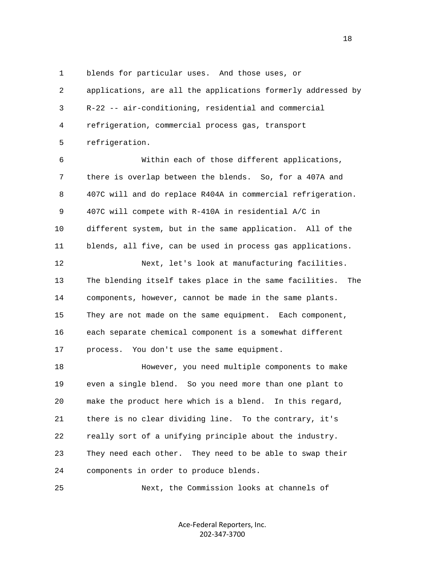1 blends for particular uses. And those uses, or

 2 applications, are all the applications formerly addressed by 3 R-22 -- air-conditioning, residential and commercial 4 refrigeration, commercial process gas, transport 5 refrigeration.

 6 Within each of those different applications, 7 there is overlap between the blends. So, for a 407A and 8 407C will and do replace R404A in commercial refrigeration. 9 407C will compete with R-410A in residential A/C in 10 different system, but in the same application. All of the 11 blends, all five, can be used in process gas applications.

 13 The blending itself takes place in the same facilities. The 14 components, however, cannot be made in the same plants. 15 They are not made on the same equipment. Each component, 16 each separate chemical component is a somewhat different 17 process. You don't use the same equipment.

12 Next, let's look at manufacturing facilities.

 18 However, you need multiple components to make 19 even a single blend. So you need more than one plant to 20 make the product here which is a blend. In this regard, 21 there is no clear dividing line. To the contrary, it's 22 really sort of a unifying principle about the industry. 23 They need each other. They need to be able to swap their 24 components in order to produce blends.

25 Next, the Commission looks at channels of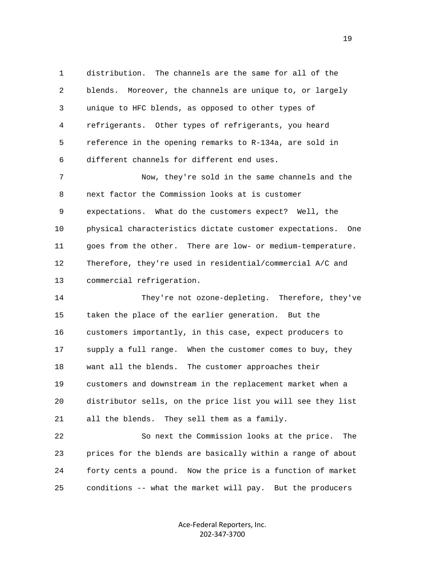1 distribution. The channels are the same for all of the 2 blends. Moreover, the channels are unique to, or largely 3 unique to HFC blends, as opposed to other types of 4 refrigerants. Other types of refrigerants, you heard 5 reference in the opening remarks to R-134a, are sold in 6 different channels for different end uses.

 7 Now, they're sold in the same channels and the 8 next factor the Commission looks at is customer 9 expectations. What do the customers expect? Well, the 10 physical characteristics dictate customer expectations. One 11 goes from the other. There are low- or medium-temperature. 12 Therefore, they're used in residential/commercial A/C and 13 commercial refrigeration.

 14 They're not ozone-depleting. Therefore, they've 15 taken the place of the earlier generation. But the 16 customers importantly, in this case, expect producers to 17 supply a full range. When the customer comes to buy, they 18 want all the blends. The customer approaches their 19 customers and downstream in the replacement market when a 20 distributor sells, on the price list you will see they list 21 all the blends. They sell them as a family.

 22 So next the Commission looks at the price. The 23 prices for the blends are basically within a range of about 24 forty cents a pound. Now the price is a function of market 25 conditions -- what the market will pay. But the producers

> Ace‐Federal Reporters, Inc. 202‐347‐3700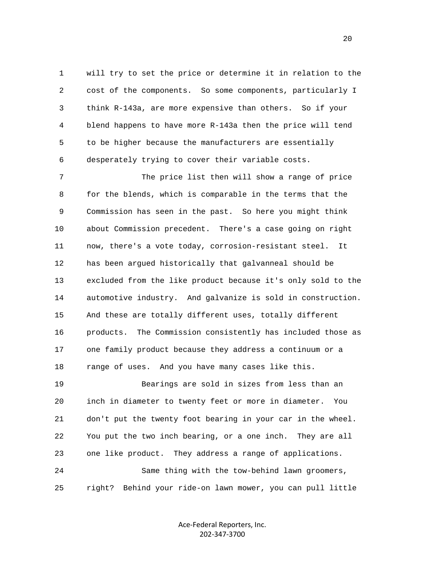1 will try to set the price or determine it in relation to the 2 cost of the components. So some components, particularly I 3 think R-143a, are more expensive than others. So if your 4 blend happens to have more R-143a then the price will tend 5 to be higher because the manufacturers are essentially 6 desperately trying to cover their variable costs.

 7 The price list then will show a range of price 8 for the blends, which is comparable in the terms that the 9 Commission has seen in the past. So here you might think 10 about Commission precedent. There's a case going on right 11 now, there's a vote today, corrosion-resistant steel. It 12 has been argued historically that galvanneal should be 13 excluded from the like product because it's only sold to the 14 automotive industry. And galvanize is sold in construction. 15 And these are totally different uses, totally different 16 products. The Commission consistently has included those as 17 one family product because they address a continuum or a 18 range of uses. And you have many cases like this. 19 Bearings are sold in sizes from less than an 20 inch in diameter to twenty feet or more in diameter. You

 21 don't put the twenty foot bearing in your car in the wheel. 22 You put the two inch bearing, or a one inch. They are all 23 one like product. They address a range of applications. 24 Same thing with the tow-behind lawn groomers, 25 right? Behind your ride-on lawn mower, you can pull little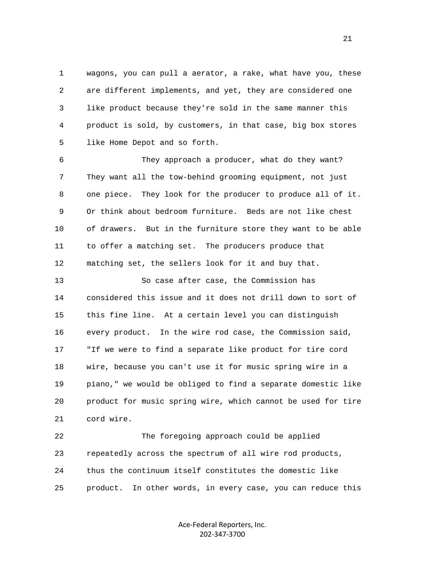1 wagons, you can pull a aerator, a rake, what have you, these 2 are different implements, and yet, they are considered one 3 like product because they're sold in the same manner this 4 product is sold, by customers, in that case, big box stores 5 like Home Depot and so forth.

 6 They approach a producer, what do they want? 7 They want all the tow-behind grooming equipment, not just 8 one piece. They look for the producer to produce all of it. 9 Or think about bedroom furniture. Beds are not like chest 10 of drawers. But in the furniture store they want to be able 11 to offer a matching set. The producers produce that 12 matching set, the sellers look for it and buy that.

 13 So case after case, the Commission has 14 considered this issue and it does not drill down to sort of 15 this fine line. At a certain level you can distinguish 16 every product. In the wire rod case, the Commission said, 17 "If we were to find a separate like product for tire cord 18 wire, because you can't use it for music spring wire in a 19 piano," we would be obliged to find a separate domestic like 20 product for music spring wire, which cannot be used for tire 21 cord wire.

 22 The foregoing approach could be applied 23 repeatedly across the spectrum of all wire rod products, 24 thus the continuum itself constitutes the domestic like 25 product. In other words, in every case, you can reduce this

> Ace‐Federal Reporters, Inc. 202‐347‐3700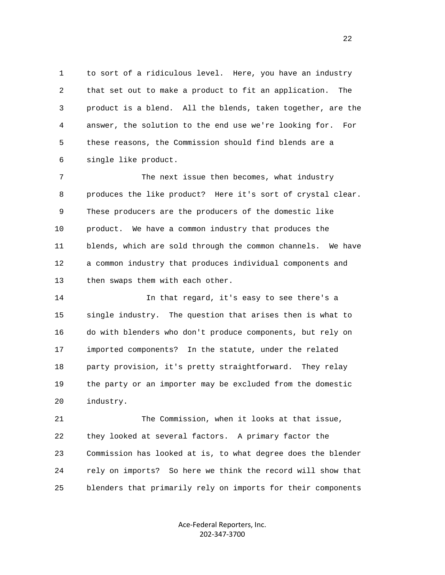1 to sort of a ridiculous level. Here, you have an industry 2 that set out to make a product to fit an application. The 3 product is a blend. All the blends, taken together, are the 4 answer, the solution to the end use we're looking for. For 5 these reasons, the Commission should find blends are a 6 single like product.

 7 The next issue then becomes, what industry 8 produces the like product? Here it's sort of crystal clear. 9 These producers are the producers of the domestic like 10 product. We have a common industry that produces the 11 blends, which are sold through the common channels. We have 12 a common industry that produces individual components and 13 then swaps them with each other.

 14 In that regard, it's easy to see there's a 15 single industry. The question that arises then is what to 16 do with blenders who don't produce components, but rely on 17 imported components? In the statute, under the related 18 party provision, it's pretty straightforward. They relay 19 the party or an importer may be excluded from the domestic 20 industry.

 21 The Commission, when it looks at that issue, 22 they looked at several factors. A primary factor the 23 Commission has looked at is, to what degree does the blender 24 rely on imports? So here we think the record will show that 25 blenders that primarily rely on imports for their components

> Ace‐Federal Reporters, Inc. 202‐347‐3700

22 a set of the state of the state of the state of the state of the state of the state of the state of the state of the state of the state of the state of the state of the state of the state of the state of the state of th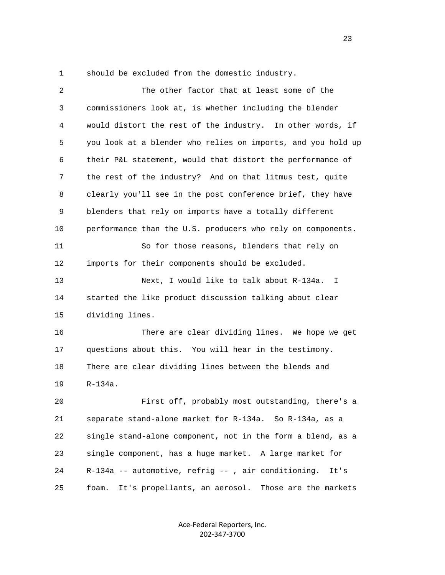1 should be excluded from the domestic industry.

| 2  | The other factor that at least some of the                      |
|----|-----------------------------------------------------------------|
| 3  | commissioners look at, is whether including the blender         |
| 4  | would distort the rest of the industry. In other words, if      |
| 5  | you look at a blender who relies on imports, and you hold up    |
| 6  | their P&L statement, would that distort the performance of      |
| 7  | the rest of the industry? And on that litmus test, quite        |
| 8  | clearly you'll see in the post conference brief, they have      |
| 9  | blenders that rely on imports have a totally different          |
| 10 | performance than the U.S. producers who rely on components.     |
| 11 | So for those reasons, blenders that rely on                     |
| 12 | imports for their components should be excluded.                |
| 13 | Next, I would like to talk about R-134a. I                      |
| 14 | started the like product discussion talking about clear         |
| 15 | dividing lines.                                                 |
| 16 | There are clear dividing lines. We hope we get                  |
| 17 | questions about this. You will hear in the testimony.           |
| 18 | There are clear dividing lines between the blends and           |
| 19 | $R-134a.$                                                       |
| 20 | First off, probably most outstanding, there's a                 |
| 21 | separate stand-alone market for R-134a. So R-134a, as a         |
| 22 | single stand-alone component, not in the form a blend, as a     |
| 23 | single component, has a huge market. A large market for         |
| 24 | R-134a -- automotive, refrig --, air conditioning.<br>It's      |
| 25 | foam.<br>It's propellants, an aerosol.<br>Those are the markets |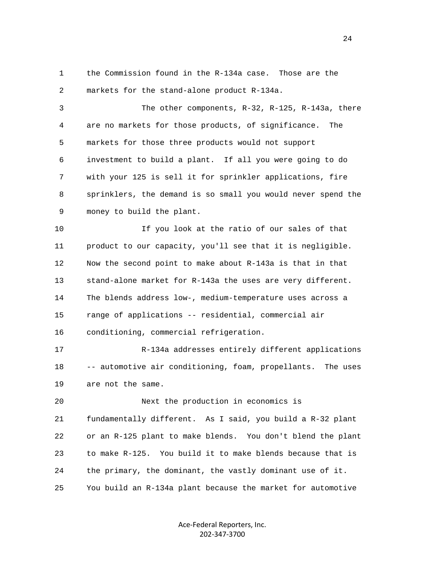1 the Commission found in the R-134a case. Those are the 2 markets for the stand-alone product R-134a.

 3 The other components, R-32, R-125, R-143a, there 4 are no markets for those products, of significance. The 5 markets for those three products would not support 6 investment to build a plant. If all you were going to do 7 with your 125 is sell it for sprinkler applications, fire 8 sprinklers, the demand is so small you would never spend the 9 money to build the plant.

 10 If you look at the ratio of our sales of that 11 product to our capacity, you'll see that it is negligible. 12 Now the second point to make about R-143a is that in that 13 stand-alone market for R-143a the uses are very different. 14 The blends address low-, medium-temperature uses across a 15 range of applications -- residential, commercial air 16 conditioning, commercial refrigeration.

 17 R-134a addresses entirely different applications 18 -- automotive air conditioning, foam, propellants. The uses 19 are not the same.

 20 Next the production in economics is 21 fundamentally different. As I said, you build a R-32 plant 22 or an R-125 plant to make blends. You don't blend the plant 23 to make R-125. You build it to make blends because that is 24 the primary, the dominant, the vastly dominant use of it. 25 You build an R-134a plant because the market for automotive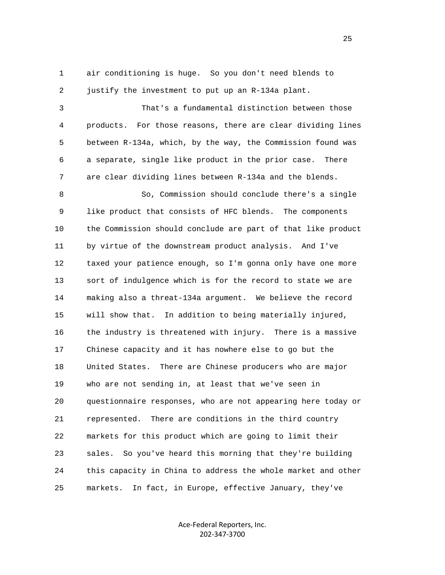1 air conditioning is huge. So you don't need blends to 2 justify the investment to put up an R-134a plant.

 3 That's a fundamental distinction between those 4 products. For those reasons, there are clear dividing lines 5 between R-134a, which, by the way, the Commission found was 6 a separate, single like product in the prior case. There 7 are clear dividing lines between R-134a and the blends. 8 So, Commission should conclude there's a single 9 like product that consists of HFC blends. The components 10 the Commission should conclude are part of that like product 11 by virtue of the downstream product analysis. And I've 12 taxed your patience enough, so I'm gonna only have one more 13 sort of indulgence which is for the record to state we are 14 making also a threat-134a argument. We believe the record 15 will show that. In addition to being materially injured, 16 the industry is threatened with injury. There is a massive 17 Chinese capacity and it has nowhere else to go but the 18 United States. There are Chinese producers who are major 19 who are not sending in, at least that we've seen in 20 questionnaire responses, who are not appearing here today or 21 represented. There are conditions in the third country 22 markets for this product which are going to limit their 23 sales. So you've heard this morning that they're building 24 this capacity in China to address the whole market and other 25 markets. In fact, in Europe, effective January, they've

> Ace‐Federal Reporters, Inc. 202‐347‐3700

25 and 25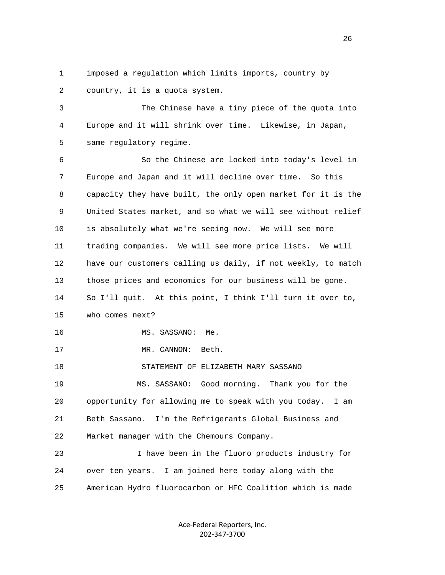1 imposed a regulation which limits imports, country by 2 country, it is a quota system.

 3 The Chinese have a tiny piece of the quota into 4 Europe and it will shrink over time. Likewise, in Japan, 5 same regulatory regime.

 6 So the Chinese are locked into today's level in 7 Europe and Japan and it will decline over time. So this 8 capacity they have built, the only open market for it is the 9 United States market, and so what we will see without relief 10 is absolutely what we're seeing now. We will see more 11 trading companies. We will see more price lists. We will 12 have our customers calling us daily, if not weekly, to match 13 those prices and economics for our business will be gone. 14 So I'll quit. At this point, I think I'll turn it over to, 15 who comes next? 16 MS. SASSANO: Me. 17 MR. CANNON: Beth. 18 STATEMENT OF ELIZABETH MARY SASSANO 19 MS. SASSANO: Good morning. Thank you for the 20 opportunity for allowing me to speak with you today. I am 21 Beth Sassano. I'm the Refrigerants Global Business and 22 Market manager with the Chemours Company. 23 I have been in the fluoro products industry for 24 over ten years. I am joined here today along with the

25 American Hydro fluorocarbon or HFC Coalition which is made

Ace‐Federal Reporters, Inc. 202‐347‐3700

<u>26</u>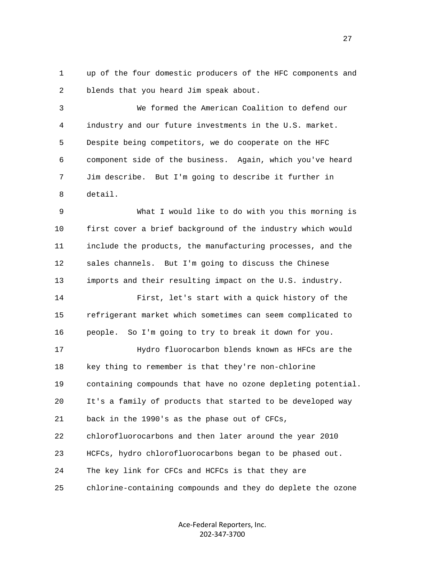1 up of the four domestic producers of the HFC components and 2 blends that you heard Jim speak about.

 3 We formed the American Coalition to defend our 4 industry and our future investments in the U.S. market. 5 Despite being competitors, we do cooperate on the HFC 6 component side of the business. Again, which you've heard 7 Jim describe. But I'm going to describe it further in 8 detail.

 9 What I would like to do with you this morning is 10 first cover a brief background of the industry which would 11 include the products, the manufacturing processes, and the 12 sales channels. But I'm going to discuss the Chinese 13 imports and their resulting impact on the U.S. industry. 14 First, let's start with a quick history of the 15 refrigerant market which sometimes can seem complicated to

16 people. So I'm going to try to break it down for you.

 17 Hydro fluorocarbon blends known as HFCs are the 18 key thing to remember is that they're non-chlorine 19 containing compounds that have no ozone depleting potential. 20 It's a family of products that started to be developed way 21 back in the 1990's as the phase out of CFCs, 22 chlorofluorocarbons and then later around the year 2010 23 HCFCs, hydro chlorofluorocarbons began to be phased out. 24 The key link for CFCs and HCFCs is that they are 25 chlorine-containing compounds and they do deplete the ozone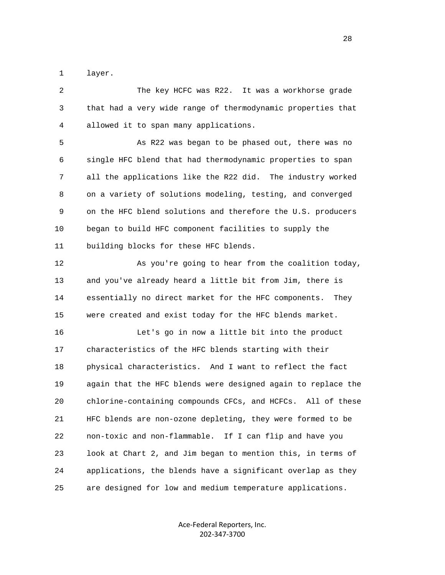1 layer.

 2 The key HCFC was R22. It was a workhorse grade 3 that had a very wide range of thermodynamic properties that 4 allowed it to span many applications.

 5 As R22 was began to be phased out, there was no 6 single HFC blend that had thermodynamic properties to span 7 all the applications like the R22 did. The industry worked 8 on a variety of solutions modeling, testing, and converged 9 on the HFC blend solutions and therefore the U.S. producers 10 began to build HFC component facilities to supply the 11 building blocks for these HFC blends.

 12 As you're going to hear from the coalition today, 13 and you've already heard a little bit from Jim, there is 14 essentially no direct market for the HFC components. They 15 were created and exist today for the HFC blends market.

 16 Let's go in now a little bit into the product 17 characteristics of the HFC blends starting with their 18 physical characteristics. And I want to reflect the fact 19 again that the HFC blends were designed again to replace the 20 chlorine-containing compounds CFCs, and HCFCs. All of these 21 HFC blends are non-ozone depleting, they were formed to be 22 non-toxic and non-flammable. If I can flip and have you 23 look at Chart 2, and Jim began to mention this, in terms of 24 applications, the blends have a significant overlap as they 25 are designed for low and medium temperature applications.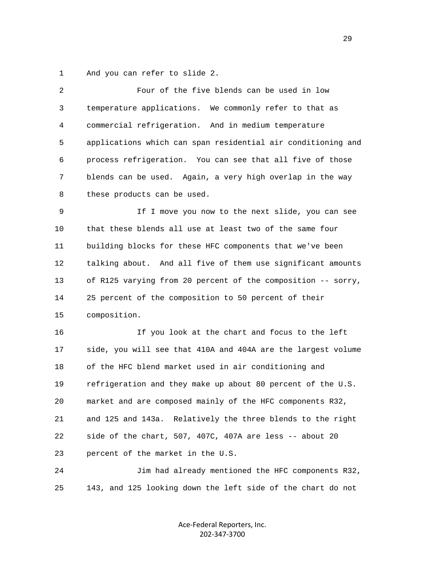1 And you can refer to slide 2.

| 2  | Four of the five blends can be used in low                   |
|----|--------------------------------------------------------------|
| 3  | temperature applications. We commonly refer to that as       |
| 4  | commercial refrigeration. And in medium temperature          |
| 5  | applications which can span residential air conditioning and |
| 6  | process refrigeration. You can see that all five of those    |
| 7  | blends can be used. Again, a very high overlap in the way    |
| 8  | these products can be used.                                  |
| 9  | If I move you now to the next slide, you can see             |
| 10 | that these blends all use at least two of the same four      |
| 11 | building blocks for these HFC components that we've been     |
| 12 | talking about. And all five of them use significant amounts  |
| 13 | of R125 varying from 20 percent of the composition -- sorry, |
| 14 | 25 percent of the composition to 50 percent of their         |
| 15 | composition.                                                 |
| 16 | If you look at the chart and focus to the left               |
| 17 | side, you will see that 410A and 404A are the largest volume |
| 18 | of the HFC blend market used in air conditioning and         |
| 19 | refrigeration and they make up about 80 percent of the U.S.  |
| 20 | market and are composed mainly of the HFC components R32,    |
| 21 | and 125 and 143a. Relatively the three blends to the right   |
| 22 | side of the chart, 507, 407C, 407A are less -- about 20      |
| 23 | percent of the market in the U.S.                            |
| 24 | Jim had already mentioned the HFC components R32,            |

25 143, and 125 looking down the left side of the chart do not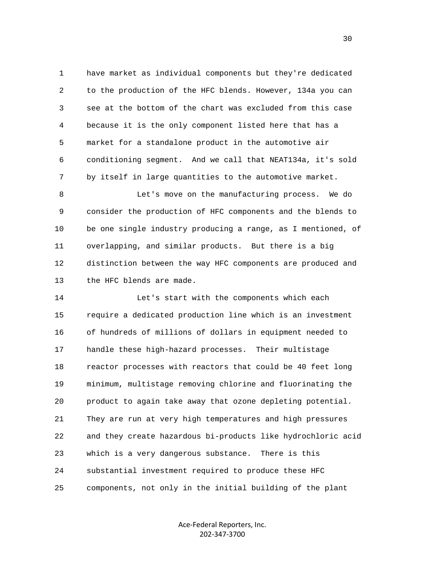1 have market as individual components but they're dedicated 2 to the production of the HFC blends. However, 134a you can 3 see at the bottom of the chart was excluded from this case 4 because it is the only component listed here that has a 5 market for a standalone product in the automotive air 6 conditioning segment. And we call that NEAT134a, it's sold 7 by itself in large quantities to the automotive market.

 8 Let's move on the manufacturing process. We do 9 consider the production of HFC components and the blends to 10 be one single industry producing a range, as I mentioned, of 11 overlapping, and similar products. But there is a big 12 distinction between the way HFC components are produced and 13 the HFC blends are made.

 14 Let's start with the components which each 15 require a dedicated production line which is an investment 16 of hundreds of millions of dollars in equipment needed to 17 handle these high-hazard processes. Their multistage 18 reactor processes with reactors that could be 40 feet long 19 minimum, multistage removing chlorine and fluorinating the 20 product to again take away that ozone depleting potential. 21 They are run at very high temperatures and high pressures 22 and they create hazardous bi-products like hydrochloric acid 23 which is a very dangerous substance. There is this 24 substantial investment required to produce these HFC 25 components, not only in the initial building of the plant

> Ace‐Federal Reporters, Inc. 202‐347‐3700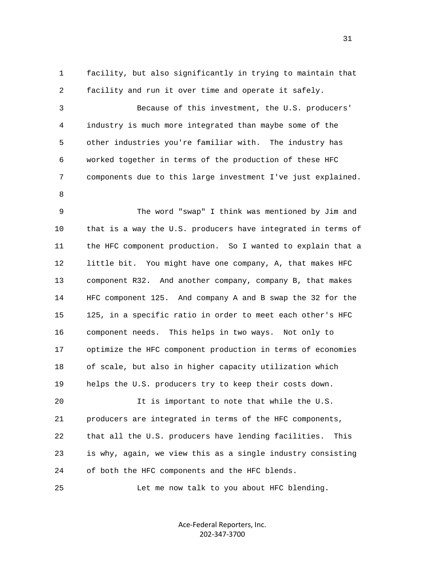1 facility, but also significantly in trying to maintain that 2 facility and run it over time and operate it safely.

 3 Because of this investment, the U.S. producers' 4 industry is much more integrated than maybe some of the 5 other industries you're familiar with. The industry has 6 worked together in terms of the production of these HFC 7 components due to this large investment I've just explained.

8

 9 The word "swap" I think was mentioned by Jim and 10 that is a way the U.S. producers have integrated in terms of 11 the HFC component production. So I wanted to explain that a 12 little bit. You might have one company, A, that makes HFC 13 component R32. And another company, company B, that makes 14 HFC component 125. And company A and B swap the 32 for the 15 125, in a specific ratio in order to meet each other's HFC 16 component needs. This helps in two ways. Not only to 17 optimize the HFC component production in terms of economies 18 of scale, but also in higher capacity utilization which 19 helps the U.S. producers try to keep their costs down.

 20 It is important to note that while the U.S. 21 producers are integrated in terms of the HFC components, 22 that all the U.S. producers have lending facilities. This 23 is why, again, we view this as a single industry consisting 24 of both the HFC components and the HFC blends.

25 Let me now talk to you about HFC blending.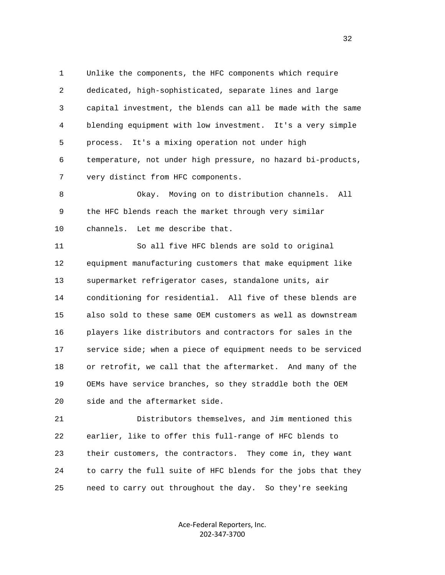1 Unlike the components, the HFC components which require 2 dedicated, high-sophisticated, separate lines and large 3 capital investment, the blends can all be made with the same 4 blending equipment with low investment. It's a very simple 5 process. It's a mixing operation not under high 6 temperature, not under high pressure, no hazard bi-products, 7 very distinct from HFC components.

 8 Okay. Moving on to distribution channels. All 9 the HFC blends reach the market through very similar 10 channels. Let me describe that.

 11 So all five HFC blends are sold to original 12 equipment manufacturing customers that make equipment like 13 supermarket refrigerator cases, standalone units, air 14 conditioning for residential. All five of these blends are 15 also sold to these same OEM customers as well as downstream 16 players like distributors and contractors for sales in the 17 service side; when a piece of equipment needs to be serviced 18 or retrofit, we call that the aftermarket. And many of the 19 OEMs have service branches, so they straddle both the OEM 20 side and the aftermarket side.

 21 Distributors themselves, and Jim mentioned this 22 earlier, like to offer this full-range of HFC blends to 23 their customers, the contractors. They come in, they want 24 to carry the full suite of HFC blends for the jobs that they 25 need to carry out throughout the day. So they're seeking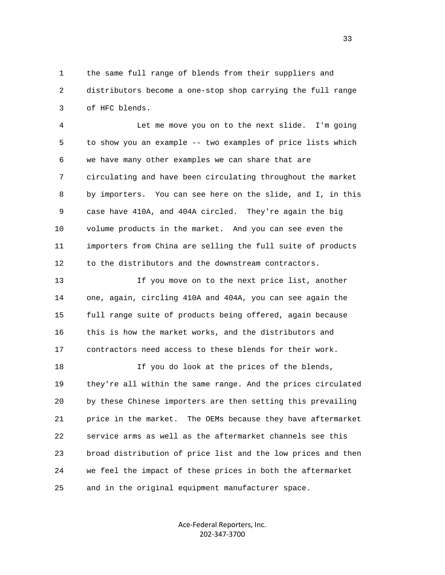1 the same full range of blends from their suppliers and 2 distributors become a one-stop shop carrying the full range 3 of HFC blends.

 4 Let me move you on to the next slide. I'm going 5 to show you an example -- two examples of price lists which 6 we have many other examples we can share that are 7 circulating and have been circulating throughout the market 8 by importers. You can see here on the slide, and I, in this 9 case have 410A, and 404A circled. They're again the big 10 volume products in the market. And you can see even the 11 importers from China are selling the full suite of products 12 to the distributors and the downstream contractors.

 13 If you move on to the next price list, another 14 one, again, circling 410A and 404A, you can see again the 15 full range suite of products being offered, again because 16 this is how the market works, and the distributors and 17 contractors need access to these blends for their work.

 18 If you do look at the prices of the blends, 19 they're all within the same range. And the prices circulated 20 by these Chinese importers are then setting this prevailing 21 price in the market. The OEMs because they have aftermarket 22 service arms as well as the aftermarket channels see this 23 broad distribution of price list and the low prices and then 24 we feel the impact of these prices in both the aftermarket 25 and in the original equipment manufacturer space.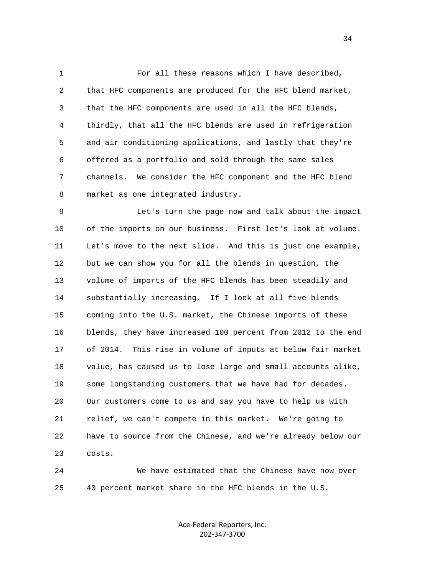1 For all these reasons which I have described, 2 that HFC components are produced for the HFC blend market, 3 that the HFC components are used in all the HFC blends, 4 thirdly, that all the HFC blends are used in refrigeration 5 and air conditioning applications, and lastly that they're 6 offered as a portfolio and sold through the same sales 7 channels. We consider the HFC component and the HFC blend 8 market as one integrated industry.

 9 Let's turn the page now and talk about the impact 10 of the imports on our business. First let's look at volume. 11 Let's move to the next slide. And this is just one example, 12 but we can show you for all the blends in question, the 13 volume of imports of the HFC blends has been steadily and 14 substantially increasing. If I look at all five blends 15 coming into the U.S. market, the Chinese imports of these 16 blends, they have increased 100 percent from 2012 to the end 17 of 2014. This rise in volume of inputs at below fair market 18 value, has caused us to lose large and small accounts alike, 19 some longstanding customers that we have had for decades. 20 Our customers come to us and say you have to help us with 21 relief, we can't compete in this market. We're going to 22 have to source from the Chinese, and we're already below our 23 costs.

 24 We have estimated that the Chinese have now over 25 40 percent market share in the HFC blends in the U.S.

> Ace‐Federal Reporters, Inc. 202‐347‐3700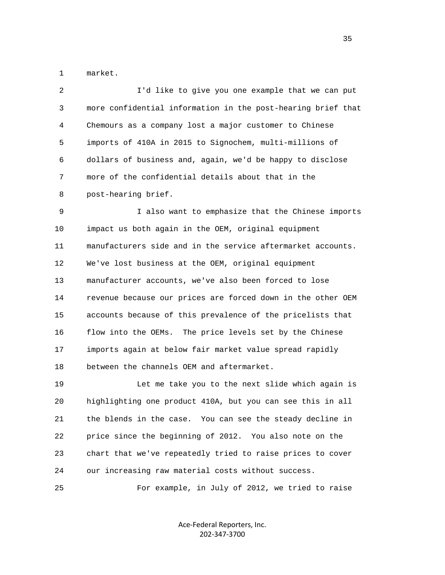1 market.

| 2  | I'd like to give you one example that we can put             |
|----|--------------------------------------------------------------|
| 3  | more confidential information in the post-hearing brief that |
| 4  | Chemours as a company lost a major customer to Chinese       |
| 5  | imports of 410A in 2015 to Signochem, multi-millions of      |
| 6  | dollars of business and, again, we'd be happy to disclose    |
| 7  | more of the confidential details about that in the           |
| 8  | post-hearing brief.                                          |
| 9  | I also want to emphasize that the Chinese imports            |
| 10 | impact us both again in the OEM, original equipment          |
| 11 | manufacturers side and in the service aftermarket accounts.  |
| 12 | We've lost business at the OEM, original equipment           |
| 13 | manufacturer accounts, we've also been forced to lose        |
| 14 | revenue because our prices are forced down in the other OEM  |
| 15 | accounts because of this prevalence of the pricelists that   |
| 16 | flow into the OEMs. The price levels set by the Chinese      |
| 17 | imports again at below fair market value spread rapidly      |
| 18 | between the channels OEM and aftermarket.                    |
| 19 | Let me take you to the next slide which again is             |
| 20 | highlighting one product 410A, but you can see this in all   |
| 21 | the blends in the case. You can see the steady decline in    |
| 22 | price since the beginning of 2012. You also note on the      |
| 23 | chart that we've repeatedly tried to raise prices to cover   |
| 24 | our increasing raw material costs without success.           |
|    |                                                              |

25 For example, in July of 2012, we tried to raise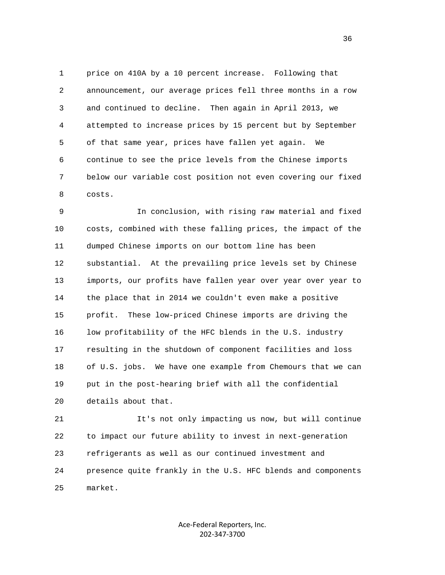1 price on 410A by a 10 percent increase. Following that 2 announcement, our average prices fell three months in a row 3 and continued to decline. Then again in April 2013, we 4 attempted to increase prices by 15 percent but by September 5 of that same year, prices have fallen yet again. We 6 continue to see the price levels from the Chinese imports 7 below our variable cost position not even covering our fixed 8 costs.

 9 In conclusion, with rising raw material and fixed 10 costs, combined with these falling prices, the impact of the 11 dumped Chinese imports on our bottom line has been 12 substantial. At the prevailing price levels set by Chinese 13 imports, our profits have fallen year over year over year to 14 the place that in 2014 we couldn't even make a positive 15 profit. These low-priced Chinese imports are driving the 16 low profitability of the HFC blends in the U.S. industry 17 resulting in the shutdown of component facilities and loss 18 of U.S. jobs. We have one example from Chemours that we can 19 put in the post-hearing brief with all the confidential 20 details about that.

 21 It's not only impacting us now, but will continue 22 to impact our future ability to invest in next-generation 23 refrigerants as well as our continued investment and 24 presence quite frankly in the U.S. HFC blends and components 25 market.

> Ace‐Federal Reporters, Inc. 202‐347‐3700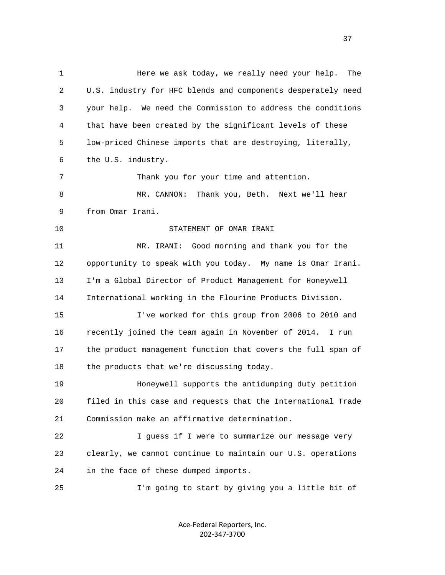1 Here we ask today, we really need your help. The 2 U.S. industry for HFC blends and components desperately need 3 your help. We need the Commission to address the conditions 4 that have been created by the significant levels of these 5 low-priced Chinese imports that are destroying, literally, 6 the U.S. industry. 7 Thank you for your time and attention. 8 MR. CANNON: Thank you, Beth. Next we'll hear 9 from Omar Irani. 10 STATEMENT OF OMAR IRANI 11 MR. IRANI: Good morning and thank you for the 12 opportunity to speak with you today. My name is Omar Irani. 13 I'm a Global Director of Product Management for Honeywell 14 International working in the Flourine Products Division. 15 I've worked for this group from 2006 to 2010 and 16 recently joined the team again in November of 2014. I run 17 the product management function that covers the full span of 18 the products that we're discussing today. 19 Honeywell supports the antidumping duty petition 20 filed in this case and requests that the International Trade 21 Commission make an affirmative determination. 22 I guess if I were to summarize our message very 23 clearly, we cannot continue to maintain our U.S. operations 24 in the face of these dumped imports. 25 I'm going to start by giving you a little bit of

> Ace‐Federal Reporters, Inc. 202‐347‐3700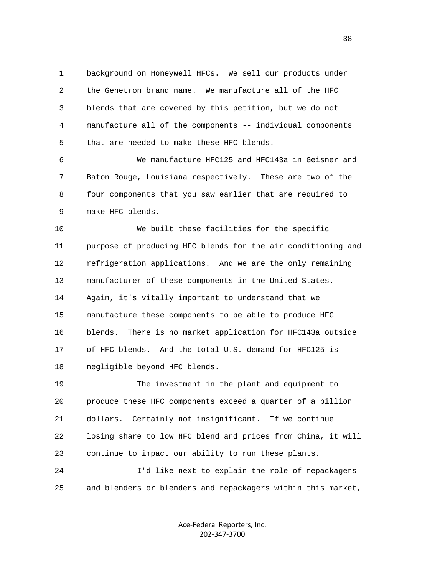1 background on Honeywell HFCs. We sell our products under 2 the Genetron brand name. We manufacture all of the HFC 3 blends that are covered by this petition, but we do not 4 manufacture all of the components -- individual components 5 that are needed to make these HFC blends.

 6 We manufacture HFC125 and HFC143a in Geisner and 7 Baton Rouge, Louisiana respectively. These are two of the 8 four components that you saw earlier that are required to 9 make HFC blends.

 10 We built these facilities for the specific 11 purpose of producing HFC blends for the air conditioning and 12 refrigeration applications. And we are the only remaining 13 manufacturer of these components in the United States. 14 Again, it's vitally important to understand that we 15 manufacture these components to be able to produce HFC 16 blends. There is no market application for HFC143a outside 17 of HFC blends. And the total U.S. demand for HFC125 is 18 negligible beyond HFC blends.

 19 The investment in the plant and equipment to 20 produce these HFC components exceed a quarter of a billion 21 dollars. Certainly not insignificant. If we continue 22 losing share to low HFC blend and prices from China, it will 23 continue to impact our ability to run these plants.

 24 I'd like next to explain the role of repackagers 25 and blenders or blenders and repackagers within this market,

> Ace‐Federal Reporters, Inc. 202‐347‐3700

and the state of the state of the state of the state of the state of the state of the state of the state of the state of the state of the state of the state of the state of the state of the state of the state of the state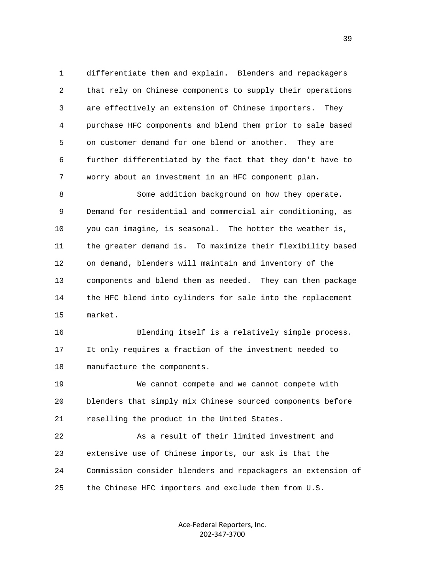1 differentiate them and explain. Blenders and repackagers 2 that rely on Chinese components to supply their operations 3 are effectively an extension of Chinese importers. They 4 purchase HFC components and blend them prior to sale based 5 on customer demand for one blend or another. They are 6 further differentiated by the fact that they don't have to 7 worry about an investment in an HFC component plan.

 8 Some addition background on how they operate. 9 Demand for residential and commercial air conditioning, as 10 you can imagine, is seasonal. The hotter the weather is, 11 the greater demand is. To maximize their flexibility based 12 on demand, blenders will maintain and inventory of the 13 components and blend them as needed. They can then package 14 the HFC blend into cylinders for sale into the replacement 15 market.

 16 Blending itself is a relatively simple process. 17 It only requires a fraction of the investment needed to 18 manufacture the components.

 19 We cannot compete and we cannot compete with 20 blenders that simply mix Chinese sourced components before 21 reselling the product in the United States.

 22 As a result of their limited investment and 23 extensive use of Chinese imports, our ask is that the 24 Commission consider blenders and repackagers an extension of 25 the Chinese HFC importers and exclude them from U.S.

> Ace‐Federal Reporters, Inc. 202‐347‐3700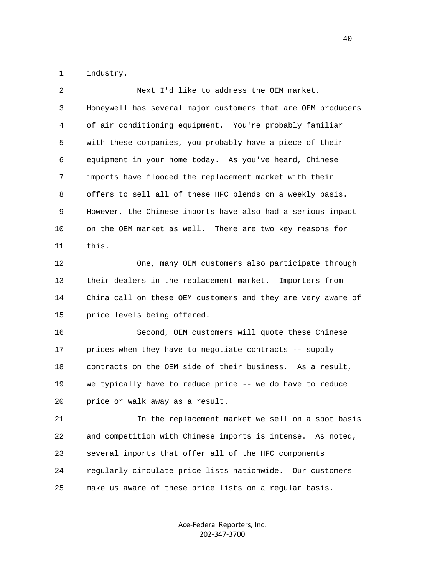1 industry.

| $\overline{2}$ | Next I'd like to address the OEM market.                     |
|----------------|--------------------------------------------------------------|
| 3              | Honeywell has several major customers that are OEM producers |
| 4              | of air conditioning equipment. You're probably familiar      |
| 5              | with these companies, you probably have a piece of their     |
| 6              | equipment in your home today. As you've heard, Chinese       |
| 7              | imports have flooded the replacement market with their       |
| 8              | offers to sell all of these HFC blends on a weekly basis.    |
| 9              | However, the Chinese imports have also had a serious impact  |
| 10             | on the OEM market as well. There are two key reasons for     |
| 11             | this.                                                        |
| 12             | One, many OEM customers also participate through             |
| 13             | their dealers in the replacement market. Importers from      |
| 14             | China call on these OEM customers and they are very aware of |
| 15             | price levels being offered.                                  |
| 16             | Second, OEM customers will quote these Chinese               |
| 17             | prices when they have to negotiate contracts -- supply       |
| 18             | contracts on the OEM side of their business. As a result,    |
| 19             | we typically have to reduce price -- we do have to reduce    |
| 20             | price or walk away as a result.                              |
| 21             | In the replacement market we sell on a spot basis            |
| 22             | and competition with Chinese imports is intense. As noted,   |
| 23             | several imports that offer all of the HFC components         |
| 24             | regularly circulate price lists nationwide. Our customers    |
| 25             | make us aware of these price lists on a regular basis.       |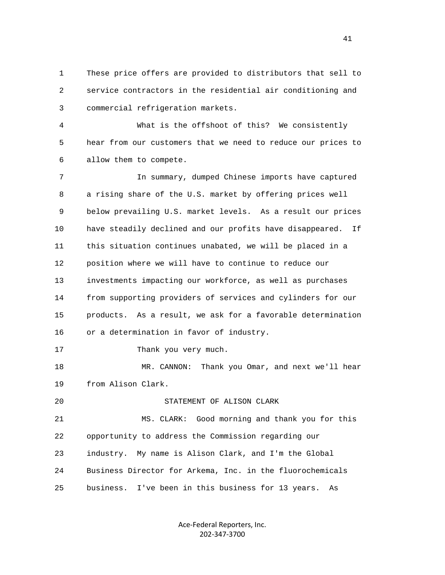1 These price offers are provided to distributors that sell to 2 service contractors in the residential air conditioning and 3 commercial refrigeration markets.

 4 What is the offshoot of this? We consistently 5 hear from our customers that we need to reduce our prices to 6 allow them to compete.

 7 In summary, dumped Chinese imports have captured 8 a rising share of the U.S. market by offering prices well 9 below prevailing U.S. market levels. As a result our prices 10 have steadily declined and our profits have disappeared. If 11 this situation continues unabated, we will be placed in a 12 position where we will have to continue to reduce our 13 investments impacting our workforce, as well as purchases 14 from supporting providers of services and cylinders for our 15 products. As a result, we ask for a favorable determination 16 or a determination in favor of industry.

17 Thank you very much.

18 MR. CANNON: Thank you Omar, and next we'll hear 19 from Alison Clark.

## 20 STATEMENT OF ALISON CLARK

 21 MS. CLARK: Good morning and thank you for this 22 opportunity to address the Commission regarding our 23 industry. My name is Alison Clark, and I'm the Global 24 Business Director for Arkema, Inc. in the fluorochemicals 25 business. I've been in this business for 13 years. As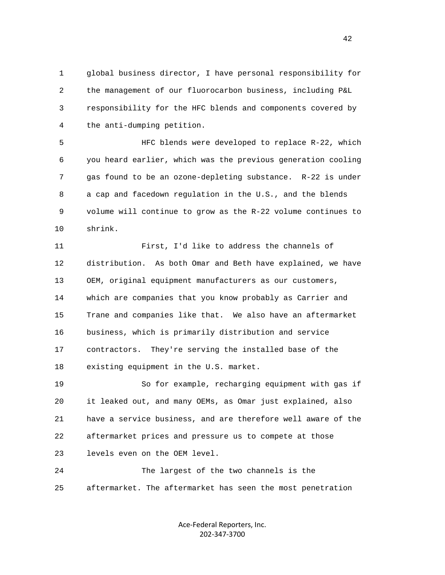1 global business director, I have personal responsibility for 2 the management of our fluorocarbon business, including P&L 3 responsibility for the HFC blends and components covered by 4 the anti-dumping petition.

 5 HFC blends were developed to replace R-22, which 6 you heard earlier, which was the previous generation cooling 7 gas found to be an ozone-depleting substance. R-22 is under 8 a cap and facedown regulation in the U.S., and the blends 9 volume will continue to grow as the R-22 volume continues to 10 shrink.

 11 First, I'd like to address the channels of 12 distribution. As both Omar and Beth have explained, we have 13 OEM, original equipment manufacturers as our customers, 14 which are companies that you know probably as Carrier and 15 Trane and companies like that. We also have an aftermarket 16 business, which is primarily distribution and service 17 contractors. They're serving the installed base of the 18 existing equipment in the U.S. market.

 19 So for example, recharging equipment with gas if 20 it leaked out, and many OEMs, as Omar just explained, also 21 have a service business, and are therefore well aware of the 22 aftermarket prices and pressure us to compete at those 23 levels even on the OEM level.

 24 The largest of the two channels is the 25 aftermarket. The aftermarket has seen the most penetration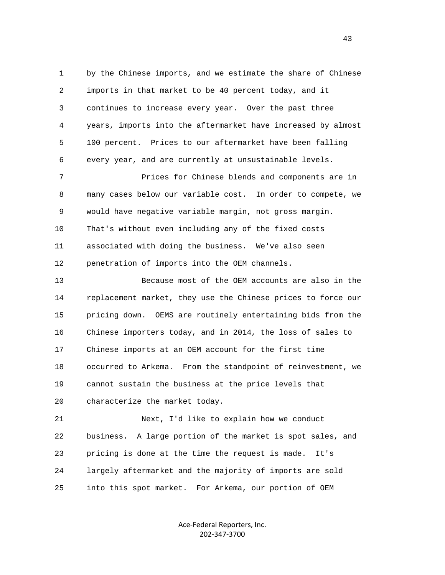1 by the Chinese imports, and we estimate the share of Chinese 2 imports in that market to be 40 percent today, and it 3 continues to increase every year. Over the past three 4 years, imports into the aftermarket have increased by almost 5 100 percent. Prices to our aftermarket have been falling 6 every year, and are currently at unsustainable levels.

 7 Prices for Chinese blends and components are in 8 many cases below our variable cost. In order to compete, we 9 would have negative variable margin, not gross margin. 10 That's without even including any of the fixed costs 11 associated with doing the business. We've also seen 12 penetration of imports into the OEM channels.

 13 Because most of the OEM accounts are also in the 14 replacement market, they use the Chinese prices to force our 15 pricing down. OEMS are routinely entertaining bids from the 16 Chinese importers today, and in 2014, the loss of sales to 17 Chinese imports at an OEM account for the first time 18 occurred to Arkema. From the standpoint of reinvestment, we 19 cannot sustain the business at the price levels that 20 characterize the market today.

 21 Next, I'd like to explain how we conduct 22 business. A large portion of the market is spot sales, and 23 pricing is done at the time the request is made. It's 24 largely aftermarket and the majority of imports are sold 25 into this spot market. For Arkema, our portion of OEM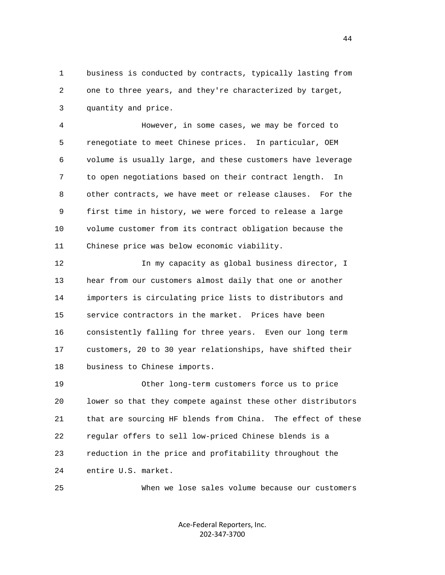1 business is conducted by contracts, typically lasting from 2 one to three years, and they're characterized by target, 3 quantity and price.

 4 However, in some cases, we may be forced to 5 renegotiate to meet Chinese prices. In particular, OEM 6 volume is usually large, and these customers have leverage 7 to open negotiations based on their contract length. In 8 other contracts, we have meet or release clauses. For the 9 first time in history, we were forced to release a large 10 volume customer from its contract obligation because the 11 Chinese price was below economic viability.

 12 In my capacity as global business director, I 13 hear from our customers almost daily that one or another 14 importers is circulating price lists to distributors and 15 service contractors in the market. Prices have been 16 consistently falling for three years. Even our long term 17 customers, 20 to 30 year relationships, have shifted their 18 business to Chinese imports.

 19 Other long-term customers force us to price 20 lower so that they compete against these other distributors 21 that are sourcing HF blends from China. The effect of these 22 regular offers to sell low-priced Chinese blends is a 23 reduction in the price and profitability throughout the 24 entire U.S. market.

25 When we lose sales volume because our customers

Ace‐Federal Reporters, Inc. 202‐347‐3700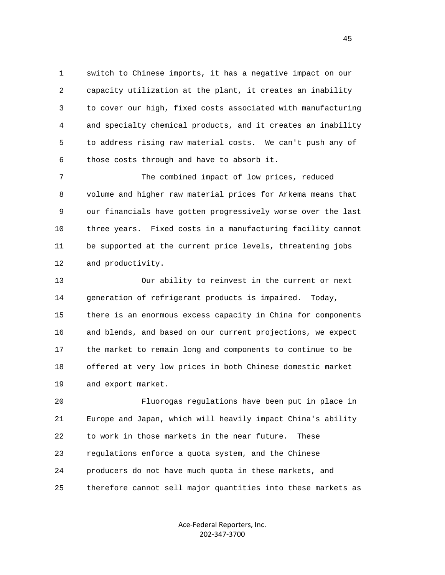1 switch to Chinese imports, it has a negative impact on our 2 capacity utilization at the plant, it creates an inability 3 to cover our high, fixed costs associated with manufacturing 4 and specialty chemical products, and it creates an inability 5 to address rising raw material costs. We can't push any of 6 those costs through and have to absorb it.

 7 The combined impact of low prices, reduced 8 volume and higher raw material prices for Arkema means that 9 our financials have gotten progressively worse over the last 10 three years. Fixed costs in a manufacturing facility cannot 11 be supported at the current price levels, threatening jobs 12 and productivity.

 13 Our ability to reinvest in the current or next 14 generation of refrigerant products is impaired. Today, 15 there is an enormous excess capacity in China for components 16 and blends, and based on our current projections, we expect 17 the market to remain long and components to continue to be 18 offered at very low prices in both Chinese domestic market 19 and export market.

 20 Fluorogas regulations have been put in place in 21 Europe and Japan, which will heavily impact China's ability 22 to work in those markets in the near future. These 23 regulations enforce a quota system, and the Chinese 24 producers do not have much quota in these markets, and 25 therefore cannot sell major quantities into these markets as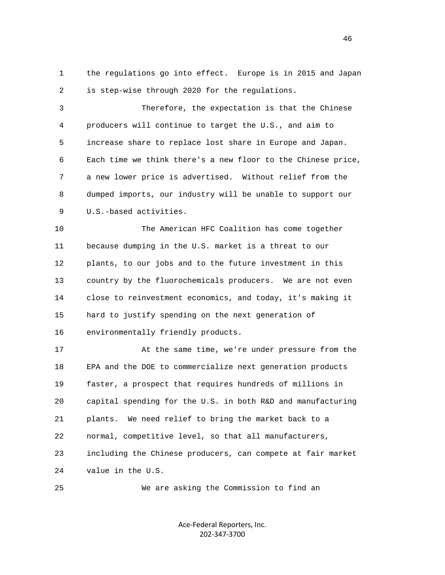1 the regulations go into effect. Europe is in 2015 and Japan 2 is step-wise through 2020 for the regulations.

 3 Therefore, the expectation is that the Chinese 4 producers will continue to target the U.S., and aim to 5 increase share to replace lost share in Europe and Japan. 6 Each time we think there's a new floor to the Chinese price, 7 a new lower price is advertised. Without relief from the 8 dumped imports, our industry will be unable to support our 9 U.S.-based activities.

 10 The American HFC Coalition has come together 11 because dumping in the U.S. market is a threat to our 12 plants, to our jobs and to the future investment in this 13 country by the fluorochemicals producers. We are not even 14 close to reinvestment economics, and today, it's making it 15 hard to justify spending on the next generation of 16 environmentally friendly products.

 17 At the same time, we're under pressure from the 18 EPA and the DOE to commercialize next generation products 19 faster, a prospect that requires hundreds of millions in 20 capital spending for the U.S. in both R&D and manufacturing 21 plants. We need relief to bring the market back to a 22 normal, competitive level, so that all manufacturers, 23 including the Chinese producers, can compete at fair market 24 value in the U.S.

25 We are asking the Commission to find an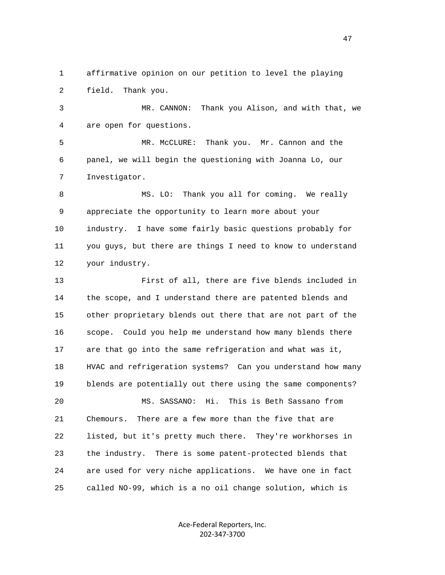1 affirmative opinion on our petition to level the playing 2 field. Thank you.

 3 MR. CANNON: Thank you Alison, and with that, we 4 are open for questions.

 5 MR. McCLURE: Thank you. Mr. Cannon and the 6 panel, we will begin the questioning with Joanna Lo, our 7 Investigator.

 8 MS. LO: Thank you all for coming. We really 9 appreciate the opportunity to learn more about your 10 industry. I have some fairly basic questions probably for 11 you guys, but there are things I need to know to understand 12 your industry.

 13 First of all, there are five blends included in 14 the scope, and I understand there are patented blends and 15 other proprietary blends out there that are not part of the 16 scope. Could you help me understand how many blends there 17 are that go into the same refrigeration and what was it, 18 HVAC and refrigeration systems? Can you understand how many 19 blends are potentially out there using the same components? 20 MS. SASSANO: Hi. This is Beth Sassano from 21 Chemours. There are a few more than the five that are 22 listed, but it's pretty much there. They're workhorses in 23 the industry. There is some patent-protected blends that 24 are used for very niche applications. We have one in fact

> Ace‐Federal Reporters, Inc. 202‐347‐3700

25 called NO-99, which is a no oil change solution, which is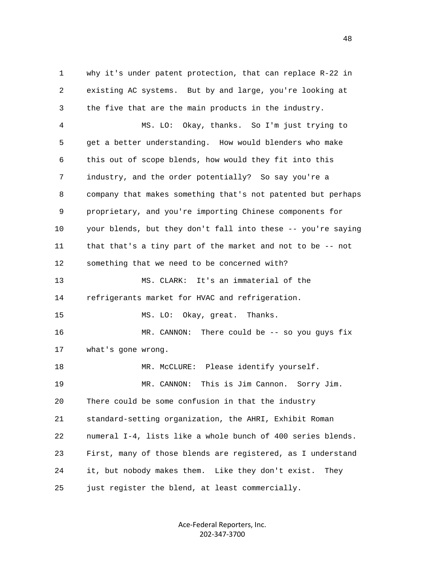1 why it's under patent protection, that can replace R-22 in 2 existing AC systems. But by and large, you're looking at 3 the five that are the main products in the industry. 4 MS. LO: Okay, thanks. So I'm just trying to 5 get a better understanding. How would blenders who make 6 this out of scope blends, how would they fit into this 7 industry, and the order potentially? So say you're a 8 company that makes something that's not patented but perhaps 9 proprietary, and you're importing Chinese components for 10 your blends, but they don't fall into these -- you're saying 11 that that's a tiny part of the market and not to be -- not 12 something that we need to be concerned with? 13 MS. CLARK: It's an immaterial of the 14 refrigerants market for HVAC and refrigeration. 15 MS. LO: Okay, great. Thanks. 16 MR. CANNON: There could be -- so you guys fix 17 what's gone wrong. 18 MR. McCLURE: Please identify yourself. 19 MR. CANNON: This is Jim Cannon. Sorry Jim. 20 There could be some confusion in that the industry 21 standard-setting organization, the AHRI, Exhibit Roman 22 numeral I-4, lists like a whole bunch of 400 series blends. 23 First, many of those blends are registered, as I understand 24 it, but nobody makes them. Like they don't exist. They

> Ace‐Federal Reporters, Inc. 202‐347‐3700

25 just register the blend, at least commercially.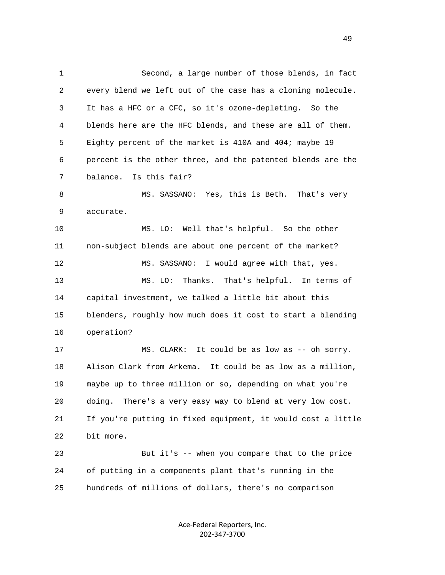1 Second, a large number of those blends, in fact 2 every blend we left out of the case has a cloning molecule. 3 It has a HFC or a CFC, so it's ozone-depleting. So the 4 blends here are the HFC blends, and these are all of them. 5 Eighty percent of the market is 410A and 404; maybe 19 6 percent is the other three, and the patented blends are the 7 balance. Is this fair? 8 MS. SASSANO: Yes, this is Beth. That's very 9 accurate. 10 MS. LO: Well that's helpful. So the other 11 non-subject blends are about one percent of the market? 12 MS. SASSANO: I would agree with that, yes. 13 MS. LO: Thanks. That's helpful. In terms of 14 capital investment, we talked a little bit about this 15 blenders, roughly how much does it cost to start a blending 16 operation? 17 MS. CLARK: It could be as low as -- oh sorry. 18 Alison Clark from Arkema. It could be as low as a million, 19 maybe up to three million or so, depending on what you're 20 doing. There's a very easy way to blend at very low cost. 21 If you're putting in fixed equipment, it would cost a little 22 bit more. 23 But it's -- when you compare that to the price 24 of putting in a components plant that's running in the 25 hundreds of millions of dollars, there's no comparison

> Ace‐Federal Reporters, Inc. 202‐347‐3700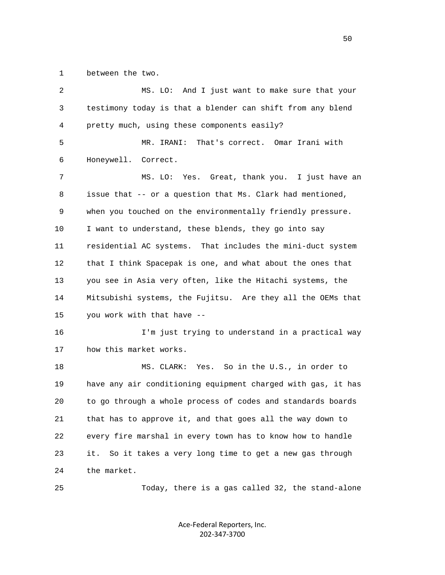1 between the two.

| 2  | MS. LO: And I just want to make sure that your               |
|----|--------------------------------------------------------------|
| 3  | testimony today is that a blender can shift from any blend   |
| 4  | pretty much, using these components easily?                  |
| 5  | MR. IRANI:<br>That's correct. Omar Irani with                |
| 6  | Honeywell.<br>Correct.                                       |
| 7  | MS. LO: Yes. Great, thank you. I just have an                |
| 8  | issue that -- or a question that Ms. Clark had mentioned,    |
| 9  | when you touched on the environmentally friendly pressure.   |
| 10 | I want to understand, these blends, they go into say         |
| 11 | residential AC systems. That includes the mini-duct system   |
| 12 | that I think Spacepak is one, and what about the ones that   |
| 13 | you see in Asia very often, like the Hitachi systems, the    |
| 14 | Mitsubishi systems, the Fujitsu. Are they all the OEMs that  |
| 15 | you work with that have --                                   |
| 16 | I'm just trying to understand in a practical way             |
| 17 | how this market works.                                       |
| 18 | MS. CLARK: Yes. So in the U.S., in order to                  |
| 19 | have any air conditioning equipment charged with gas, it has |
| 20 | to go through a whole process of codes and standards boards  |
| 21 | that has to approve it, and that goes all the way down to    |
| 22 | every fire marshal in every town has to know how to handle   |
| 23 | So it takes a very long time to get a new gas through<br>it. |
| 24 | the market.                                                  |
| 25 | Today, there is a gas called 32, the stand-alone             |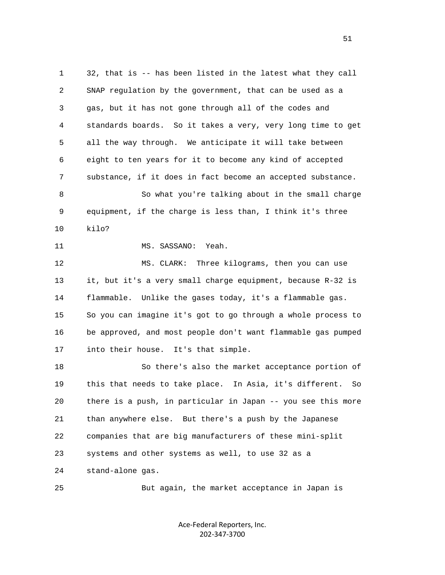1 32, that is -- has been listed in the latest what they call 2 SNAP regulation by the government, that can be used as a 3 gas, but it has not gone through all of the codes and 4 standards boards. So it takes a very, very long time to get 5 all the way through. We anticipate it will take between 6 eight to ten years for it to become any kind of accepted 7 substance, if it does in fact become an accepted substance. 8 So what you're talking about in the small charge 9 equipment, if the charge is less than, I think it's three 10 kilo? 11 MS. SASSANO: Yeah. 12 MS. CLARK: Three kilograms, then you can use 13 it, but it's a very small charge equipment, because R-32 is 14 flammable. Unlike the gases today, it's a flammable gas. 15 So you can imagine it's got to go through a whole process to 16 be approved, and most people don't want flammable gas pumped 17 into their house. It's that simple. 18 So there's also the market acceptance portion of 19 this that needs to take place. In Asia, it's different. So 20 there is a push, in particular in Japan -- you see this more 21 than anywhere else. But there's a push by the Japanese 22 companies that are big manufacturers of these mini-split 23 systems and other systems as well, to use 32 as a 24 stand-alone gas. 25 But again, the market acceptance in Japan is

> Ace‐Federal Reporters, Inc. 202‐347‐3700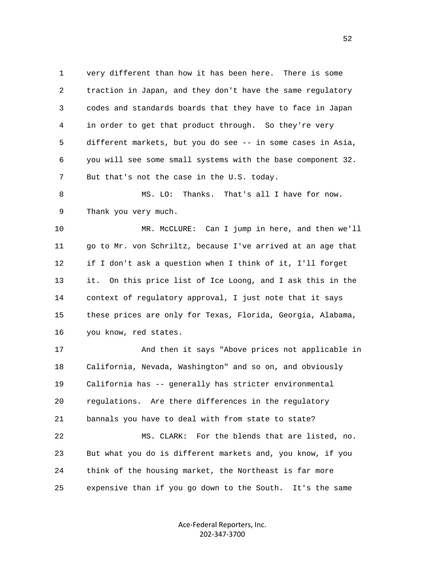1 very different than how it has been here. There is some 2 traction in Japan, and they don't have the same regulatory 3 codes and standards boards that they have to face in Japan 4 in order to get that product through. So they're very 5 different markets, but you do see -- in some cases in Asia, 6 you will see some small systems with the base component 32. 7 But that's not the case in the U.S. today.

8 MS. LO: Thanks. That's all I have for now. 9 Thank you very much.

 10 MR. McCLURE: Can I jump in here, and then we'll 11 go to Mr. von Schriltz, because I've arrived at an age that 12 if I don't ask a question when I think of it, I'll forget 13 it. On this price list of Ice Loong, and I ask this in the 14 context of regulatory approval, I just note that it says 15 these prices are only for Texas, Florida, Georgia, Alabama, 16 you know, red states.

 17 And then it says "Above prices not applicable in 18 California, Nevada, Washington" and so on, and obviously 19 California has -- generally has stricter environmental 20 regulations. Are there differences in the regulatory 21 bannals you have to deal with from state to state? 22 MS. CLARK: For the blends that are listed, no. 23 But what you do is different markets and, you know, if you 24 think of the housing market, the Northeast is far more 25 expensive than if you go down to the South. It's the same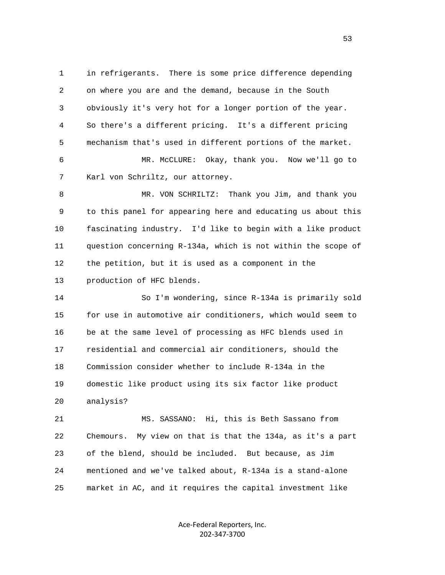1 in refrigerants. There is some price difference depending 2 on where you are and the demand, because in the South 3 obviously it's very hot for a longer portion of the year. 4 So there's a different pricing. It's a different pricing 5 mechanism that's used in different portions of the market.

 6 MR. McCLURE: Okay, thank you. Now we'll go to 7 Karl von Schriltz, our attorney.

 8 MR. VON SCHRILTZ: Thank you Jim, and thank you 9 to this panel for appearing here and educating us about this 10 fascinating industry. I'd like to begin with a like product 11 question concerning R-134a, which is not within the scope of 12 the petition, but it is used as a component in the 13 production of HFC blends.

 14 So I'm wondering, since R-134a is primarily sold 15 for use in automotive air conditioners, which would seem to 16 be at the same level of processing as HFC blends used in 17 residential and commercial air conditioners, should the 18 Commission consider whether to include R-134a in the 19 domestic like product using its six factor like product 20 analysis?

 21 MS. SASSANO: Hi, this is Beth Sassano from 22 Chemours. My view on that is that the 134a, as it's a part 23 of the blend, should be included. But because, as Jim 24 mentioned and we've talked about, R-134a is a stand-alone 25 market in AC, and it requires the capital investment like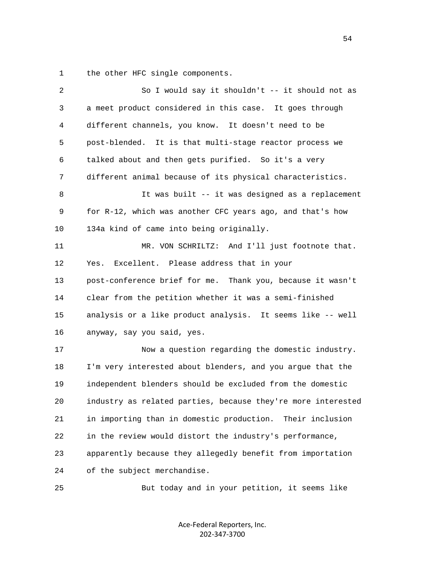1 the other HFC single components.

| 2  | So I would say it shouldn't -- it should not as              |
|----|--------------------------------------------------------------|
| 3  | a meet product considered in this case. It goes through      |
| 4  | different channels, you know. It doesn't need to be          |
| 5  | post-blended. It is that multi-stage reactor process we      |
| 6  | talked about and then gets purified. So it's a very          |
| 7  | different animal because of its physical characteristics.    |
| 8  | It was built -- it was designed as a replacement             |
| 9  | for R-12, which was another CFC years ago, and that's how    |
| 10 | 134a kind of came into being originally.                     |
| 11 | MR. VON SCHRILTZ: And I'll just footnote that.               |
| 12 | Excellent. Please address that in your<br>Yes.               |
| 13 | post-conference brief for me. Thank you, because it wasn't   |
| 14 | clear from the petition whether it was a semi-finished       |
| 15 | analysis or a like product analysis. It seems like -- well   |
| 16 | anyway, say you said, yes.                                   |
| 17 | Now a question regarding the domestic industry.              |
| 18 | I'm very interested about blenders, and you argue that the   |
| 19 | independent blenders should be excluded from the domestic    |
| 20 | industry as related parties, because they're more interested |
| 21 | in importing than in domestic production.<br>Their inclusion |
| 22 | in the review would distort the industry's performance,      |
| 23 | apparently because they allegedly benefit from importation   |
| 24 | of the subject merchandise.                                  |
| 25 | But today and in your petition, it seems like                |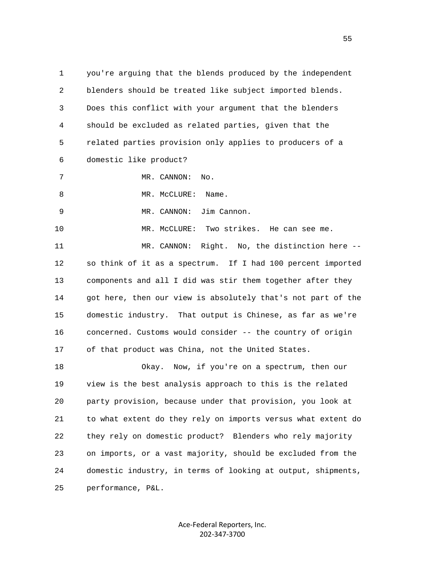1 you're arguing that the blends produced by the independent 2 blenders should be treated like subject imported blends. 3 Does this conflict with your argument that the blenders 4 should be excluded as related parties, given that the 5 related parties provision only applies to producers of a 6 domestic like product? 7 MR. CANNON: No. 8 MR. McCLURE: Name. 9 MR. CANNON: Jim Cannon. 10 MR. McCLURE: Two strikes. He can see me. 11 MR. CANNON: Right. No, the distinction here -- 12 so think of it as a spectrum. If I had 100 percent imported 13 components and all I did was stir them together after they 14 got here, then our view is absolutely that's not part of the 15 domestic industry. That output is Chinese, as far as we're 16 concerned. Customs would consider -- the country of origin 17 of that product was China, not the United States.

 18 Okay. Now, if you're on a spectrum, then our 19 view is the best analysis approach to this is the related 20 party provision, because under that provision, you look at 21 to what extent do they rely on imports versus what extent do 22 they rely on domestic product? Blenders who rely majority 23 on imports, or a vast majority, should be excluded from the 24 domestic industry, in terms of looking at output, shipments, 25 performance, P&L.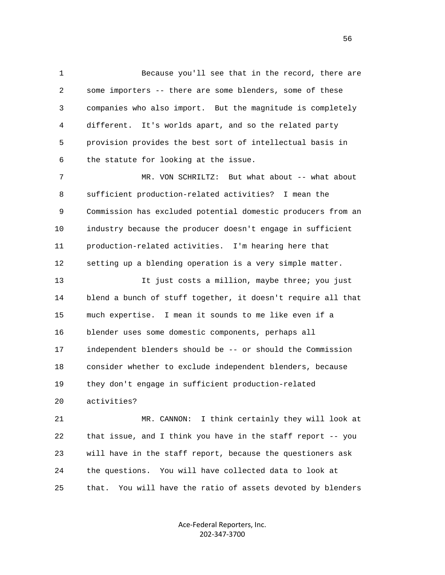1 Because you'll see that in the record, there are 2 some importers -- there are some blenders, some of these 3 companies who also import. But the magnitude is completely 4 different. It's worlds apart, and so the related party 5 provision provides the best sort of intellectual basis in 6 the statute for looking at the issue.

 7 MR. VON SCHRILTZ: But what about -- what about 8 sufficient production-related activities? I mean the 9 Commission has excluded potential domestic producers from an 10 industry because the producer doesn't engage in sufficient 11 production-related activities. I'm hearing here that 12 setting up a blending operation is a very simple matter.

 13 It just costs a million, maybe three; you just 14 blend a bunch of stuff together, it doesn't require all that 15 much expertise. I mean it sounds to me like even if a 16 blender uses some domestic components, perhaps all 17 independent blenders should be -- or should the Commission 18 consider whether to exclude independent blenders, because 19 they don't engage in sufficient production-related 20 activities?

 21 MR. CANNON: I think certainly they will look at 22 that issue, and I think you have in the staff report -- you 23 will have in the staff report, because the questioners ask 24 the questions. You will have collected data to look at 25 that. You will have the ratio of assets devoted by blenders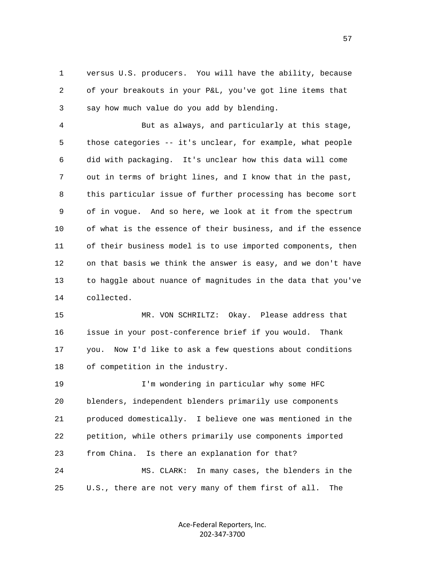1 versus U.S. producers. You will have the ability, because 2 of your breakouts in your P&L, you've got line items that 3 say how much value do you add by blending.

 4 But as always, and particularly at this stage, 5 those categories -- it's unclear, for example, what people 6 did with packaging. It's unclear how this data will come 7 out in terms of bright lines, and I know that in the past, 8 this particular issue of further processing has become sort 9 of in vogue. And so here, we look at it from the spectrum 10 of what is the essence of their business, and if the essence 11 of their business model is to use imported components, then 12 on that basis we think the answer is easy, and we don't have 13 to haggle about nuance of magnitudes in the data that you've 14 collected.

 15 MR. VON SCHRILTZ: Okay. Please address that 16 issue in your post-conference brief if you would. Thank 17 you. Now I'd like to ask a few questions about conditions 18 of competition in the industry.

 19 I'm wondering in particular why some HFC 20 blenders, independent blenders primarily use components 21 produced domestically. I believe one was mentioned in the 22 petition, while others primarily use components imported 23 from China. Is there an explanation for that? 24 MS. CLARK: In many cases, the blenders in the 25 U.S., there are not very many of them first of all. The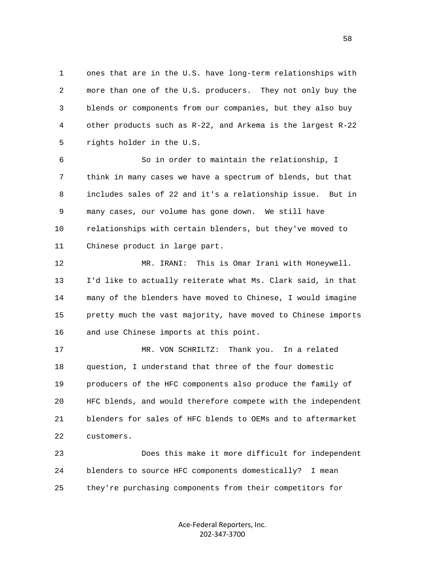1 ones that are in the U.S. have long-term relationships with 2 more than one of the U.S. producers. They not only buy the 3 blends or components from our companies, but they also buy 4 other products such as R-22, and Arkema is the largest R-22 5 rights holder in the U.S.

 6 So in order to maintain the relationship, I 7 think in many cases we have a spectrum of blends, but that 8 includes sales of 22 and it's a relationship issue. But in 9 many cases, our volume has gone down. We still have 10 relationships with certain blenders, but they've moved to 11 Chinese product in large part.

 12 MR. IRANI: This is Omar Irani with Honeywell. 13 I'd like to actually reiterate what Ms. Clark said, in that 14 many of the blenders have moved to Chinese, I would imagine 15 pretty much the vast majority, have moved to Chinese imports 16 and use Chinese imports at this point.

 17 MR. VON SCHRILTZ: Thank you. In a related 18 question, I understand that three of the four domestic 19 producers of the HFC components also produce the family of 20 HFC blends, and would therefore compete with the independent 21 blenders for sales of HFC blends to OEMs and to aftermarket 22 customers.

 23 Does this make it more difficult for independent 24 blenders to source HFC components domestically? I mean 25 they're purchasing components from their competitors for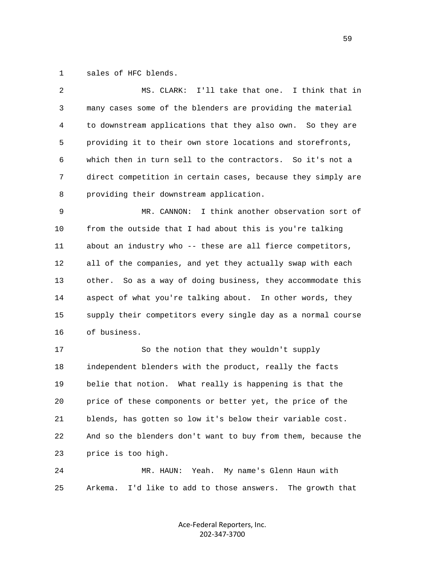1 sales of HFC blends.

| 2  | I'll take that one. I think that in<br>MS. CLARK:            |
|----|--------------------------------------------------------------|
| 3  | many cases some of the blenders are providing the material   |
| 4  | to downstream applications that they also own. So they are   |
| 5  | providing it to their own store locations and storefronts,   |
| 6  | which then in turn sell to the contractors. So it's not a    |
| 7  | direct competition in certain cases, because they simply are |
| 8  | providing their downstream application.                      |
| 9  | I think another observation sort of<br>MR. CANNON:           |
| 10 | from the outside that I had about this is you're talking     |
| 11 | about an industry who -- these are all fierce competitors,   |
| 12 | all of the companies, and yet they actually swap with each   |
| 13 | other. So as a way of doing business, they accommodate this  |
| 14 | aspect of what you're talking about. In other words, they    |
| 15 | supply their competitors every single day as a normal course |
| 16 | of business.                                                 |
| 17 | So the notion that they wouldn't supply                      |
| 18 | independent blenders with the product, really the facts      |
| 19 | belie that notion. What really is happening is that the      |
| 20 | price of these components or better yet, the price of the    |
| 21 | blends, has gotten so low it's below their variable cost.    |
| 22 | And so the blenders don't want to buy from them, because the |
| 23 | price is too high.                                           |
| 24 | Yeah.<br>My name's Glenn Haun with<br>MR. HAUN:              |

25 Arkema. I'd like to add to those answers. The growth that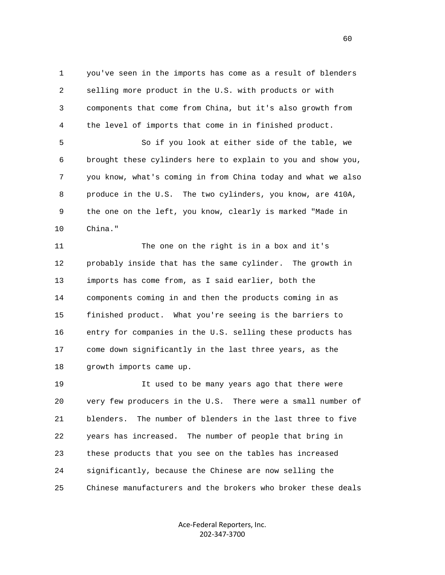1 you've seen in the imports has come as a result of blenders 2 selling more product in the U.S. with products or with 3 components that come from China, but it's also growth from 4 the level of imports that come in in finished product.

 5 So if you look at either side of the table, we 6 brought these cylinders here to explain to you and show you, 7 you know, what's coming in from China today and what we also 8 produce in the U.S. The two cylinders, you know, are 410A, 9 the one on the left, you know, clearly is marked "Made in 10 China."

 11 The one on the right is in a box and it's 12 probably inside that has the same cylinder. The growth in 13 imports has come from, as I said earlier, both the 14 components coming in and then the products coming in as 15 finished product. What you're seeing is the barriers to 16 entry for companies in the U.S. selling these products has 17 come down significantly in the last three years, as the 18 growth imports came up.

 19 It used to be many years ago that there were 20 very few producers in the U.S. There were a small number of 21 blenders. The number of blenders in the last three to five 22 years has increased. The number of people that bring in 23 these products that you see on the tables has increased 24 significantly, because the Chinese are now selling the 25 Chinese manufacturers and the brokers who broker these deals

> Ace‐Federal Reporters, Inc. 202‐347‐3700

 $\sim$  60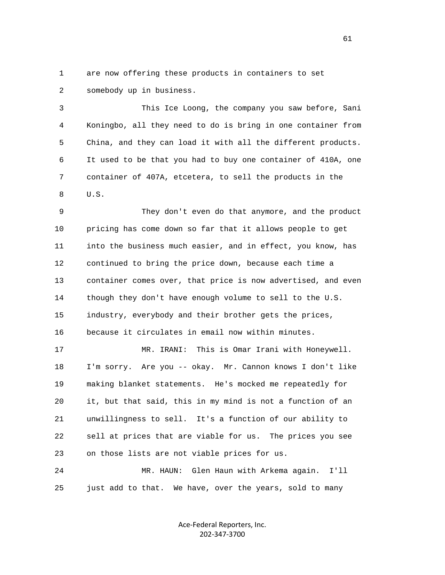1 are now offering these products in containers to set 2 somebody up in business.

 3 This Ice Loong, the company you saw before, Sani 4 Koningbo, all they need to do is bring in one container from 5 China, and they can load it with all the different products. 6 It used to be that you had to buy one container of 410A, one 7 container of 407A, etcetera, to sell the products in the 8 U.S.

 9 They don't even do that anymore, and the product 10 pricing has come down so far that it allows people to get 11 into the business much easier, and in effect, you know, has 12 continued to bring the price down, because each time a 13 container comes over, that price is now advertised, and even 14 though they don't have enough volume to sell to the U.S. 15 industry, everybody and their brother gets the prices, 16 because it circulates in email now within minutes.

 17 MR. IRANI: This is Omar Irani with Honeywell. 18 I'm sorry. Are you -- okay. Mr. Cannon knows I don't like 19 making blanket statements. He's mocked me repeatedly for 20 it, but that said, this in my mind is not a function of an 21 unwillingness to sell. It's a function of our ability to 22 sell at prices that are viable for us. The prices you see 23 on those lists are not viable prices for us.

 24 MR. HAUN: Glen Haun with Arkema again. I'll 25 just add to that. We have, over the years, sold to many

> Ace‐Federal Reporters, Inc. 202‐347‐3700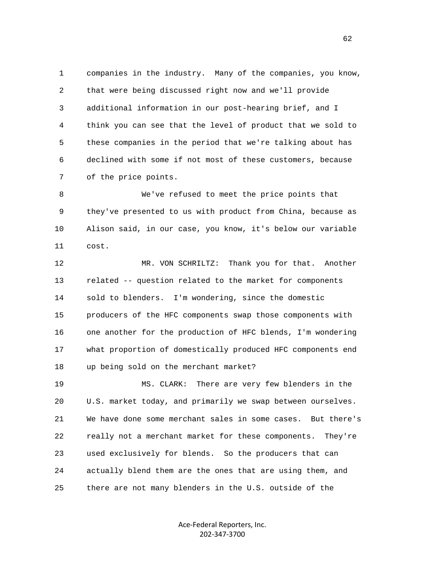1 companies in the industry. Many of the companies, you know, 2 that were being discussed right now and we'll provide 3 additional information in our post-hearing brief, and I 4 think you can see that the level of product that we sold to 5 these companies in the period that we're talking about has 6 declined with some if not most of these customers, because 7 of the price points.

 8 We've refused to meet the price points that 9 they've presented to us with product from China, because as 10 Alison said, in our case, you know, it's below our variable 11 cost.

 12 MR. VON SCHRILTZ: Thank you for that. Another 13 related -- question related to the market for components 14 sold to blenders. I'm wondering, since the domestic 15 producers of the HFC components swap those components with 16 one another for the production of HFC blends, I'm wondering 17 what proportion of domestically produced HFC components end 18 up being sold on the merchant market?

 19 MS. CLARK: There are very few blenders in the 20 U.S. market today, and primarily we swap between ourselves. 21 We have done some merchant sales in some cases. But there's 22 really not a merchant market for these components. They're 23 used exclusively for blends. So the producers that can 24 actually blend them are the ones that are using them, and 25 there are not many blenders in the U.S. outside of the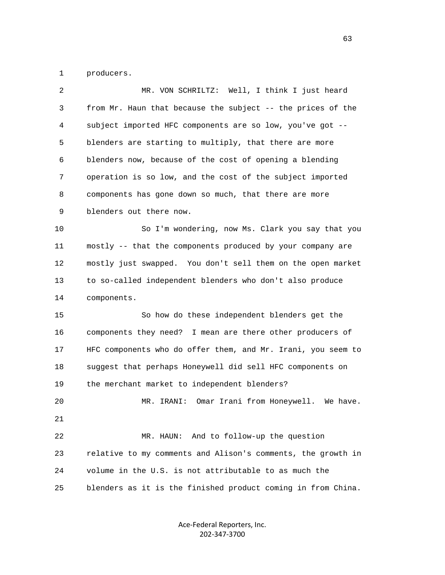1 producers.

| 2  | MR. VON SCHRILTZ: Well, I think I just heard                 |
|----|--------------------------------------------------------------|
| 3  | from Mr. Haun that because the subject -- the prices of the  |
| 4  | subject imported HFC components are so low, you've got --    |
| 5  | blenders are starting to multiply, that there are more       |
| 6  | blenders now, because of the cost of opening a blending      |
| 7  | operation is so low, and the cost of the subject imported    |
| 8  | components has gone down so much, that there are more        |
| 9  | blenders out there now.                                      |
| 10 | So I'm wondering, now Ms. Clark you say that you             |
| 11 | mostly -- that the components produced by your company are   |
| 12 | mostly just swapped. You don't sell them on the open market  |
| 13 | to so-called independent blenders who don't also produce     |
| 14 | components.                                                  |
| 15 | So how do these independent blenders get the                 |
| 16 | components they need? I mean are there other producers of    |
| 17 | HFC components who do offer them, and Mr. Irani, you seem to |
| 18 | suggest that perhaps Honeywell did sell HFC components on    |
| 19 | the merchant market to independent blenders?                 |
| 20 | Omar Irani from Honeywell.<br>MR. IRANI:<br>We have.         |
| 21 |                                                              |
| 22 | And to follow-up the question<br>MR. HAUN:                   |
| 23 | relative to my comments and Alison's comments, the growth in |
| 24 | volume in the U.S. is not attributable to as much the        |
| 25 | blenders as it is the finished product coming in from China. |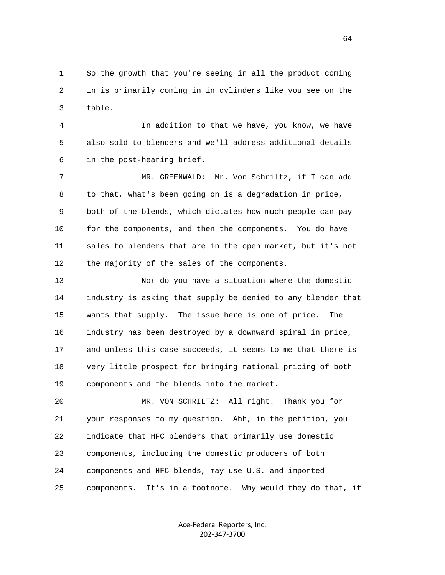1 So the growth that you're seeing in all the product coming 2 in is primarily coming in in cylinders like you see on the 3 table.

 4 In addition to that we have, you know, we have 5 also sold to blenders and we'll address additional details 6 in the post-hearing brief.

 7 MR. GREENWALD: Mr. Von Schriltz, if I can add 8 to that, what's been going on is a degradation in price, 9 both of the blends, which dictates how much people can pay 10 for the components, and then the components. You do have 11 sales to blenders that are in the open market, but it's not 12 the majority of the sales of the components.

 13 Nor do you have a situation where the domestic 14 industry is asking that supply be denied to any blender that 15 wants that supply. The issue here is one of price. The 16 industry has been destroyed by a downward spiral in price, 17 and unless this case succeeds, it seems to me that there is 18 very little prospect for bringing rational pricing of both 19 components and the blends into the market.

 20 MR. VON SCHRILTZ: All right. Thank you for 21 your responses to my question. Ahh, in the petition, you 22 indicate that HFC blenders that primarily use domestic 23 components, including the domestic producers of both 24 components and HFC blends, may use U.S. and imported 25 components. It's in a footnote. Why would they do that, if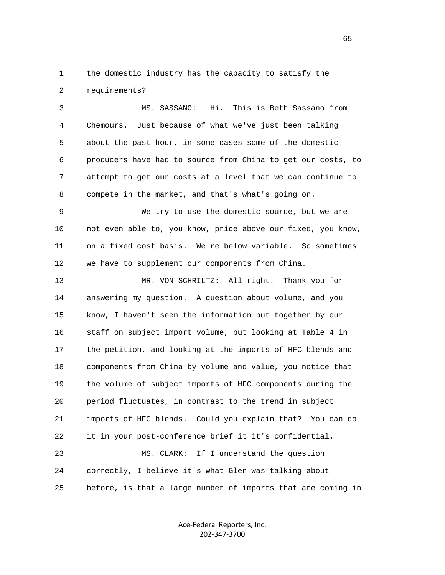1 the domestic industry has the capacity to satisfy the 2 requirements?

 3 MS. SASSANO: Hi. This is Beth Sassano from 4 Chemours. Just because of what we've just been talking 5 about the past hour, in some cases some of the domestic 6 producers have had to source from China to get our costs, to 7 attempt to get our costs at a level that we can continue to 8 compete in the market, and that's what's going on.

 9 We try to use the domestic source, but we are 10 not even able to, you know, price above our fixed, you know, 11 on a fixed cost basis. We're below variable. So sometimes 12 we have to supplement our components from China.

 13 MR. VON SCHRILTZ: All right. Thank you for 14 answering my question. A question about volume, and you 15 know, I haven't seen the information put together by our 16 staff on subject import volume, but looking at Table 4 in 17 the petition, and looking at the imports of HFC blends and 18 components from China by volume and value, you notice that 19 the volume of subject imports of HFC components during the 20 period fluctuates, in contrast to the trend in subject 21 imports of HFC blends. Could you explain that? You can do 22 it in your post-conference brief it it's confidential. 23 MS. CLARK: If I understand the question

 24 correctly, I believe it's what Glen was talking about 25 before, is that a large number of imports that are coming in

> Ace‐Federal Reporters, Inc. 202‐347‐3700

 $\sim$  65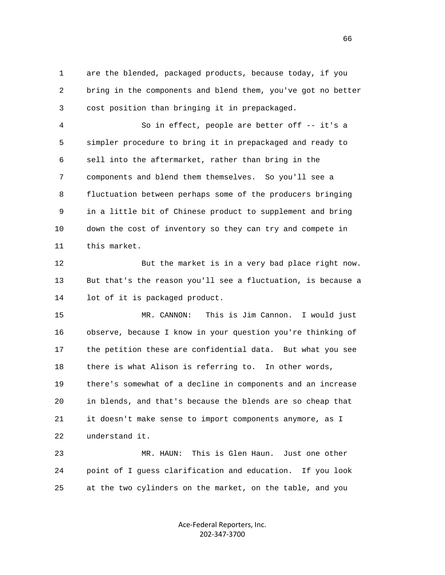1 are the blended, packaged products, because today, if you 2 bring in the components and blend them, you've got no better 3 cost position than bringing it in prepackaged.

 4 So in effect, people are better off -- it's a 5 simpler procedure to bring it in prepackaged and ready to 6 sell into the aftermarket, rather than bring in the 7 components and blend them themselves. So you'll see a 8 fluctuation between perhaps some of the producers bringing 9 in a little bit of Chinese product to supplement and bring 10 down the cost of inventory so they can try and compete in 11 this market.

 12 But the market is in a very bad place right now. 13 But that's the reason you'll see a fluctuation, is because a 14 lot of it is packaged product.

 15 MR. CANNON: This is Jim Cannon. I would just 16 observe, because I know in your question you're thinking of 17 the petition these are confidential data. But what you see 18 there is what Alison is referring to. In other words, 19 there's somewhat of a decline in components and an increase 20 in blends, and that's because the blends are so cheap that 21 it doesn't make sense to import components anymore, as I 22 understand it.

 23 MR. HAUN: This is Glen Haun. Just one other 24 point of I guess clarification and education. If you look 25 at the two cylinders on the market, on the table, and you

> Ace‐Federal Reporters, Inc. 202‐347‐3700

 $\sim$  66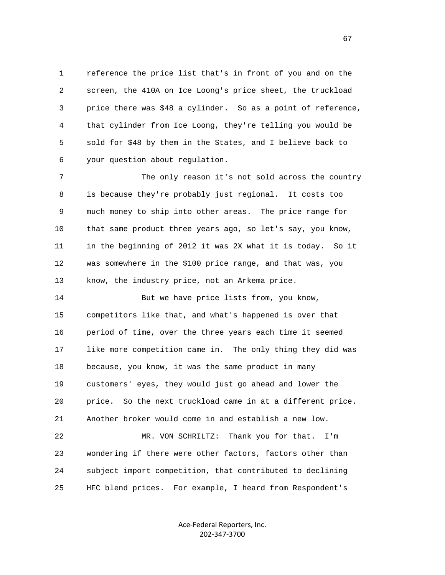1 reference the price list that's in front of you and on the 2 screen, the 410A on Ice Loong's price sheet, the truckload 3 price there was \$48 a cylinder. So as a point of reference, 4 that cylinder from Ice Loong, they're telling you would be 5 sold for \$48 by them in the States, and I believe back to 6 your question about regulation.

 7 The only reason it's not sold across the country 8 is because they're probably just regional. It costs too 9 much money to ship into other areas. The price range for 10 that same product three years ago, so let's say, you know, 11 in the beginning of 2012 it was 2X what it is today. So it 12 was somewhere in the \$100 price range, and that was, you 13 know, the industry price, not an Arkema price.

14 But we have price lists from, you know, 15 competitors like that, and what's happened is over that 16 period of time, over the three years each time it seemed 17 like more competition came in. The only thing they did was 18 because, you know, it was the same product in many 19 customers' eyes, they would just go ahead and lower the 20 price. So the next truckload came in at a different price. 21 Another broker would come in and establish a new low.

 22 MR. VON SCHRILTZ: Thank you for that. I'm 23 wondering if there were other factors, factors other than 24 subject import competition, that contributed to declining 25 HFC blend prices. For example, I heard from Respondent's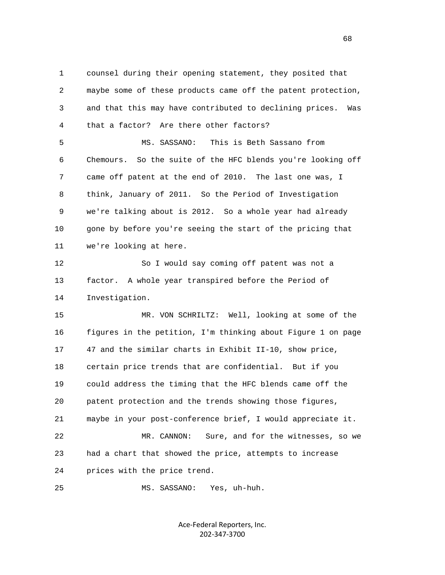1 counsel during their opening statement, they posited that 2 maybe some of these products came off the patent protection, 3 and that this may have contributed to declining prices. Was 4 that a factor? Are there other factors?

 5 MS. SASSANO: This is Beth Sassano from 6 Chemours. So the suite of the HFC blends you're looking off 7 came off patent at the end of 2010. The last one was, I 8 think, January of 2011. So the Period of Investigation 9 we're talking about is 2012. So a whole year had already 10 gone by before you're seeing the start of the pricing that 11 we're looking at here.

 12 So I would say coming off patent was not a 13 factor. A whole year transpired before the Period of 14 Investigation.

 15 MR. VON SCHRILTZ: Well, looking at some of the 16 figures in the petition, I'm thinking about Figure 1 on page 17 47 and the similar charts in Exhibit II-10, show price, 18 certain price trends that are confidential. But if you 19 could address the timing that the HFC blends came off the 20 patent protection and the trends showing those figures, 21 maybe in your post-conference brief, I would appreciate it. 22 MR. CANNON: Sure, and for the witnesses, so we 23 had a chart that showed the price, attempts to increase 24 prices with the price trend.

25 MS. SASSANO: Yes, uh-huh.

Ace‐Federal Reporters, Inc. 202‐347‐3700

 $\sim$  68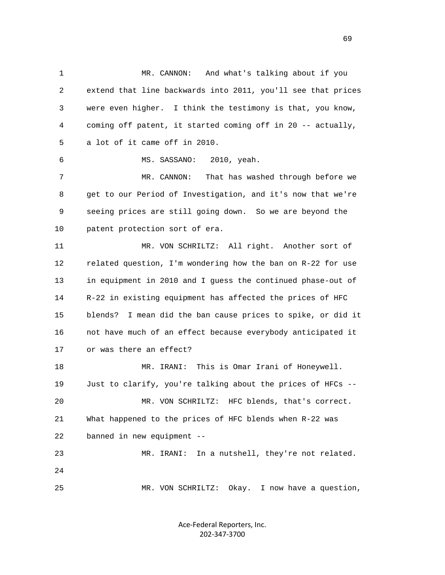1 MR. CANNON: And what's talking about if you 2 extend that line backwards into 2011, you'll see that prices 3 were even higher. I think the testimony is that, you know, 4 coming off patent, it started coming off in 20 -- actually, 5 a lot of it came off in 2010. 6 MS. SASSANO: 2010, yeah. 7 MR. CANNON: That has washed through before we 8 get to our Period of Investigation, and it's now that we're 9 seeing prices are still going down. So we are beyond the 10 patent protection sort of era. 11 MR. VON SCHRILTZ: All right. Another sort of 12 related question, I'm wondering how the ban on R-22 for use 13 in equipment in 2010 and I guess the continued phase-out of 14 R-22 in existing equipment has affected the prices of HFC 15 blends? I mean did the ban cause prices to spike, or did it 16 not have much of an effect because everybody anticipated it 17 or was there an effect? 18 MR. IRANI: This is Omar Irani of Honeywell. 19 Just to clarify, you're talking about the prices of HFCs -- 20 MR. VON SCHRILTZ: HFC blends, that's correct. 21 What happened to the prices of HFC blends when R-22 was 22 banned in new equipment -- 23 MR. IRANI: In a nutshell, they're not related. 24 25 MR. VON SCHRILTZ: Okay. I now have a question,

> Ace‐Federal Reporters, Inc. 202‐347‐3700

 $\sim$  69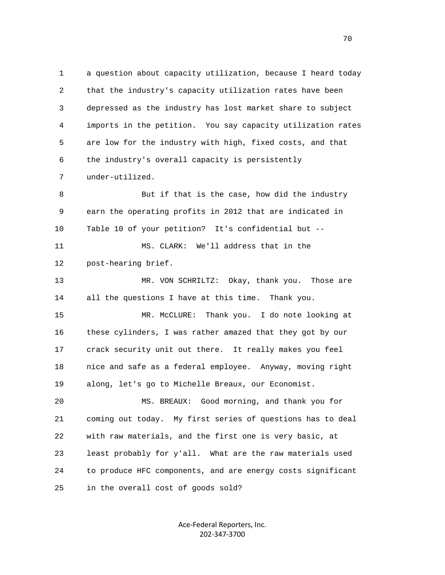1 a question about capacity utilization, because I heard today 2 that the industry's capacity utilization rates have been 3 depressed as the industry has lost market share to subject 4 imports in the petition. You say capacity utilization rates 5 are low for the industry with high, fixed costs, and that 6 the industry's overall capacity is persistently 7 under-utilized.

 8 But if that is the case, how did the industry 9 earn the operating profits in 2012 that are indicated in 10 Table 10 of your petition? It's confidential but --

 11 MS. CLARK: We'll address that in the 12 post-hearing brief.

 13 MR. VON SCHRILTZ: Okay, thank you. Those are 14 all the questions I have at this time. Thank you.

 15 MR. McCLURE: Thank you. I do note looking at 16 these cylinders, I was rather amazed that they got by our 17 crack security unit out there. It really makes you feel 18 nice and safe as a federal employee. Anyway, moving right 19 along, let's go to Michelle Breaux, our Economist.

 20 MS. BREAUX: Good morning, and thank you for 21 coming out today. My first series of questions has to deal 22 with raw materials, and the first one is very basic, at 23 least probably for y'all. What are the raw materials used 24 to produce HFC components, and are energy costs significant 25 in the overall cost of goods sold?

> Ace‐Federal Reporters, Inc. 202‐347‐3700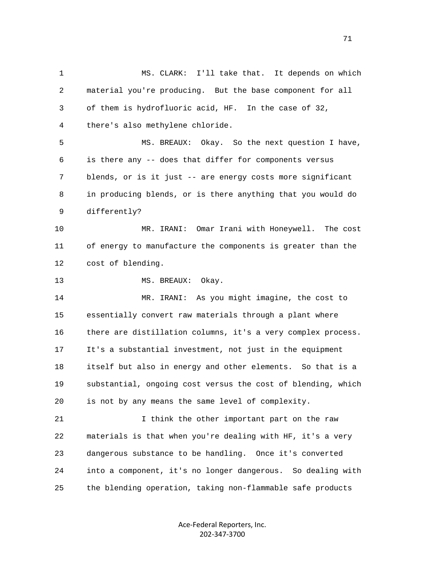1 MS. CLARK: I'll take that. It depends on which 2 material you're producing. But the base component for all 3 of them is hydrofluoric acid, HF. In the case of 32, 4 there's also methylene chloride. 5 MS. BREAUX: Okay. So the next question I have, 6 is there any -- does that differ for components versus 7 blends, or is it just -- are energy costs more significant 8 in producing blends, or is there anything that you would do 9 differently? 10 MR. IRANI: Omar Irani with Honeywell. The cost 11 of energy to manufacture the components is greater than the 12 cost of blending. 13 MS. BREAUX: Okay. 14 MR. IRANI: As you might imagine, the cost to 15 essentially convert raw materials through a plant where 16 there are distillation columns, it's a very complex process. 17 It's a substantial investment, not just in the equipment 18 itself but also in energy and other elements. So that is a 19 substantial, ongoing cost versus the cost of blending, which 20 is not by any means the same level of complexity. 21 I think the other important part on the raw 22 materials is that when you're dealing with HF, it's a very 23 dangerous substance to be handling. Once it's converted 24 into a component, it's no longer dangerous. So dealing with 25 the blending operation, taking non-flammable safe products

> Ace‐Federal Reporters, Inc. 202‐347‐3700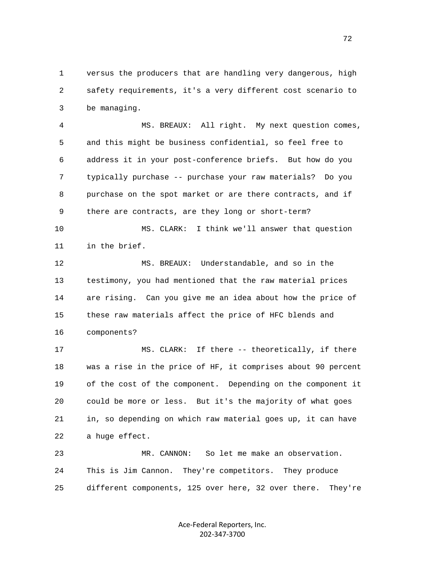1 versus the producers that are handling very dangerous, high 2 safety requirements, it's a very different cost scenario to 3 be managing.

 4 MS. BREAUX: All right. My next question comes, 5 and this might be business confidential, so feel free to 6 address it in your post-conference briefs. But how do you 7 typically purchase -- purchase your raw materials? Do you 8 purchase on the spot market or are there contracts, and if 9 there are contracts, are they long or short-term?

 10 MS. CLARK: I think we'll answer that question 11 in the brief.

 12 MS. BREAUX: Understandable, and so in the 13 testimony, you had mentioned that the raw material prices 14 are rising. Can you give me an idea about how the price of 15 these raw materials affect the price of HFC blends and 16 components?

 17 MS. CLARK: If there -- theoretically, if there 18 was a rise in the price of HF, it comprises about 90 percent 19 of the cost of the component. Depending on the component it 20 could be more or less. But it's the majority of what goes 21 in, so depending on which raw material goes up, it can have 22 a huge effect.

 23 MR. CANNON: So let me make an observation. 24 This is Jim Cannon. They're competitors. They produce 25 different components, 125 over here, 32 over there. They're

> Ace‐Federal Reporters, Inc. 202‐347‐3700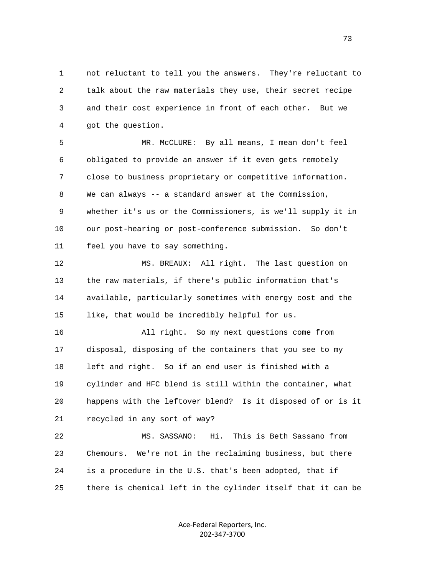1 not reluctant to tell you the answers. They're reluctant to 2 talk about the raw materials they use, their secret recipe 3 and their cost experience in front of each other. But we 4 got the question.

 5 MR. McCLURE: By all means, I mean don't feel 6 obligated to provide an answer if it even gets remotely 7 close to business proprietary or competitive information. 8 We can always -- a standard answer at the Commission, 9 whether it's us or the Commissioners, is we'll supply it in 10 our post-hearing or post-conference submission. So don't 11 feel you have to say something.

 12 MS. BREAUX: All right. The last question on 13 the raw materials, if there's public information that's 14 available, particularly sometimes with energy cost and the 15 like, that would be incredibly helpful for us.

 16 All right. So my next questions come from 17 disposal, disposing of the containers that you see to my 18 left and right. So if an end user is finished with a 19 cylinder and HFC blend is still within the container, what 20 happens with the leftover blend? Is it disposed of or is it 21 recycled in any sort of way?

 22 MS. SASSANO: Hi. This is Beth Sassano from 23 Chemours. We're not in the reclaiming business, but there 24 is a procedure in the U.S. that's been adopted, that if 25 there is chemical left in the cylinder itself that it can be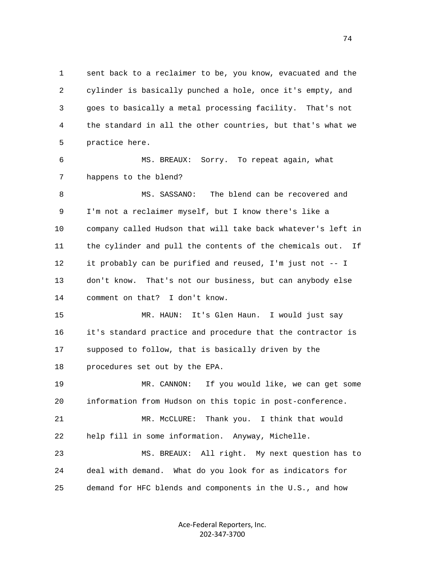1 sent back to a reclaimer to be, you know, evacuated and the 2 cylinder is basically punched a hole, once it's empty, and 3 goes to basically a metal processing facility. That's not 4 the standard in all the other countries, but that's what we 5 practice here. 6 MS. BREAUX: Sorry. To repeat again, what 7 happens to the blend? 8 MS. SASSANO: The blend can be recovered and 9 I'm not a reclaimer myself, but I know there's like a 10 company called Hudson that will take back whatever's left in 11 the cylinder and pull the contents of the chemicals out. If 12 it probably can be purified and reused, I'm just not -- I 13 don't know. That's not our business, but can anybody else 14 comment on that? I don't know. 15 MR. HAUN: It's Glen Haun. I would just say 16 it's standard practice and procedure that the contractor is 17 supposed to follow, that is basically driven by the 18 procedures set out by the EPA. 19 MR. CANNON: If you would like, we can get some 20 information from Hudson on this topic in post-conference. 21 MR. McCLURE: Thank you. I think that would 22 help fill in some information. Anyway, Michelle. 23 MS. BREAUX: All right. My next question has to 24 deal with demand. What do you look for as indicators for 25 demand for HFC blends and components in the U.S., and how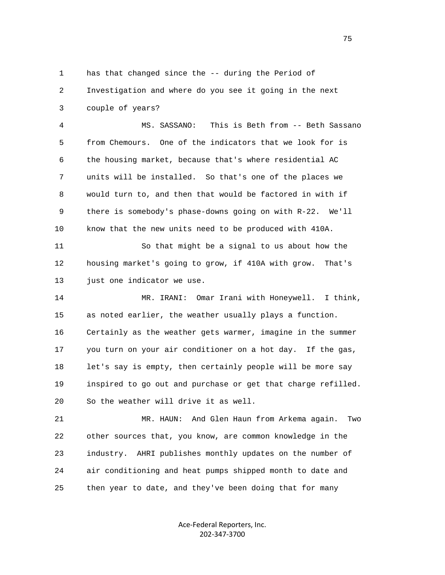1 has that changed since the -- during the Period of 2 Investigation and where do you see it going in the next 3 couple of years?

 4 MS. SASSANO: This is Beth from -- Beth Sassano 5 from Chemours. One of the indicators that we look for is 6 the housing market, because that's where residential AC 7 units will be installed. So that's one of the places we 8 would turn to, and then that would be factored in with if 9 there is somebody's phase-downs going on with R-22. We'll 10 know that the new units need to be produced with 410A.

 11 So that might be a signal to us about how the 12 housing market's going to grow, if 410A with grow. That's 13 just one indicator we use.

 14 MR. IRANI: Omar Irani with Honeywell. I think, 15 as noted earlier, the weather usually plays a function. 16 Certainly as the weather gets warmer, imagine in the summer 17 you turn on your air conditioner on a hot day. If the gas, 18 let's say is empty, then certainly people will be more say 19 inspired to go out and purchase or get that charge refilled. 20 So the weather will drive it as well.

 21 MR. HAUN: And Glen Haun from Arkema again. Two 22 other sources that, you know, are common knowledge in the 23 industry. AHRI publishes monthly updates on the number of 24 air conditioning and heat pumps shipped month to date and 25 then year to date, and they've been doing that for many

> Ace‐Federal Reporters, Inc. 202‐347‐3700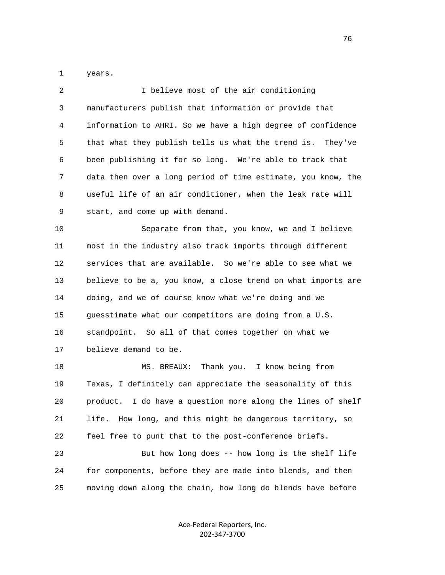1 years.

| 2  | I believe most of the air conditioning                         |
|----|----------------------------------------------------------------|
| 3  | manufacturers publish that information or provide that         |
| 4  | information to AHRI. So we have a high degree of confidence    |
| 5  | that what they publish tells us what the trend is. They've     |
| 6  | been publishing it for so long. We're able to track that       |
| 7  | data then over a long period of time estimate, you know, the   |
| 8  | useful life of an air conditioner, when the leak rate will     |
| 9  | start, and come up with demand.                                |
| 10 | Separate from that, you know, we and I believe                 |
| 11 | most in the industry also track imports through different      |
| 12 | services that are available. So we're able to see what we      |
| 13 | believe to be a, you know, a close trend on what imports are   |
| 14 | doing, and we of course know what we're doing and we           |
| 15 | guesstimate what our competitors are doing from a U.S.         |
| 16 | standpoint. So all of that comes together on what we           |
| 17 | believe demand to be.                                          |
| 18 | MS. BREAUX:<br>Thank you. I know being from                    |
| 19 | Texas, I definitely can appreciate the seasonality of this     |
| 20 | I do have a question more along the lines of shelf<br>product. |
| 21 | How long, and this might be dangerous territory, so<br>life.   |
| 22 | feel free to punt that to the post-conference briefs.          |
| 23 | But how long does -- how long is the shelf life                |
| 24 | for components, before they are made into blends, and then     |
| 25 | moving down along the chain, how long do blends have before    |

Ace‐Federal Reporters, Inc. 202‐347‐3700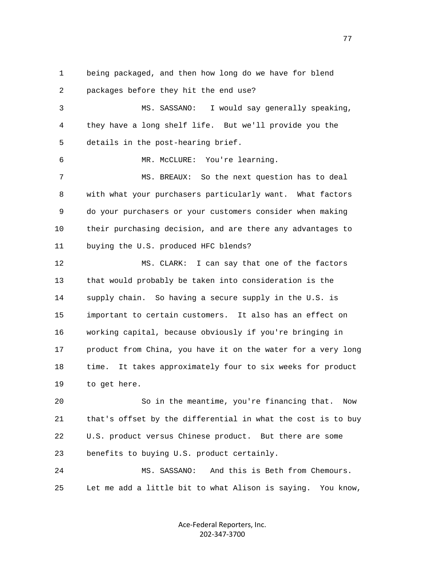1 being packaged, and then how long do we have for blend 2 packages before they hit the end use? 3 MS. SASSANO: I would say generally speaking, 4 they have a long shelf life. But we'll provide you the 5 details in the post-hearing brief. 6 MR. McCLURE: You're learning. 7 MS. BREAUX: So the next question has to deal 8 with what your purchasers particularly want. What factors 9 do your purchasers or your customers consider when making 10 their purchasing decision, and are there any advantages to 11 buying the U.S. produced HFC blends? 12 MS. CLARK: I can say that one of the factors 13 that would probably be taken into consideration is the 14 supply chain. So having a secure supply in the U.S. is 15 important to certain customers. It also has an effect on 16 working capital, because obviously if you're bringing in 17 product from China, you have it on the water for a very long 18 time. It takes approximately four to six weeks for product 19 to get here.

 20 So in the meantime, you're financing that. Now 21 that's offset by the differential in what the cost is to buy 22 U.S. product versus Chinese product. But there are some 23 benefits to buying U.S. product certainly.

 24 MS. SASSANO: And this is Beth from Chemours. 25 Let me add a little bit to what Alison is saying. You know,

> Ace‐Federal Reporters, Inc. 202‐347‐3700

na na matsay na matsay na matsay na matsay na matsay na matsay na matsay na matsay na matsay na matsay na mats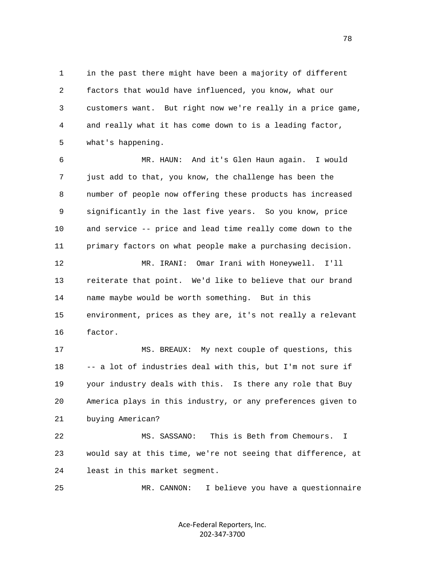1 in the past there might have been a majority of different 2 factors that would have influenced, you know, what our 3 customers want. But right now we're really in a price game, 4 and really what it has come down to is a leading factor, 5 what's happening.

 6 MR. HAUN: And it's Glen Haun again. I would 7 just add to that, you know, the challenge has been the 8 number of people now offering these products has increased 9 significantly in the last five years. So you know, price 10 and service -- price and lead time really come down to the 11 primary factors on what people make a purchasing decision.

 12 MR. IRANI: Omar Irani with Honeywell. I'll 13 reiterate that point. We'd like to believe that our brand 14 name maybe would be worth something. But in this 15 environment, prices as they are, it's not really a relevant 16 factor.

 17 MS. BREAUX: My next couple of questions, this 18 -- a lot of industries deal with this, but I'm not sure if 19 your industry deals with this. Is there any role that Buy 20 America plays in this industry, or any preferences given to 21 buying American?

 22 MS. SASSANO: This is Beth from Chemours. I 23 would say at this time, we're not seeing that difference, at 24 least in this market segment.

25 MR. CANNON: I believe you have a questionnaire

Ace‐Federal Reporters, Inc. 202‐347‐3700

n and the state of the state of the state of the state of the state of the state of the state of the state of the state of the state of the state of the state of the state of the state of the state of the state of the stat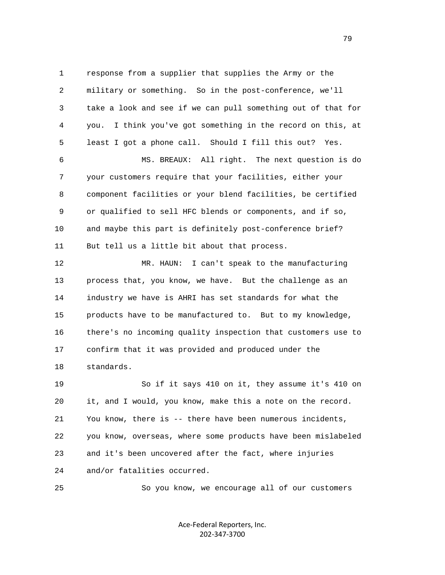1 response from a supplier that supplies the Army or the 2 military or something. So in the post-conference, we'll 3 take a look and see if we can pull something out of that for 4 you. I think you've got something in the record on this, at 5 least I got a phone call. Should I fill this out? Yes. 6 MS. BREAUX: All right. The next question is do 7 your customers require that your facilities, either your 8 component facilities or your blend facilities, be certified 9 or qualified to sell HFC blends or components, and if so, 10 and maybe this part is definitely post-conference brief? 11 But tell us a little bit about that process. 12 MR. HAUN: I can't speak to the manufacturing 13 process that, you know, we have. But the challenge as an 14 industry we have is AHRI has set standards for what the 15 products have to be manufactured to. But to my knowledge, 16 there's no incoming quality inspection that customers use to 17 confirm that it was provided and produced under the 18 standards.

 19 So if it says 410 on it, they assume it's 410 on 20 it, and I would, you know, make this a note on the record. 21 You know, there is -- there have been numerous incidents, 22 you know, overseas, where some products have been mislabeled 23 and it's been uncovered after the fact, where injuries 24 and/or fatalities occurred.

25 So you know, we encourage all of our customers

Ace‐Federal Reporters, Inc. 202‐347‐3700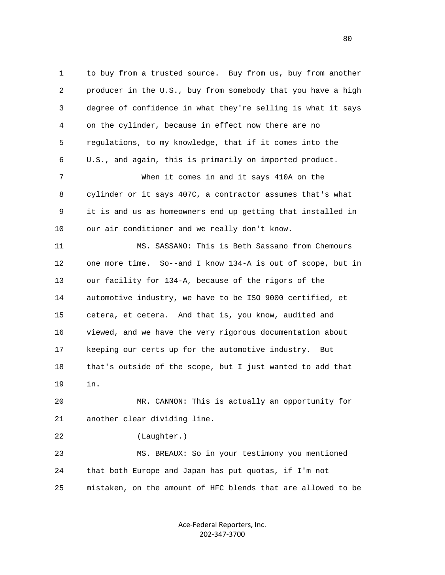1 to buy from a trusted source. Buy from us, buy from another 2 producer in the U.S., buy from somebody that you have a high 3 degree of confidence in what they're selling is what it says 4 on the cylinder, because in effect now there are no 5 regulations, to my knowledge, that if it comes into the 6 U.S., and again, this is primarily on imported product. 7 When it comes in and it says 410A on the 8 cylinder or it says 407C, a contractor assumes that's what 9 it is and us as homeowners end up getting that installed in 10 our air conditioner and we really don't know. 11 MS. SASSANO: This is Beth Sassano from Chemours 12 one more time. So--and I know 134-A is out of scope, but in 13 our facility for 134-A, because of the rigors of the 14 automotive industry, we have to be ISO 9000 certified, et 15 cetera, et cetera. And that is, you know, audited and 16 viewed, and we have the very rigorous documentation about 17 keeping our certs up for the automotive industry. But 18 that's outside of the scope, but I just wanted to add that 19 in. 20 MR. CANNON: This is actually an opportunity for 21 another clear dividing line. 22 (Laughter.) 23 MS. BREAUX: So in your testimony you mentioned 24 that both Europe and Japan has put quotas, if I'm not 25 mistaken, on the amount of HFC blends that are allowed to be

> Ace‐Federal Reporters, Inc. 202‐347‐3700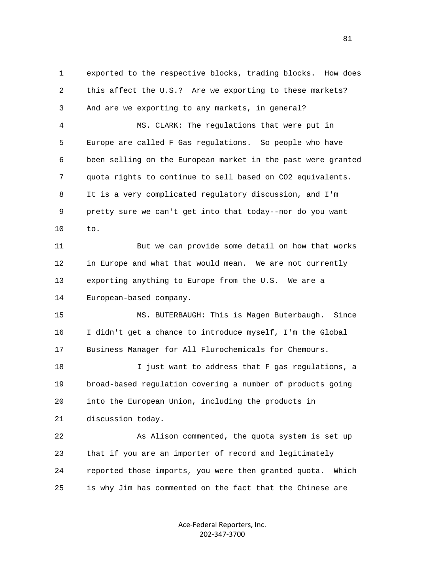1 exported to the respective blocks, trading blocks. How does 2 this affect the U.S.? Are we exporting to these markets? 3 And are we exporting to any markets, in general? 4 MS. CLARK: The regulations that were put in 5 Europe are called F Gas regulations. So people who have 6 been selling on the European market in the past were granted 7 quota rights to continue to sell based on CO2 equivalents. 8 It is a very complicated regulatory discussion, and I'm 9 pretty sure we can't get into that today--nor do you want 10 to. 11 But we can provide some detail on how that works 12 in Europe and what that would mean. We are not currently 13 exporting anything to Europe from the U.S. We are a 14 European-based company. 15 MS. BUTERBAUGH: This is Magen Buterbaugh. Since 16 I didn't get a chance to introduce myself, I'm the Global 17 Business Manager for All Flurochemicals for Chemours. 18 I just want to address that F gas regulations, a 19 broad-based regulation covering a number of products going 20 into the European Union, including the products in 21 discussion today. 22 As Alison commented, the quota system is set up 23 that if you are an importer of record and legitimately 24 reported those imports, you were then granted quota. Which 25 is why Jim has commented on the fact that the Chinese are

> Ace‐Federal Reporters, Inc. 202‐347‐3700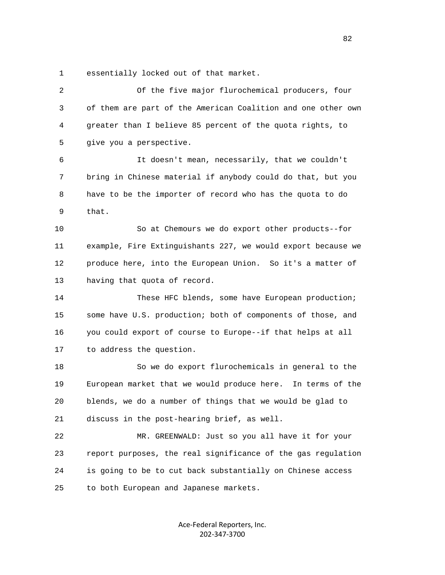1 essentially locked out of that market.

| $\overline{2}$ | Of the five major flurochemical producers, four                |
|----------------|----------------------------------------------------------------|
| 3              | of them are part of the American Coalition and one other own   |
| 4              | greater than I believe 85 percent of the quota rights, to      |
| 5              | give you a perspective.                                        |
| 6              | It doesn't mean, necessarily, that we couldn't                 |
| 7              | bring in Chinese material if anybody could do that, but you    |
| 8              | have to be the importer of record who has the quota to do      |
| 9              | that.                                                          |
| 10             | So at Chemours we do export other products--for                |
| 11             | example, Fire Extinguishants 227, we would export because we   |
| 12             | produce here, into the European Union. So it's a matter of     |
| 13             | having that quota of record.                                   |
| 14             | These HFC blends, some have European production;               |
| 15             | some have U.S. production; both of components of those, and    |
| 16             | you could export of course to Europe--if that helps at all     |
| 17             | to address the question.                                       |
| 18             | So we do export flurochemicals in general to the               |
| 19             | European market that we would produce here.<br>In terms of the |
| 20             | blends, we do a number of things that we would be glad to      |
| 21             | discuss in the post-hearing brief, as well.                    |
| 22             | MR. GREENWALD: Just so you all have it for your                |
| 23             | report purposes, the real significance of the gas regulation   |
| 24             | is going to be to cut back substantially on Chinese access     |
| 25             | to both European and Japanese markets.                         |
|                |                                                                |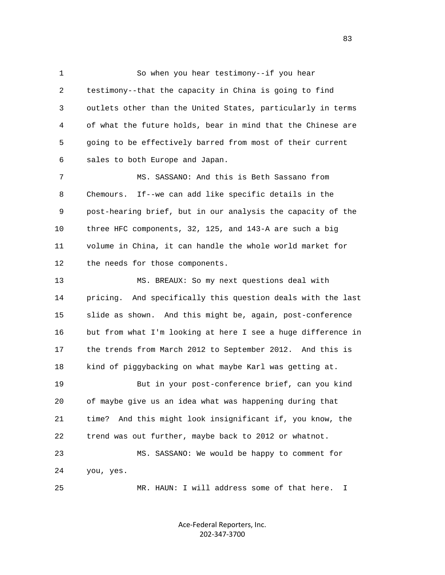1 So when you hear testimony--if you hear 2 testimony--that the capacity in China is going to find 3 outlets other than the United States, particularly in terms 4 of what the future holds, bear in mind that the Chinese are 5 going to be effectively barred from most of their current 6 sales to both Europe and Japan.

 7 MS. SASSANO: And this is Beth Sassano from 8 Chemours. If--we can add like specific details in the 9 post-hearing brief, but in our analysis the capacity of the 10 three HFC components, 32, 125, and 143-A are such a big 11 volume in China, it can handle the whole world market for 12 the needs for those components.

 13 MS. BREAUX: So my next questions deal with 14 pricing. And specifically this question deals with the last 15 slide as shown. And this might be, again, post-conference 16 but from what I'm looking at here I see a huge difference in 17 the trends from March 2012 to September 2012. And this is 18 kind of piggybacking on what maybe Karl was getting at. 19 But in your post-conference brief, can you kind 20 of maybe give us an idea what was happening during that

 21 time? And this might look insignificant if, you know, the 22 trend was out further, maybe back to 2012 or whatnot.

 23 MS. SASSANO: We would be happy to comment for 24 you, yes.

25 MR. HAUN: I will address some of that here. I

Ace‐Federal Reporters, Inc. 202‐347‐3700

<u>83</u>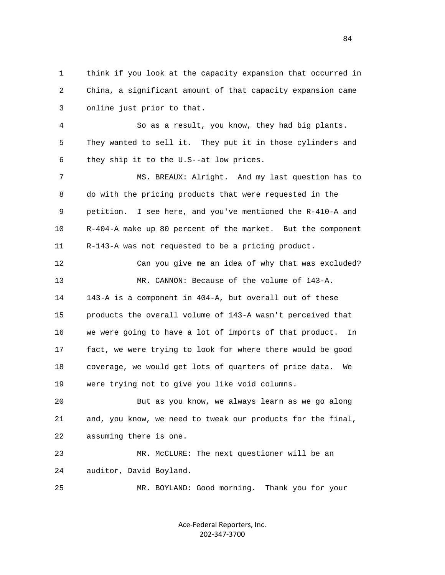1 think if you look at the capacity expansion that occurred in 2 China, a significant amount of that capacity expansion came 3 online just prior to that.

 4 So as a result, you know, they had big plants. 5 They wanted to sell it. They put it in those cylinders and 6 they ship it to the U.S--at low prices.

 7 MS. BREAUX: Alright. And my last question has to 8 do with the pricing products that were requested in the 9 petition. I see here, and you've mentioned the R-410-A and 10 R-404-A make up 80 percent of the market. But the component 11 R-143-A was not requested to be a pricing product.

 12 Can you give me an idea of why that was excluded? 13 MR. CANNON: Because of the volume of 143-A. 14 143-A is a component in 404-A, but overall out of these 15 products the overall volume of 143-A wasn't perceived that 16 we were going to have a lot of imports of that product. In 17 fact, we were trying to look for where there would be good 18 coverage, we would get lots of quarters of price data. We 19 were trying not to give you like void columns.

 20 But as you know, we always learn as we go along 21 and, you know, we need to tweak our products for the final, 22 assuming there is one.

 23 MR. McCLURE: The next questioner will be an 24 auditor, David Boyland.

25 MR. BOYLAND: Good morning. Thank you for your

Ace‐Federal Reporters, Inc. 202‐347‐3700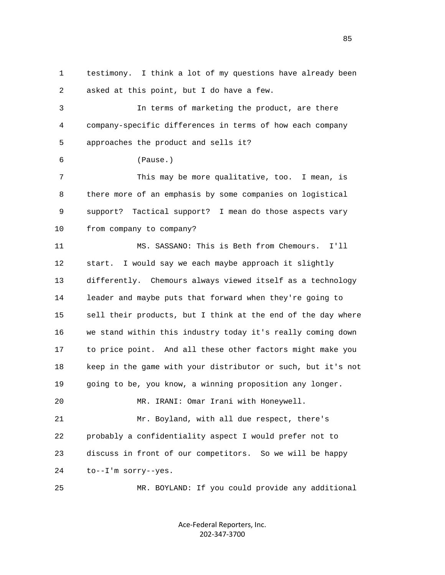1 testimony. I think a lot of my questions have already been 2 asked at this point, but I do have a few. 3 In terms of marketing the product, are there 4 company-specific differences in terms of how each company 5 approaches the product and sells it? 6 (Pause.) 7 This may be more qualitative, too. I mean, is 8 there more of an emphasis by some companies on logistical 9 support? Tactical support? I mean do those aspects vary 10 from company to company? 11 MS. SASSANO: This is Beth from Chemours. I'll 12 start. I would say we each maybe approach it slightly 13 differently. Chemours always viewed itself as a technology 14 leader and maybe puts that forward when they're going to 15 sell their products, but I think at the end of the day where 16 we stand within this industry today it's really coming down 17 to price point. And all these other factors might make you 18 keep in the game with your distributor or such, but it's not 19 going to be, you know, a winning proposition any longer. 20 MR. IRANI: Omar Irani with Honeywell. 21 Mr. Boyland, with all due respect, there's 22 probably a confidentiality aspect I would prefer not to 23 discuss in front of our competitors. So we will be happy 24 to--I'm sorry--yes. 25 MR. BOYLAND: If you could provide any additional

> Ace‐Federal Reporters, Inc. 202‐347‐3700

<u>85</u>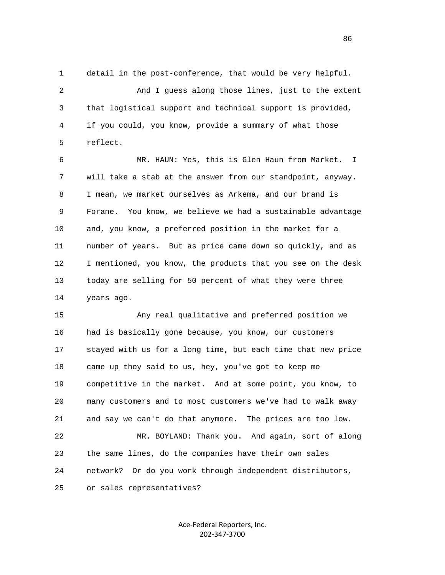1 detail in the post-conference, that would be very helpful. 2 And I guess along those lines, just to the extent 3 that logistical support and technical support is provided, 4 if you could, you know, provide a summary of what those 5 reflect.

 6 MR. HAUN: Yes, this is Glen Haun from Market. I 7 will take a stab at the answer from our standpoint, anyway. 8 I mean, we market ourselves as Arkema, and our brand is 9 Forane. You know, we believe we had a sustainable advantage 10 and, you know, a preferred position in the market for a 11 number of years. But as price came down so quickly, and as 12 I mentioned, you know, the products that you see on the desk 13 today are selling for 50 percent of what they were three 14 years ago.

 15 Any real qualitative and preferred position we 16 had is basically gone because, you know, our customers 17 stayed with us for a long time, but each time that new price 18 came up they said to us, hey, you've got to keep me 19 competitive in the market. And at some point, you know, to 20 many customers and to most customers we've had to walk away 21 and say we can't do that anymore. The prices are too low. 22 MR. BOYLAND: Thank you. And again, sort of along 23 the same lines, do the companies have their own sales 24 network? Or do you work through independent distributors, 25 or sales representatives?

> Ace‐Federal Reporters, Inc. 202‐347‐3700

<u>86 and 2001 and 2002 and 2003 and 2003 and 2003 and 2003 and 2003 and 2003 and 2003 and 2003 and 2003 and 200</u>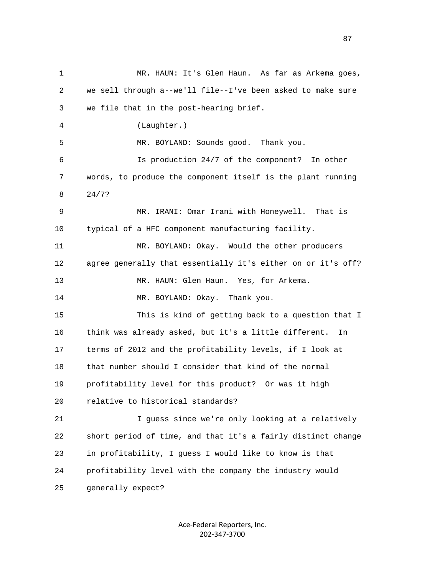1 MR. HAUN: It's Glen Haun. As far as Arkema goes, 2 we sell through a--we'll file--I've been asked to make sure 3 we file that in the post-hearing brief. 4 (Laughter.) 5 MR. BOYLAND: Sounds good. Thank you. 6 Is production 24/7 of the component? In other 7 words, to produce the component itself is the plant running 8 24/7? 9 MR. IRANI: Omar Irani with Honeywell. That is 10 typical of a HFC component manufacturing facility. 11 MR. BOYLAND: Okay. Would the other producers 12 agree generally that essentially it's either on or it's off? 13 MR. HAUN: Glen Haun. Yes, for Arkema. 14 MR. BOYLAND: Okay. Thank you. 15 This is kind of getting back to a question that I 16 think was already asked, but it's a little different. In 17 terms of 2012 and the profitability levels, if I look at 18 that number should I consider that kind of the normal 19 profitability level for this product? Or was it high 20 relative to historical standards? 21 I guess since we're only looking at a relatively 22 short period of time, and that it's a fairly distinct change 23 in profitability, I guess I would like to know is that 24 profitability level with the company the industry would 25 generally expect?

> Ace‐Federal Reporters, Inc. 202‐347‐3700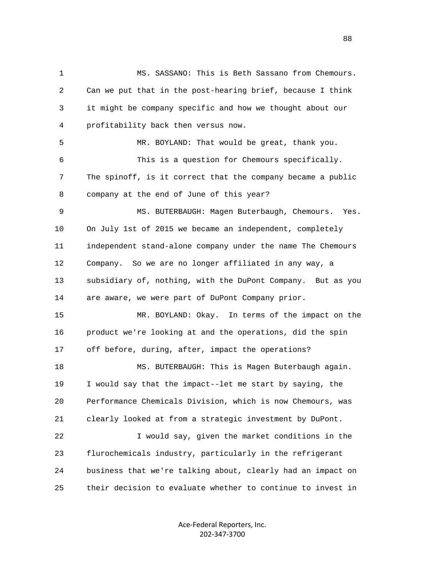1 MS. SASSANO: This is Beth Sassano from Chemours. 2 Can we put that in the post-hearing brief, because I think 3 it might be company specific and how we thought about our 4 profitability back then versus now. 5 MR. BOYLAND: That would be great, thank you. 6 This is a question for Chemours specifically. 7 The spinoff, is it correct that the company became a public 8 company at the end of June of this year? 9 MS. BUTERBAUGH: Magen Buterbaugh, Chemours. Yes. 10 On July 1st of 2015 we became an independent, completely 11 independent stand-alone company under the name The Chemours 12 Company. So we are no longer affiliated in any way, a 13 subsidiary of, nothing, with the DuPont Company. But as you 14 are aware, we were part of DuPont Company prior. 15 MR. BOYLAND: Okay. In terms of the impact on the 16 product we're looking at and the operations, did the spin 17 off before, during, after, impact the operations? 18 MS. BUTERBAUGH: This is Magen Buterbaugh again. 19 I would say that the impact--let me start by saying, the 20 Performance Chemicals Division, which is now Chemours, was 21 clearly looked at from a strategic investment by DuPont. 22 I would say, given the market conditions in the 23 flurochemicals industry, particularly in the refrigerant 24 business that we're talking about, clearly had an impact on 25 their decision to evaluate whether to continue to invest in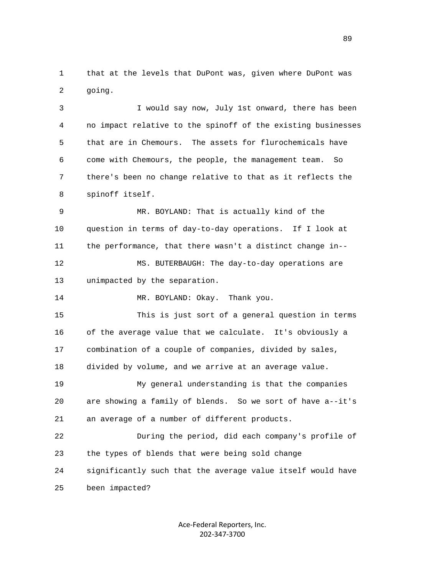1 that at the levels that DuPont was, given where DuPont was 2 going.

 3 I would say now, July 1st onward, there has been 4 no impact relative to the spinoff of the existing businesses 5 that are in Chemours. The assets for flurochemicals have 6 come with Chemours, the people, the management team. So 7 there's been no change relative to that as it reflects the 8 spinoff itself.

 9 MR. BOYLAND: That is actually kind of the 10 question in terms of day-to-day operations. If I look at 11 the performance, that there wasn't a distinct change in-- 12 MS. BUTERBAUGH: The day-to-day operations are 13 unimpacted by the separation.

14 MR. BOYLAND: Okay. Thank you.

 15 This is just sort of a general question in terms 16 of the average value that we calculate. It's obviously a 17 combination of a couple of companies, divided by sales, 18 divided by volume, and we arrive at an average value. 19 My general understanding is that the companies

 20 are showing a family of blends. So we sort of have a--it's 21 an average of a number of different products.

 22 During the period, did each company's profile of 23 the types of blends that were being sold change 24 significantly such that the average value itself would have 25 been impacted?

> Ace‐Federal Reporters, Inc. 202‐347‐3700

89 and the state of the state of the state of the state of the state of the state of the state of the state of the state of the state of the state of the state of the state of the state of the state of the state of the sta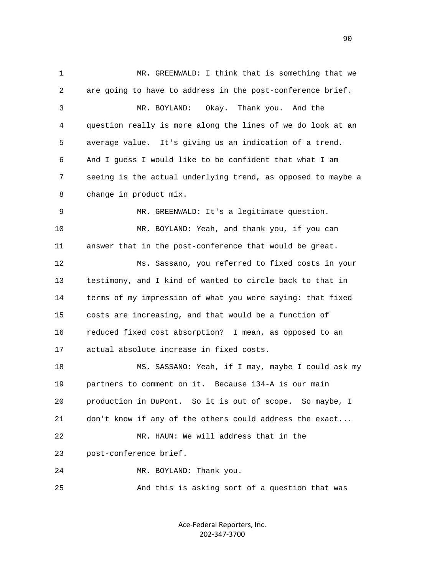1 MR. GREENWALD: I think that is something that we 2 are going to have to address in the post-conference brief. 3 MR. BOYLAND: Okay. Thank you. And the 4 question really is more along the lines of we do look at an 5 average value. It's giving us an indication of a trend. 6 And I guess I would like to be confident that what I am 7 seeing is the actual underlying trend, as opposed to maybe a 8 change in product mix. 9 MR. GREENWALD: It's a legitimate question. 10 MR. BOYLAND: Yeah, and thank you, if you can 11 answer that in the post-conference that would be great. 12 Ms. Sassano, you referred to fixed costs in your 13 testimony, and I kind of wanted to circle back to that in 14 terms of my impression of what you were saying: that fixed 15 costs are increasing, and that would be a function of 16 reduced fixed cost absorption? I mean, as opposed to an 17 actual absolute increase in fixed costs. 18 MS. SASSANO: Yeah, if I may, maybe I could ask my 19 partners to comment on it. Because 134-A is our main 20 production in DuPont. So it is out of scope. So maybe, I 21 don't know if any of the others could address the exact... 22 MR. HAUN: We will address that in the 23 post-conference brief. 24 MR. BOYLAND: Thank you. 25 And this is asking sort of a question that was

> Ace‐Federal Reporters, Inc. 202‐347‐3700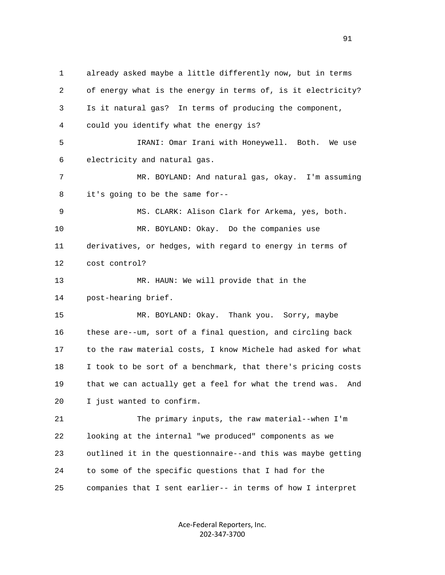1 already asked maybe a little differently now, but in terms 2 of energy what is the energy in terms of, is it electricity? 3 Is it natural gas? In terms of producing the component, 4 could you identify what the energy is? 5 IRANI: Omar Irani with Honeywell. Both. We use 6 electricity and natural gas. 7 MR. BOYLAND: And natural gas, okay. I'm assuming 8 it's going to be the same for-- 9 MS. CLARK: Alison Clark for Arkema, yes, both. 10 MR. BOYLAND: Okay. Do the companies use 11 derivatives, or hedges, with regard to energy in terms of 12 cost control? 13 MR. HAUN: We will provide that in the 14 post-hearing brief. 15 MR. BOYLAND: Okay. Thank you. Sorry, maybe 16 these are--um, sort of a final question, and circling back 17 to the raw material costs, I know Michele had asked for what 18 I took to be sort of a benchmark, that there's pricing costs 19 that we can actually get a feel for what the trend was. And 20 I just wanted to confirm. 21 The primary inputs, the raw material--when I'm 22 looking at the internal "we produced" components as we 23 outlined it in the questionnaire--and this was maybe getting 24 to some of the specific questions that I had for the 25 companies that I sent earlier-- in terms of how I interpret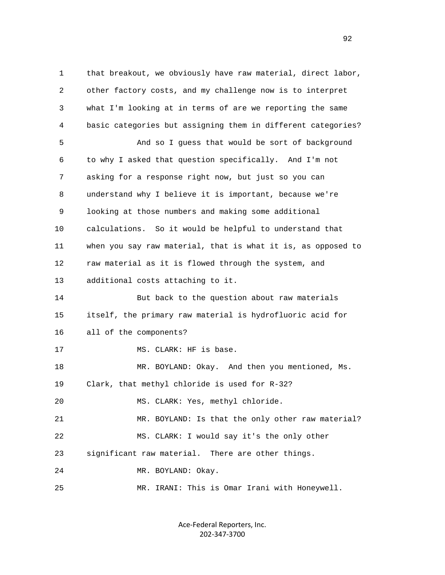1 that breakout, we obviously have raw material, direct labor, 2 other factory costs, and my challenge now is to interpret 3 what I'm looking at in terms of are we reporting the same 4 basic categories but assigning them in different categories? 5 And so I guess that would be sort of background 6 to why I asked that question specifically. And I'm not 7 asking for a response right now, but just so you can 8 understand why I believe it is important, because we're 9 looking at those numbers and making some additional 10 calculations. So it would be helpful to understand that 11 when you say raw material, that is what it is, as opposed to 12 raw material as it is flowed through the system, and 13 additional costs attaching to it. 14 But back to the question about raw materials 15 itself, the primary raw material is hydrofluoric acid for 16 all of the components? 17 MS. CLARK: HF is base. 18 MR. BOYLAND: Okay. And then you mentioned, Ms. 19 Clark, that methyl chloride is used for R-32? 20 MS. CLARK: Yes, methyl chloride. 21 MR. BOYLAND: Is that the only other raw material? 22 MS. CLARK: I would say it's the only other 23 significant raw material. There are other things. 24 MR. BOYLAND: Okay. 25 MR. IRANI: This is Omar Irani with Honeywell.

> Ace‐Federal Reporters, Inc. 202‐347‐3700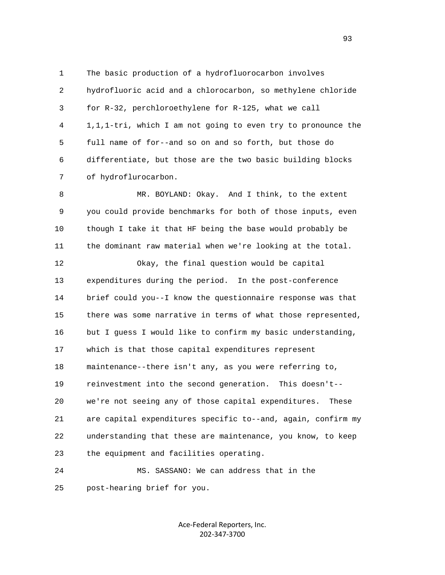1 The basic production of a hydrofluorocarbon involves 2 hydrofluoric acid and a chlorocarbon, so methylene chloride 3 for R-32, perchloroethylene for R-125, what we call 4 1,1,1-tri, which I am not going to even try to pronounce the 5 full name of for--and so on and so forth, but those do 6 differentiate, but those are the two basic building blocks 7 of hydroflurocarbon.

 8 MR. BOYLAND: Okay. And I think, to the extent 9 you could provide benchmarks for both of those inputs, even 10 though I take it that HF being the base would probably be 11 the dominant raw material when we're looking at the total.

 12 Okay, the final question would be capital 13 expenditures during the period. In the post-conference 14 brief could you--I know the questionnaire response was that 15 there was some narrative in terms of what those represented, 16 but I quess I would like to confirm my basic understanding, 17 which is that those capital expenditures represent 18 maintenance--there isn't any, as you were referring to, 19 reinvestment into the second generation. This doesn't-- 20 we're not seeing any of those capital expenditures. These 21 are capital expenditures specific to--and, again, confirm my 22 understanding that these are maintenance, you know, to keep 23 the equipment and facilities operating.

 24 MS. SASSANO: We can address that in the 25 post-hearing brief for you.

> Ace‐Federal Reporters, Inc. 202‐347‐3700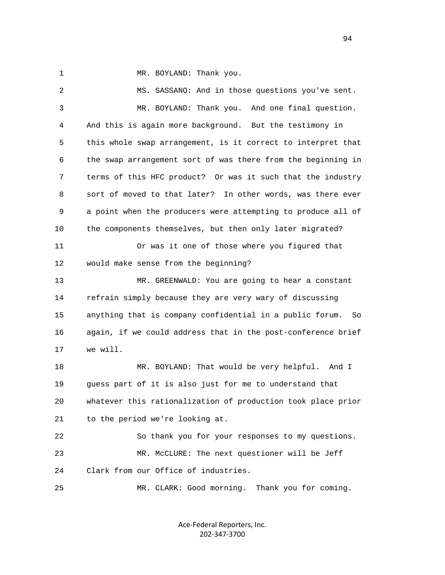1 MR. BOYLAND: Thank you.

 2 MS. SASSANO: And in those questions you've sent. 3 MR. BOYLAND: Thank you. And one final question. 4 And this is again more background. But the testimony in 5 this whole swap arrangement, is it correct to interpret that 6 the swap arrangement sort of was there from the beginning in 7 terms of this HFC product? Or was it such that the industry 8 sort of moved to that later? In other words, was there ever 9 a point when the producers were attempting to produce all of 10 the components themselves, but then only later migrated? 11 Or was it one of those where you figured that 12 would make sense from the beginning? 13 MR. GREENWALD: You are going to hear a constant 14 refrain simply because they are very wary of discussing 15 anything that is company confidential in a public forum. So 16 again, if we could address that in the post-conference brief 17 we will. 18 MR. BOYLAND: That would be very helpful. And I 19 guess part of it is also just for me to understand that 20 whatever this rationalization of production took place prior 21 to the period we're looking at. 22 So thank you for your responses to my questions. 23 MR. McCLURE: The next questioner will be Jeff 24 Clark from our Office of industries. 25 MR. CLARK: Good morning. Thank you for coming.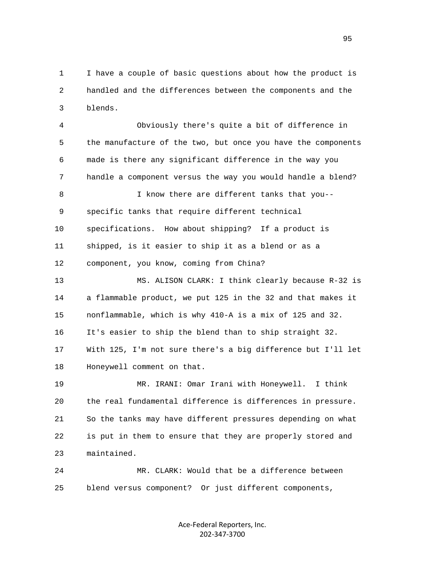1 I have a couple of basic questions about how the product is 2 handled and the differences between the components and the 3 blends.

 4 Obviously there's quite a bit of difference in 5 the manufacture of the two, but once you have the components 6 made is there any significant difference in the way you 7 handle a component versus the way you would handle a blend? 8 I know there are different tanks that you-- 9 specific tanks that require different technical 10 specifications. How about shipping? If a product is 11 shipped, is it easier to ship it as a blend or as a 12 component, you know, coming from China? 13 MS. ALISON CLARK: I think clearly because R-32 is 14 a flammable product, we put 125 in the 32 and that makes it 15 nonflammable, which is why 410-A is a mix of 125 and 32. 16 It's easier to ship the blend than to ship straight 32. 17 With 125, I'm not sure there's a big difference but I'll let 18 Honeywell comment on that. 19 MR. IRANI: Omar Irani with Honeywell. I think 20 the real fundamental difference is differences in pressure.

 21 So the tanks may have different pressures depending on what 22 is put in them to ensure that they are properly stored and 23 maintained.

 24 MR. CLARK: Would that be a difference between 25 blend versus component? Or just different components,

> Ace‐Federal Reporters, Inc. 202‐347‐3700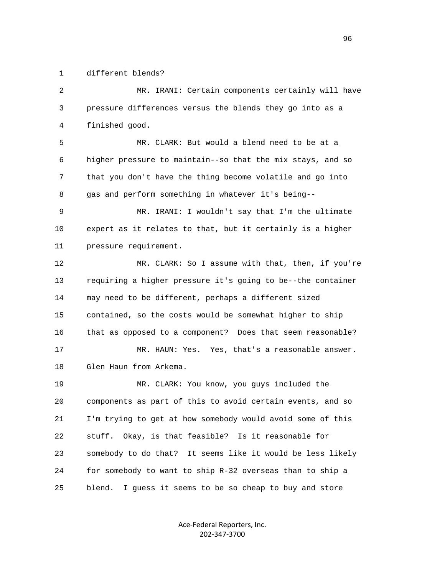1 different blends?

 2 MR. IRANI: Certain components certainly will have 3 pressure differences versus the blends they go into as a 4 finished good. 5 MR. CLARK: But would a blend need to be at a 6 higher pressure to maintain--so that the mix stays, and so 7 that you don't have the thing become volatile and go into 8 gas and perform something in whatever it's being-- 9 MR. IRANI: I wouldn't say that I'm the ultimate 10 expert as it relates to that, but it certainly is a higher 11 pressure requirement. 12 MR. CLARK: So I assume with that, then, if you're 13 requiring a higher pressure it's going to be--the container 14 may need to be different, perhaps a different sized 15 contained, so the costs would be somewhat higher to ship 16 that as opposed to a component? Does that seem reasonable? 17 MR. HAUN: Yes. Yes, that's a reasonable answer. 18 Glen Haun from Arkema. 19 MR. CLARK: You know, you guys included the 20 components as part of this to avoid certain events, and so 21 I'm trying to get at how somebody would avoid some of this 22 stuff. Okay, is that feasible? Is it reasonable for 23 somebody to do that? It seems like it would be less likely 24 for somebody to want to ship R-32 overseas than to ship a 25 blend. I guess it seems to be so cheap to buy and store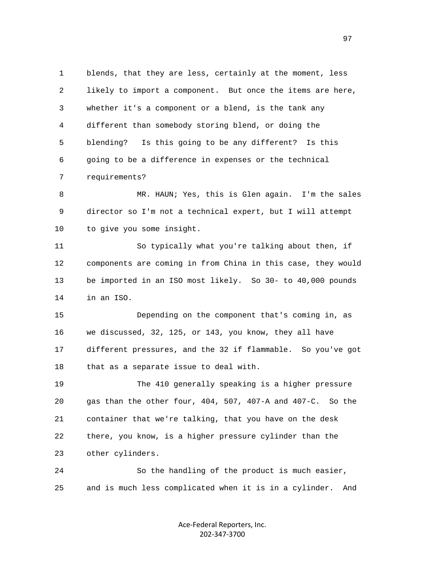1 blends, that they are less, certainly at the moment, less 2 likely to import a component. But once the items are here, 3 whether it's a component or a blend, is the tank any 4 different than somebody storing blend, or doing the 5 blending? Is this going to be any different? Is this 6 going to be a difference in expenses or the technical 7 requirements?

 8 MR. HAUN; Yes, this is Glen again. I'm the sales 9 director so I'm not a technical expert, but I will attempt 10 to give you some insight.

 11 So typically what you're talking about then, if 12 components are coming in from China in this case, they would 13 be imported in an ISO most likely. So 30- to 40,000 pounds 14 in an ISO.

 15 Depending on the component that's coming in, as 16 we discussed, 32, 125, or 143, you know, they all have 17 different pressures, and the 32 if flammable. So you've got 18 that as a separate issue to deal with.

 19 The 410 generally speaking is a higher pressure 20 gas than the other four, 404, 507, 407-A and 407-C. So the 21 container that we're talking, that you have on the desk 22 there, you know, is a higher pressure cylinder than the 23 other cylinders.

 24 So the handling of the product is much easier, 25 and is much less complicated when it is in a cylinder. And

> Ace‐Federal Reporters, Inc. 202‐347‐3700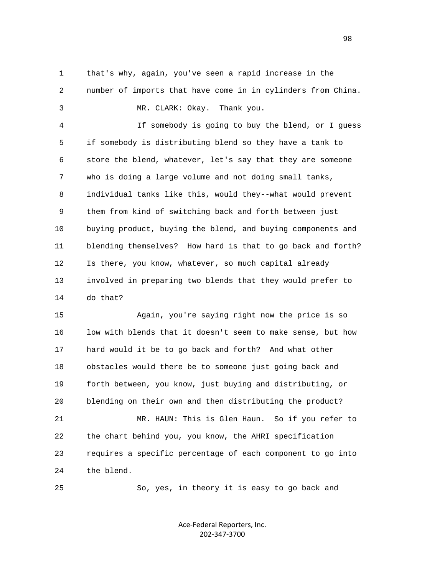1 that's why, again, you've seen a rapid increase in the 2 number of imports that have come in in cylinders from China. 3 MR. CLARK: Okay. Thank you.

 4 If somebody is going to buy the blend, or I guess 5 if somebody is distributing blend so they have a tank to 6 store the blend, whatever, let's say that they are someone 7 who is doing a large volume and not doing small tanks, 8 individual tanks like this, would they--what would prevent 9 them from kind of switching back and forth between just 10 buying product, buying the blend, and buying components and 11 blending themselves? How hard is that to go back and forth? 12 Is there, you know, whatever, so much capital already 13 involved in preparing two blends that they would prefer to 14 do that?

 15 Again, you're saying right now the price is so 16 low with blends that it doesn't seem to make sense, but how 17 hard would it be to go back and forth? And what other 18 obstacles would there be to someone just going back and 19 forth between, you know, just buying and distributing, or 20 blending on their own and then distributing the product? 21 MR. HAUN: This is Glen Haun. So if you refer to 22 the chart behind you, you know, the AHRI specification 23 requires a specific percentage of each component to go into 24 the blend.

25 So, yes, in theory it is easy to go back and

Ace‐Federal Reporters, Inc. 202‐347‐3700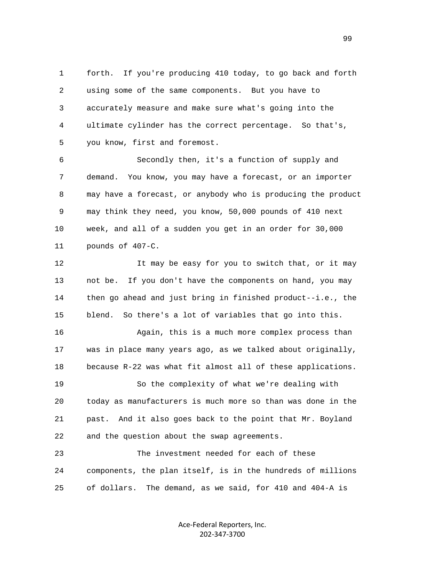1 forth. If you're producing 410 today, to go back and forth 2 using some of the same components. But you have to 3 accurately measure and make sure what's going into the 4 ultimate cylinder has the correct percentage. So that's, 5 you know, first and foremost.

 6 Secondly then, it's a function of supply and 7 demand. You know, you may have a forecast, or an importer 8 may have a forecast, or anybody who is producing the product 9 may think they need, you know, 50,000 pounds of 410 next 10 week, and all of a sudden you get in an order for 30,000 11 pounds of 407-C.

12 It may be easy for you to switch that, or it may 13 not be. If you don't have the components on hand, you may 14 then go ahead and just bring in finished product--i.e., the 15 blend. So there's a lot of variables that go into this.

 16 Again, this is a much more complex process than 17 was in place many years ago, as we talked about originally, 18 because R-22 was what fit almost all of these applications.

 19 So the complexity of what we're dealing with 20 today as manufacturers is much more so than was done in the 21 past. And it also goes back to the point that Mr. Boyland 22 and the question about the swap agreements.

 23 The investment needed for each of these 24 components, the plan itself, is in the hundreds of millions 25 of dollars. The demand, as we said, for 410 and 404-A is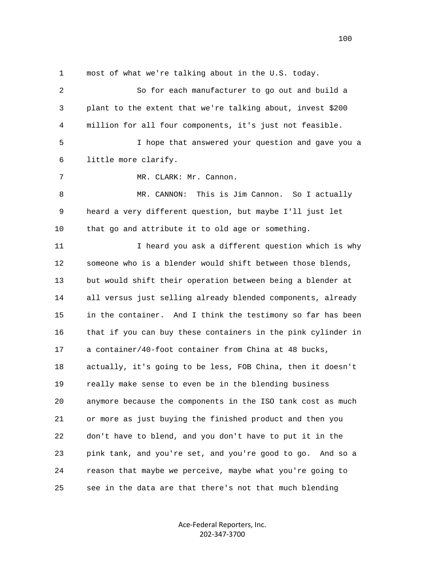1 most of what we're talking about in the U.S. today.

| 2  | So for each manufacturer to go out and build a                |
|----|---------------------------------------------------------------|
| 3  | plant to the extent that we're talking about, invest \$200    |
| 4  | million for all four components, it's just not feasible.      |
| 5  | I hope that answered your question and gave you a             |
| 6  | little more clarify.                                          |
| 7  | MR. CLARK: Mr. Cannon.                                        |
| 8  | This is Jim Cannon. So I actually<br>MR. CANNON:              |
| 9  | heard a very different question, but maybe I'll just let      |
| 10 | that go and attribute it to old age or something.             |
| 11 | I heard you ask a different question which is why             |
| 12 | someone who is a blender would shift between those blends,    |
| 13 | but would shift their operation between being a blender at    |
| 14 | all versus just selling already blended components, already   |
| 15 | in the container. And I think the testimony so far has been   |
| 16 | that if you can buy these containers in the pink cylinder in  |
| 17 | a container/40-foot container from China at 48 bucks,         |
| 18 | actually, it's going to be less, FOB China, then it doesn't   |
| 19 | really make sense to even be in the blending business         |
| 20 | anymore because the components in the ISO tank cost as much   |
| 21 | or more as just buying the finished product and then you      |
| 22 | don't have to blend, and you don't have to put it in the      |
| 23 | pink tank, and you're set, and you're good to go.<br>And so a |
| 24 | reason that maybe we perceive, maybe what you're going to     |
| 25 | see in the data are that there's not that much blending       |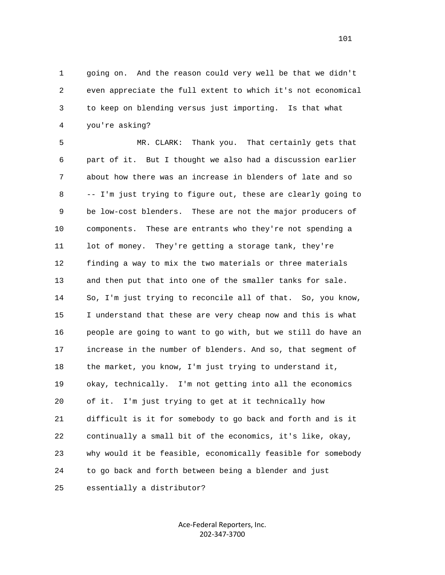1 going on. And the reason could very well be that we didn't 2 even appreciate the full extent to which it's not economical 3 to keep on blending versus just importing. Is that what 4 you're asking?

 5 MR. CLARK: Thank you. That certainly gets that 6 part of it. But I thought we also had a discussion earlier 7 about how there was an increase in blenders of late and so 8 -- I'm just trying to figure out, these are clearly going to 9 be low-cost blenders. These are not the major producers of 10 components. These are entrants who they're not spending a 11 lot of money. They're getting a storage tank, they're 12 finding a way to mix the two materials or three materials 13 and then put that into one of the smaller tanks for sale. 14 So, I'm just trying to reconcile all of that. So, you know, 15 I understand that these are very cheap now and this is what 16 people are going to want to go with, but we still do have an 17 increase in the number of blenders. And so, that segment of 18 the market, you know, I'm just trying to understand it, 19 okay, technically. I'm not getting into all the economics 20 of it. I'm just trying to get at it technically how 21 difficult is it for somebody to go back and forth and is it 22 continually a small bit of the economics, it's like, okay, 23 why would it be feasible, economically feasible for somebody 24 to go back and forth between being a blender and just 25 essentially a distributor?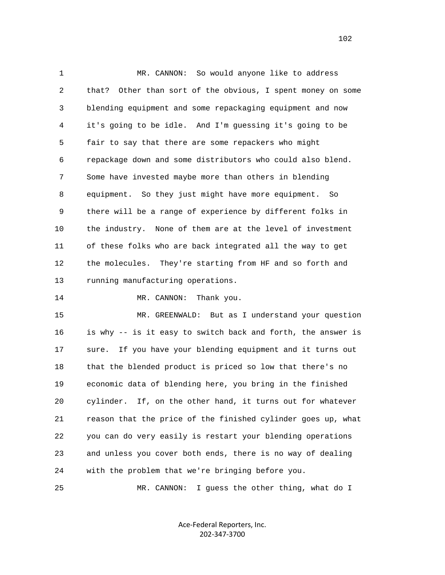1 MR. CANNON: So would anyone like to address 2 that? Other than sort of the obvious, I spent money on some 3 blending equipment and some repackaging equipment and now 4 it's going to be idle. And I'm guessing it's going to be 5 fair to say that there are some repackers who might 6 repackage down and some distributors who could also blend. 7 Some have invested maybe more than others in blending 8 equipment. So they just might have more equipment. So 9 there will be a range of experience by different folks in 10 the industry. None of them are at the level of investment 11 of these folks who are back integrated all the way to get 12 the molecules. They're starting from HF and so forth and 13 running manufacturing operations.

14 MR. CANNON: Thank you.

 15 MR. GREENWALD: But as I understand your question 16 is why -- is it easy to switch back and forth, the answer is 17 sure. If you have your blending equipment and it turns out 18 that the blended product is priced so low that there's no 19 economic data of blending here, you bring in the finished 20 cylinder. If, on the other hand, it turns out for whatever 21 reason that the price of the finished cylinder goes up, what 22 you can do very easily is restart your blending operations 23 and unless you cover both ends, there is no way of dealing 24 with the problem that we're bringing before you.

25 MR. CANNON: I guess the other thing, what do I

Ace‐Federal Reporters, Inc. 202‐347‐3700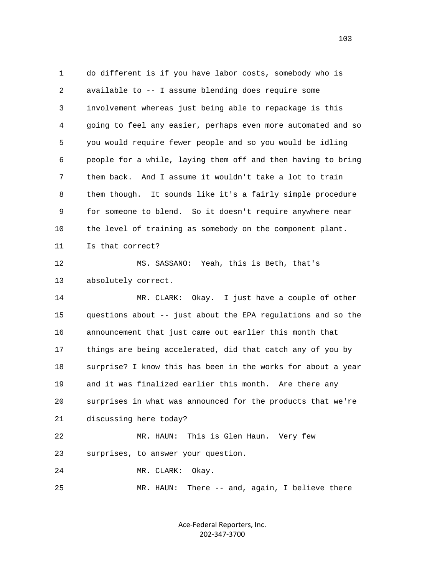1 do different is if you have labor costs, somebody who is 2 available to -- I assume blending does require some 3 involvement whereas just being able to repackage is this 4 going to feel any easier, perhaps even more automated and so 5 you would require fewer people and so you would be idling 6 people for a while, laying them off and then having to bring 7 them back. And I assume it wouldn't take a lot to train 8 them though. It sounds like it's a fairly simple procedure 9 for someone to blend. So it doesn't require anywhere near 10 the level of training as somebody on the component plant. 11 Is that correct? 12 MS. SASSANO: Yeah, this is Beth, that's 13 absolutely correct. 14 MR. CLARK: Okay. I just have a couple of other 15 questions about -- just about the EPA regulations and so the 16 announcement that just came out earlier this month that 17 things are being accelerated, did that catch any of you by 18 surprise? I know this has been in the works for about a year 19 and it was finalized earlier this month. Are there any 20 surprises in what was announced for the products that we're 21 discussing here today? 22 MR. HAUN: This is Glen Haun. Very few 23 surprises, to answer your question. 24 MR. CLARK: Okay. 25 MR. HAUN: There -- and, again, I believe there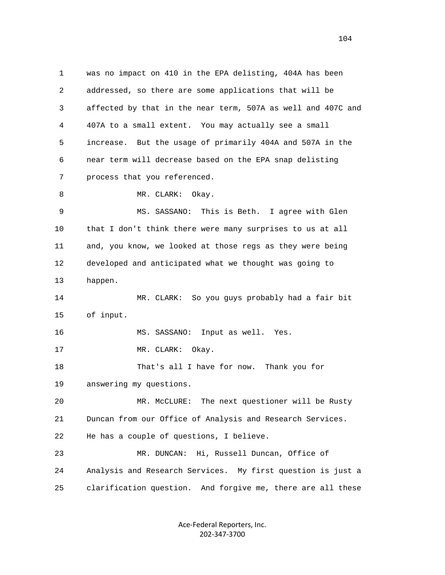1 was no impact on 410 in the EPA delisting, 404A has been 2 addressed, so there are some applications that will be 3 affected by that in the near term, 507A as well and 407C and 4 407A to a small extent. You may actually see a small 5 increase. But the usage of primarily 404A and 507A in the 6 near term will decrease based on the EPA snap delisting 7 process that you referenced. 8 MR. CLARK: Okay. 9 MS. SASSANO: This is Beth. I agree with Glen 10 that I don't think there were many surprises to us at all 11 and, you know, we looked at those regs as they were being 12 developed and anticipated what we thought was going to 13 happen. 14 MR. CLARK: So you guys probably had a fair bit 15 of input. 16 MS. SASSANO: Input as well. Yes. 17 MR. CLARK: Okay. 18 That's all I have for now. Thank you for 19 answering my questions. 20 MR. McCLURE: The next questioner will be Rusty 21 Duncan from our Office of Analysis and Research Services. 22 He has a couple of questions, I believe. 23 MR. DUNCAN: Hi, Russell Duncan, Office of 24 Analysis and Research Services. My first question is just a 25 clarification question. And forgive me, there are all these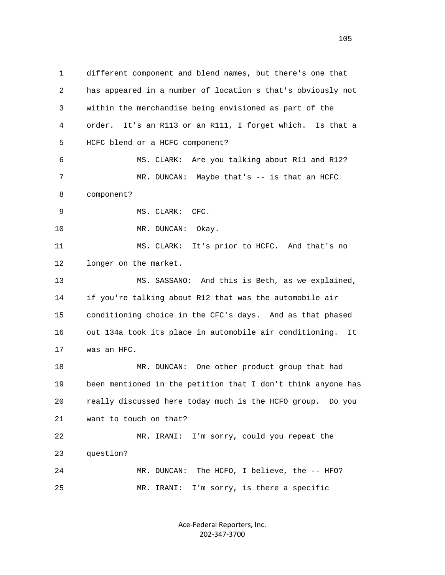1 different component and blend names, but there's one that 2 has appeared in a number of location s that's obviously not 3 within the merchandise being envisioned as part of the 4 order. It's an R113 or an R111, I forget which. Is that a 5 HCFC blend or a HCFC component? 6 MS. CLARK: Are you talking about R11 and R12? 7 MR. DUNCAN: Maybe that's -- is that an HCFC 8 component? 9 MS. CLARK: CFC. 10 MR. DUNCAN: Okay. 11 MS. CLARK: It's prior to HCFC. And that's no 12 longer on the market. 13 MS. SASSANO: And this is Beth, as we explained, 14 if you're talking about R12 that was the automobile air 15 conditioning choice in the CFC's days. And as that phased 16 out 134a took its place in automobile air conditioning. It 17 was an HFC. 18 MR. DUNCAN: One other product group that had 19 been mentioned in the petition that I don't think anyone has 20 really discussed here today much is the HCFO group. Do you 21 want to touch on that? 22 MR. IRANI: I'm sorry, could you repeat the 23 question? 24 MR. DUNCAN: The HCFO, I believe, the -- HFO? 25 MR. IRANI: I'm sorry, is there a specific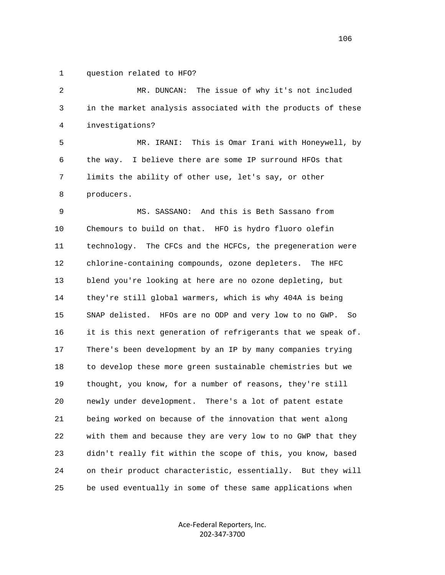1 question related to HFO?

 2 MR. DUNCAN: The issue of why it's not included 3 in the market analysis associated with the products of these 4 investigations?

 5 MR. IRANI: This is Omar Irani with Honeywell, by 6 the way. I believe there are some IP surround HFOs that 7 limits the ability of other use, let's say, or other 8 producers.

 9 MS. SASSANO: And this is Beth Sassano from 10 Chemours to build on that. HFO is hydro fluoro olefin 11 technology. The CFCs and the HCFCs, the pregeneration were 12 chlorine-containing compounds, ozone depleters. The HFC 13 blend you're looking at here are no ozone depleting, but 14 they're still global warmers, which is why 404A is being 15 SNAP delisted. HFOs are no ODP and very low to no GWP. So 16 it is this next generation of refrigerants that we speak of. 17 There's been development by an IP by many companies trying 18 to develop these more green sustainable chemistries but we 19 thought, you know, for a number of reasons, they're still 20 newly under development. There's a lot of patent estate 21 being worked on because of the innovation that went along 22 with them and because they are very low to no GWP that they 23 didn't really fit within the scope of this, you know, based 24 on their product characteristic, essentially. But they will 25 be used eventually in some of these same applications when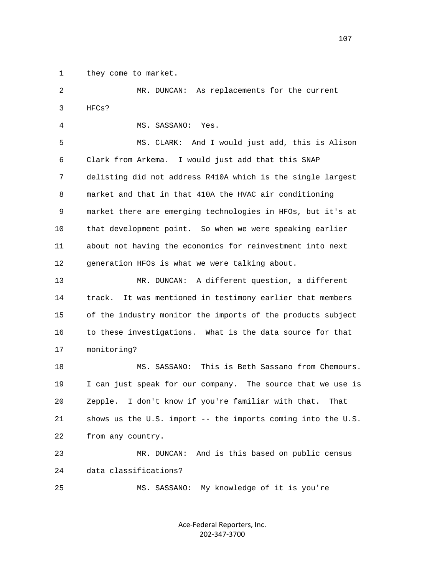1 they come to market.

 2 MR. DUNCAN: As replacements for the current 3 HFCs?

4 MS. SASSANO: Yes.

 5 MS. CLARK: And I would just add, this is Alison 6 Clark from Arkema. I would just add that this SNAP 7 delisting did not address R410A which is the single largest 8 market and that in that 410A the HVAC air conditioning 9 market there are emerging technologies in HFOs, but it's at 10 that development point. So when we were speaking earlier 11 about not having the economics for reinvestment into next 12 generation HFOs is what we were talking about.

 13 MR. DUNCAN: A different question, a different 14 track. It was mentioned in testimony earlier that members 15 of the industry monitor the imports of the products subject 16 to these investigations. What is the data source for that 17 monitoring?

 18 MS. SASSANO: This is Beth Sassano from Chemours. 19 I can just speak for our company. The source that we use is 20 Zepple. I don't know if you're familiar with that. That 21 shows us the U.S. import -- the imports coming into the U.S. 22 from any country.

 23 MR. DUNCAN: And is this based on public census 24 data classifications?

25 MS. SASSANO: My knowledge of it is you're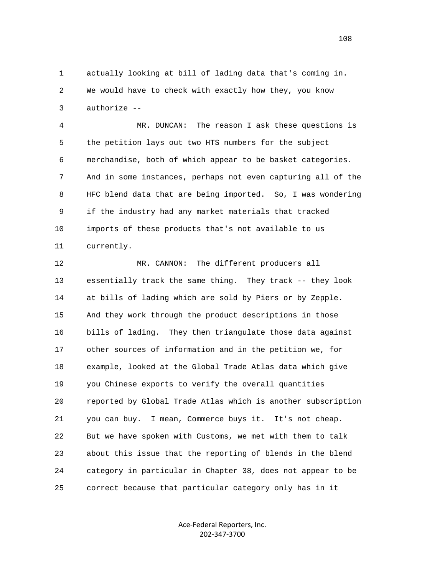1 actually looking at bill of lading data that's coming in. 2 We would have to check with exactly how they, you know 3 authorize --

 4 MR. DUNCAN: The reason I ask these questions is 5 the petition lays out two HTS numbers for the subject 6 merchandise, both of which appear to be basket categories. 7 And in some instances, perhaps not even capturing all of the 8 HFC blend data that are being imported. So, I was wondering 9 if the industry had any market materials that tracked 10 imports of these products that's not available to us 11 currently.

 12 MR. CANNON: The different producers all 13 essentially track the same thing. They track -- they look 14 at bills of lading which are sold by Piers or by Zepple. 15 And they work through the product descriptions in those 16 bills of lading. They then triangulate those data against 17 other sources of information and in the petition we, for 18 example, looked at the Global Trade Atlas data which give 19 you Chinese exports to verify the overall quantities 20 reported by Global Trade Atlas which is another subscription 21 you can buy. I mean, Commerce buys it. It's not cheap. 22 But we have spoken with Customs, we met with them to talk 23 about this issue that the reporting of blends in the blend 24 category in particular in Chapter 38, does not appear to be 25 correct because that particular category only has in it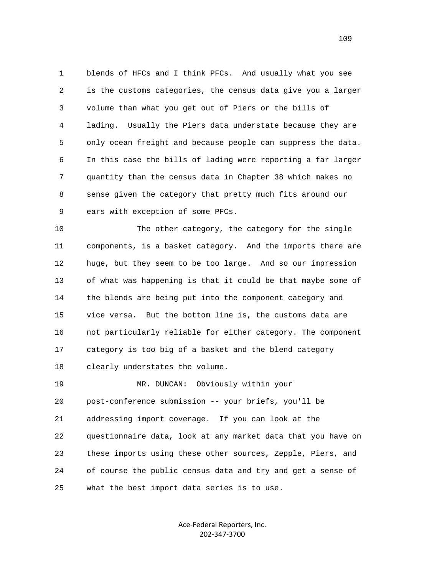1 blends of HFCs and I think PFCs. And usually what you see 2 is the customs categories, the census data give you a larger 3 volume than what you get out of Piers or the bills of 4 lading. Usually the Piers data understate because they are 5 only ocean freight and because people can suppress the data. 6 In this case the bills of lading were reporting a far larger 7 quantity than the census data in Chapter 38 which makes no 8 sense given the category that pretty much fits around our 9 ears with exception of some PFCs.

 10 The other category, the category for the single 11 components, is a basket category. And the imports there are 12 huge, but they seem to be too large. And so our impression 13 of what was happening is that it could be that maybe some of 14 the blends are being put into the component category and 15 vice versa. But the bottom line is, the customs data are 16 not particularly reliable for either category. The component 17 category is too big of a basket and the blend category 18 clearly understates the volume.

 19 MR. DUNCAN: Obviously within your 20 post-conference submission -- your briefs, you'll be 21 addressing import coverage. If you can look at the 22 questionnaire data, look at any market data that you have on 23 these imports using these other sources, Zepple, Piers, and 24 of course the public census data and try and get a sense of 25 what the best import data series is to use.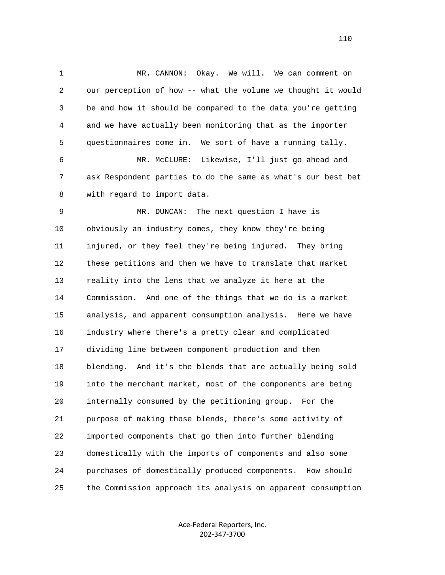1 MR. CANNON: Okay. We will. We can comment on 2 our perception of how -- what the volume we thought it would 3 be and how it should be compared to the data you're getting 4 and we have actually been monitoring that as the importer 5 questionnaires come in. We sort of have a running tally. 6 MR. McCLURE: Likewise, I'll just go ahead and 7 ask Respondent parties to do the same as what's our best bet 8 with regard to import data. 9 MR. DUNCAN: The next question I have is 10 obviously an industry comes, they know they're being 11 injured, or they feel they're being injured. They bring 12 these petitions and then we have to translate that market 13 reality into the lens that we analyze it here at the 14 Commission. And one of the things that we do is a market 15 analysis, and apparent consumption analysis. Here we have 16 industry where there's a pretty clear and complicated 17 dividing line between component production and then 18 blending. And it's the blends that are actually being sold 19 into the merchant market, most of the components are being 20 internally consumed by the petitioning group. For the 21 purpose of making those blends, there's some activity of 22 imported components that go then into further blending 23 domestically with the imports of components and also some 24 purchases of domestically produced components. How should 25 the Commission approach its analysis on apparent consumption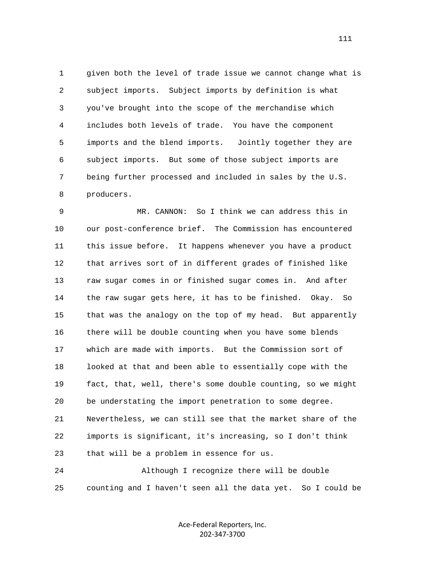1 given both the level of trade issue we cannot change what is 2 subject imports. Subject imports by definition is what 3 you've brought into the scope of the merchandise which 4 includes both levels of trade. You have the component 5 imports and the blend imports. Jointly together they are 6 subject imports. But some of those subject imports are 7 being further processed and included in sales by the U.S. 8 producers.

 9 MR. CANNON: So I think we can address this in 10 our post-conference brief. The Commission has encountered 11 this issue before. It happens whenever you have a product 12 that arrives sort of in different grades of finished like 13 raw sugar comes in or finished sugar comes in. And after 14 the raw sugar gets here, it has to be finished. Okay. So 15 that was the analogy on the top of my head. But apparently 16 there will be double counting when you have some blends 17 which are made with imports. But the Commission sort of 18 looked at that and been able to essentially cope with the 19 fact, that, well, there's some double counting, so we might 20 be understating the import penetration to some degree. 21 Nevertheless, we can still see that the market share of the 22 imports is significant, it's increasing, so I don't think 23 that will be a problem in essence for us. 24 Although I recognize there will be double

25 counting and I haven't seen all the data yet. So I could be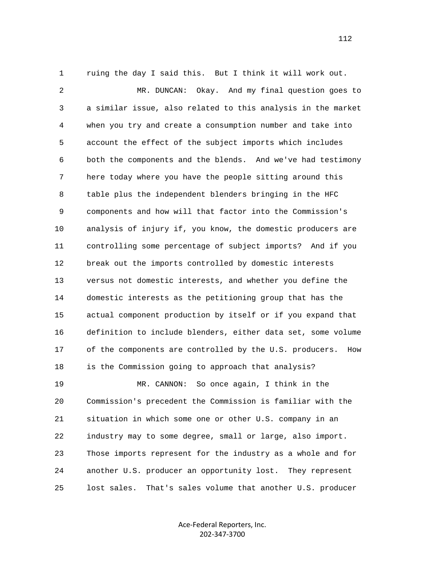1 ruing the day I said this. But I think it will work out.

 2 MR. DUNCAN: Okay. And my final question goes to 3 a similar issue, also related to this analysis in the market 4 when you try and create a consumption number and take into 5 account the effect of the subject imports which includes 6 both the components and the blends. And we've had testimony 7 here today where you have the people sitting around this 8 table plus the independent blenders bringing in the HFC 9 components and how will that factor into the Commission's 10 analysis of injury if, you know, the domestic producers are 11 controlling some percentage of subject imports? And if you 12 break out the imports controlled by domestic interests 13 versus not domestic interests, and whether you define the 14 domestic interests as the petitioning group that has the 15 actual component production by itself or if you expand that 16 definition to include blenders, either data set, some volume 17 of the components are controlled by the U.S. producers. How 18 is the Commission going to approach that analysis? 19 MR. CANNON: So once again, I think in the 20 Commission's precedent the Commission is familiar with the 21 situation in which some one or other U.S. company in an 22 industry may to some degree, small or large, also import. 23 Those imports represent for the industry as a whole and for 24 another U.S. producer an opportunity lost. They represent 25 lost sales. That's sales volume that another U.S. producer

> Ace‐Federal Reporters, Inc. 202‐347‐3700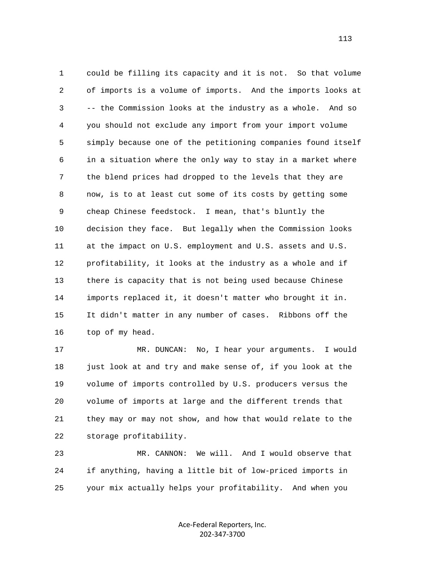1 could be filling its capacity and it is not. So that volume 2 of imports is a volume of imports. And the imports looks at 3 -- the Commission looks at the industry as a whole. And so 4 you should not exclude any import from your import volume 5 simply because one of the petitioning companies found itself 6 in a situation where the only way to stay in a market where 7 the blend prices had dropped to the levels that they are 8 now, is to at least cut some of its costs by getting some 9 cheap Chinese feedstock. I mean, that's bluntly the 10 decision they face. But legally when the Commission looks 11 at the impact on U.S. employment and U.S. assets and U.S. 12 profitability, it looks at the industry as a whole and if 13 there is capacity that is not being used because Chinese 14 imports replaced it, it doesn't matter who brought it in. 15 It didn't matter in any number of cases. Ribbons off the 16 top of my head.

 17 MR. DUNCAN: No, I hear your arguments. I would 18 just look at and try and make sense of, if you look at the 19 volume of imports controlled by U.S. producers versus the 20 volume of imports at large and the different trends that 21 they may or may not show, and how that would relate to the 22 storage profitability.

 23 MR. CANNON: We will. And I would observe that 24 if anything, having a little bit of low-priced imports in 25 your mix actually helps your profitability. And when you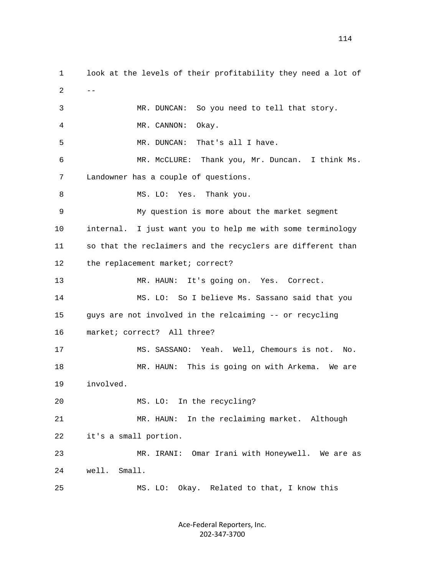1 look at the levels of their profitability they need a lot of  $2$  -- 3 MR. DUNCAN: So you need to tell that story. 4 MR. CANNON: Okay. 5 MR. DUNCAN: That's all I have. 6 MR. McCLURE: Thank you, Mr. Duncan. I think Ms. 7 Landowner has a couple of questions. 8 MS. LO: Yes. Thank you. 9 My question is more about the market segment 10 internal. I just want you to help me with some terminology 11 so that the reclaimers and the recyclers are different than 12 the replacement market; correct? 13 MR. HAUN: It's going on. Yes. Correct. 14 MS. LO: So I believe Ms. Sassano said that you 15 guys are not involved in the relcaiming -- or recycling 16 market; correct? All three? 17 MS. SASSANO: Yeah. Well, Chemours is not. No. 18 MR. HAUN: This is going on with Arkema. We are 19 involved. 20 MS. LO: In the recycling? 21 MR. HAUN: In the reclaiming market. Although 22 it's a small portion. 23 MR. IRANI: Omar Irani with Honeywell. We are as 24 well. Small. 25 MS. LO: Okay. Related to that, I know this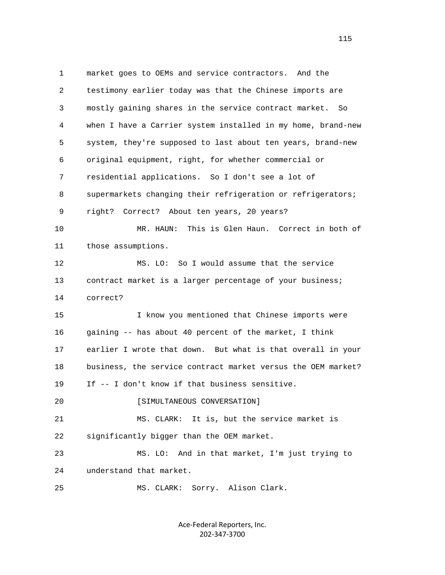1 market goes to OEMs and service contractors. And the 2 testimony earlier today was that the Chinese imports are 3 mostly gaining shares in the service contract market. So 4 when I have a Carrier system installed in my home, brand-new 5 system, they're supposed to last about ten years, brand-new 6 original equipment, right, for whether commercial or 7 residential applications. So I don't see a lot of 8 supermarkets changing their refrigeration or refrigerators; 9 right? Correct? About ten years, 20 years? 10 MR. HAUN: This is Glen Haun. Correct in both of 11 those assumptions. 12 MS. LO: So I would assume that the service 13 contract market is a larger percentage of your business; 14 correct? 15 I know you mentioned that Chinese imports were 16 gaining -- has about 40 percent of the market, I think 17 earlier I wrote that down. But what is that overall in your 18 business, the service contract market versus the OEM market? 19 If -- I don't know if that business sensitive. 20 [SIMULTANEOUS CONVERSATION] 21 MS. CLARK: It is, but the service market is 22 significantly bigger than the OEM market. 23 MS. LO: And in that market, I'm just trying to 24 understand that market. 25 MS. CLARK: Sorry. Alison Clark.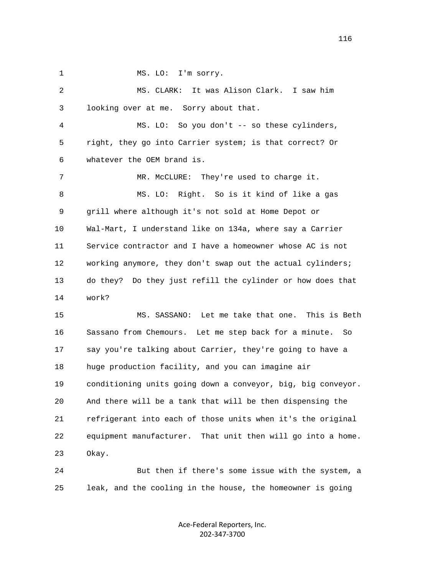1 MS. LO: I'm sorry. 2 MS. CLARK: It was Alison Clark. I saw him 3 looking over at me. Sorry about that. 4 MS. LO: So you don't -- so these cylinders, 5 right, they go into Carrier system; is that correct? Or 6 whatever the OEM brand is. 7 MR. McCLURE: They're used to charge it. 8 MS. LO: Right. So is it kind of like a gas 9 grill where although it's not sold at Home Depot or 10 Wal-Mart, I understand like on 134a, where say a Carrier 11 Service contractor and I have a homeowner whose AC is not 12 working anymore, they don't swap out the actual cylinders; 13 do they? Do they just refill the cylinder or how does that 14 work? 15 MS. SASSANO: Let me take that one. This is Beth 16 Sassano from Chemours. Let me step back for a minute. So 17 say you're talking about Carrier, they're going to have a 18 huge production facility, and you can imagine air 19 conditioning units going down a conveyor, big, big conveyor. 20 And there will be a tank that will be then dispensing the 21 refrigerant into each of those units when it's the original

 22 equipment manufacturer. That unit then will go into a home. 23 Okay.

 24 But then if there's some issue with the system, a 25 leak, and the cooling in the house, the homeowner is going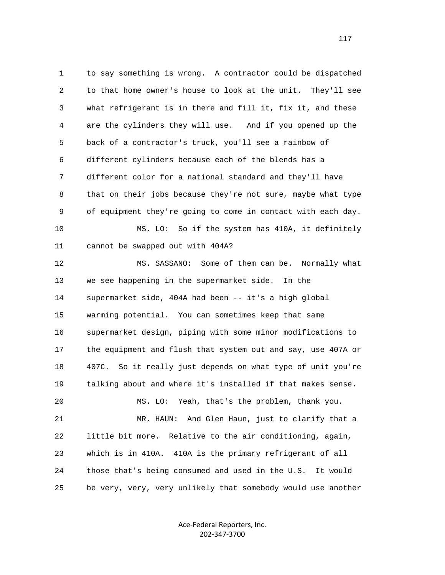1 to say something is wrong. A contractor could be dispatched 2 to that home owner's house to look at the unit. They'll see 3 what refrigerant is in there and fill it, fix it, and these 4 are the cylinders they will use. And if you opened up the 5 back of a contractor's truck, you'll see a rainbow of 6 different cylinders because each of the blends has a 7 different color for a national standard and they'll have 8 that on their jobs because they're not sure, maybe what type 9 of equipment they're going to come in contact with each day. 10 MS. LO: So if the system has 410A, it definitely 11 cannot be swapped out with 404A? 12 MS. SASSANO: Some of them can be. Normally what 13 we see happening in the supermarket side. In the 14 supermarket side, 404A had been -- it's a high global 15 warming potential. You can sometimes keep that same 16 supermarket design, piping with some minor modifications to 17 the equipment and flush that system out and say, use 407A or 18 407C. So it really just depends on what type of unit you're 19 talking about and where it's installed if that makes sense. 20 MS. LO: Yeah, that's the problem, thank you. 21 MR. HAUN: And Glen Haun, just to clarify that a 22 little bit more. Relative to the air conditioning, again, 23 which is in 410A. 410A is the primary refrigerant of all 24 those that's being consumed and used in the U.S. It would 25 be very, very, very unlikely that somebody would use another

> Ace‐Federal Reporters, Inc. 202‐347‐3700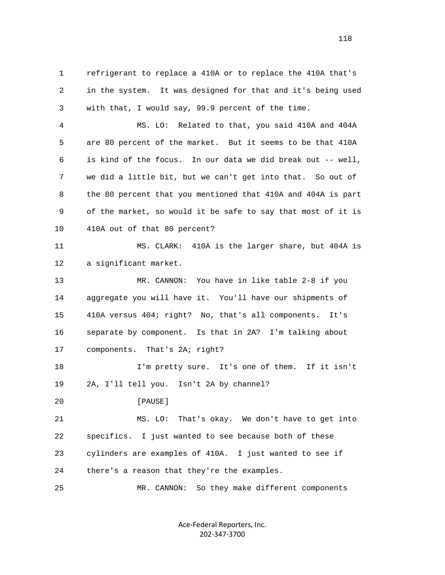1 refrigerant to replace a 410A or to replace the 410A that's 2 in the system. It was designed for that and it's being used 3 with that, I would say, 99.9 percent of the time.

 4 MS. LO: Related to that, you said 410A and 404A 5 are 80 percent of the market. But it seems to be that 410A 6 is kind of the focus. In our data we did break out -- well, 7 we did a little bit, but we can't get into that. So out of 8 the 80 percent that you mentioned that 410A and 404A is part 9 of the market, so would it be safe to say that most of it is 10 410A out of that 80 percent?

 11 MS. CLARK: 410A is the larger share, but 404A is 12 a significant market.

 13 MR. CANNON: You have in like table 2-8 if you 14 aggregate you will have it. You'll have our shipments of 15 410A versus 404; right? No, that's all components. It's 16 separate by component. Is that in 2A? I'm talking about 17 components. That's 2A; right?

 18 I'm pretty sure. It's one of them. If it isn't 19 2A, I'll tell you. Isn't 2A by channel?

20 **[PAUSE]** 

 21 MS. LO: That's okay. We don't have to get into 22 specifics. I just wanted to see because both of these 23 cylinders are examples of 410A. I just wanted to see if 24 there's a reason that they're the examples.

25 MR. CANNON: So they make different components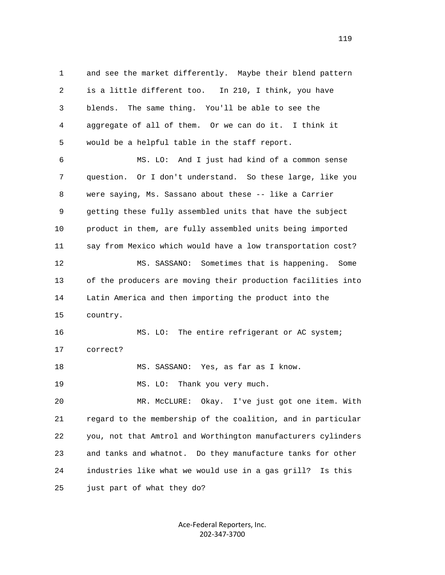1 and see the market differently. Maybe their blend pattern 2 is a little different too. In 210, I think, you have 3 blends. The same thing. You'll be able to see the 4 aggregate of all of them. Or we can do it. I think it 5 would be a helpful table in the staff report.

 6 MS. LO: And I just had kind of a common sense 7 question. Or I don't understand. So these large, like you 8 were saying, Ms. Sassano about these -- like a Carrier 9 getting these fully assembled units that have the subject 10 product in them, are fully assembled units being imported 11 say from Mexico which would have a low transportation cost? 12 MS. SASSANO: Sometimes that is happening. Some 13 of the producers are moving their production facilities into 14 Latin America and then importing the product into the 15 country. 16 MS. LO: The entire refrigerant or AC system;

17 correct?

18 MS. SASSANO: Yes, as far as I know.

19 MS. LO: Thank you very much.

 20 MR. McCLURE: Okay. I've just got one item. With 21 regard to the membership of the coalition, and in particular 22 you, not that Amtrol and Worthington manufacturers cylinders 23 and tanks and whatnot. Do they manufacture tanks for other 24 industries like what we would use in a gas grill? Is this 25 just part of what they do?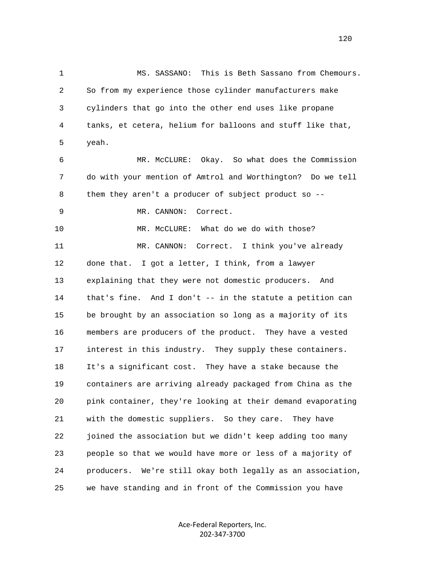1 MS. SASSANO: This is Beth Sassano from Chemours. 2 So from my experience those cylinder manufacturers make 3 cylinders that go into the other end uses like propane 4 tanks, et cetera, helium for balloons and stuff like that, 5 yeah. 6 MR. McCLURE: Okay. So what does the Commission 7 do with your mention of Amtrol and Worthington? Do we tell 8 them they aren't a producer of subject product so -- 9 MR. CANNON: Correct. 10 MR. McCLURE: What do we do with those? 11 MR. CANNON: Correct. I think you've already 12 done that. I got a letter, I think, from a lawyer 13 explaining that they were not domestic producers. And 14 that's fine. And I don't -- in the statute a petition can 15 be brought by an association so long as a majority of its 16 members are producers of the product. They have a vested 17 interest in this industry. They supply these containers. 18 It's a significant cost. They have a stake because the 19 containers are arriving already packaged from China as the 20 pink container, they're looking at their demand evaporating 21 with the domestic suppliers. So they care. They have 22 joined the association but we didn't keep adding too many 23 people so that we would have more or less of a majority of 24 producers. We're still okay both legally as an association, 25 we have standing and in front of the Commission you have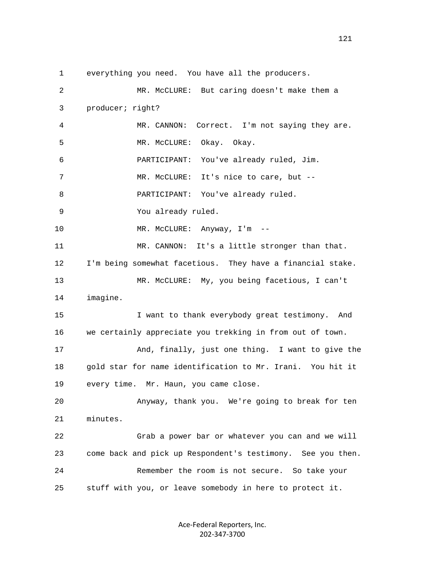1 everything you need. You have all the producers.

| 2  | MR. McCLURE: But caring doesn't make them a                 |
|----|-------------------------------------------------------------|
| 3  | producer; right?                                            |
| 4  | MR. CANNON:<br>Correct. I'm not saying they are.            |
| 5  | Okay. Okay.<br>MR. MCCLURE:                                 |
| 6  | You've already ruled, Jim.<br>PARTICIPANT:                  |
| 7  | It's nice to care, but --<br>MR. MCCLURE:                   |
| 8  | You've already ruled.<br>PARTICIPANT:                       |
| 9  | You already ruled.                                          |
| 10 | MR. McCLURE: Anyway, I'm --                                 |
| 11 | MR. CANNON: It's a little stronger than that.               |
| 12 | I'm being somewhat facetious. They have a financial stake.  |
| 13 | MR. McCLURE: My, you being facetious, I can't               |
| 14 | imagine.                                                    |
| 15 | I want to thank everybody great testimony. And              |
| 16 | we certainly appreciate you trekking in from out of town.   |
| 17 | And, finally, just one thing. I want to give the            |
| 18 | gold star for name identification to Mr. Irani. You hit it  |
| 19 | every time. Mr. Haun, you came close.                       |
| 20 | Anyway, thank you. We're going to break for ten             |
| 21 | minutes.                                                    |
| 22 | Grab a power bar or whatever you can and we will            |
| 23 | come back and pick up Respondent's testimony. See you then. |
| 24 | Remember the room is not secure. So take your               |
| 25 | stuff with you, or leave somebody in here to protect it.    |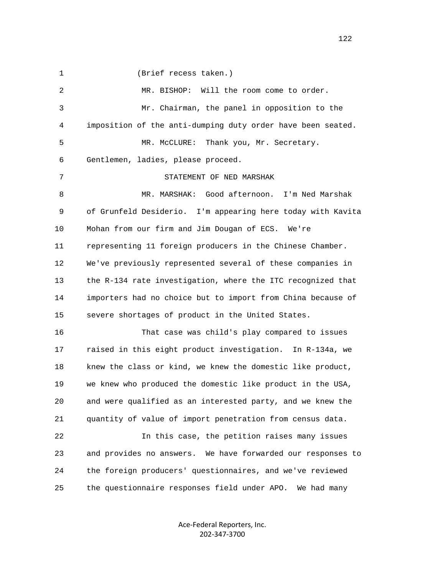1 (Brief recess taken.) 2 MR. BISHOP: Will the room come to order. 3 Mr. Chairman, the panel in opposition to the 4 imposition of the anti-dumping duty order have been seated. 5 MR. McCLURE: Thank you, Mr. Secretary. 6 Gentlemen, ladies, please proceed. 7 STATEMENT OF NED MARSHAK 8 MR. MARSHAK: Good afternoon. I'm Ned Marshak 9 of Grunfeld Desiderio. I'm appearing here today with Kavita 10 Mohan from our firm and Jim Dougan of ECS. We're 11 representing 11 foreign producers in the Chinese Chamber. 12 We've previously represented several of these companies in 13 the R-134 rate investigation, where the ITC recognized that 14 importers had no choice but to import from China because of 15 severe shortages of product in the United States. 16 That case was child's play compared to issues 17 raised in this eight product investigation. In R-134a, we 18 knew the class or kind, we knew the domestic like product, 19 we knew who produced the domestic like product in the USA, 20 and were qualified as an interested party, and we knew the 21 quantity of value of import penetration from census data. 22 In this case, the petition raises many issues 23 and provides no answers. We have forwarded our responses to 24 the foreign producers' questionnaires, and we've reviewed 25 the questionnaire responses field under APO. We had many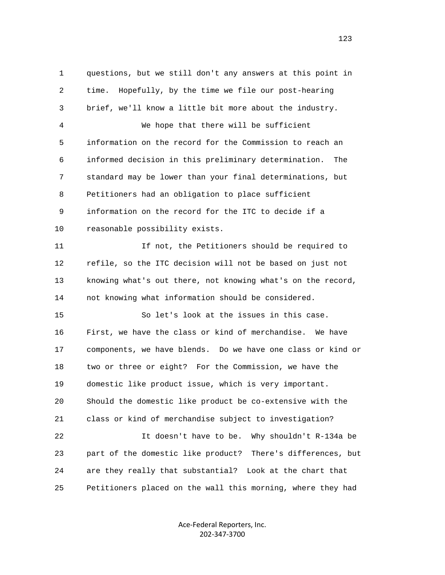1 questions, but we still don't any answers at this point in 2 time. Hopefully, by the time we file our post-hearing 3 brief, we'll know a little bit more about the industry. 4 We hope that there will be sufficient 5 information on the record for the Commission to reach an 6 informed decision in this preliminary determination. The 7 standard may be lower than your final determinations, but 8 Petitioners had an obligation to place sufficient 9 information on the record for the ITC to decide if a 10 reasonable possibility exists. 11 If not, the Petitioners should be required to 12 refile, so the ITC decision will not be based on just not 13 knowing what's out there, not knowing what's on the record, 14 not knowing what information should be considered. 15 So let's look at the issues in this case. 16 First, we have the class or kind of merchandise. We have 17 components, we have blends. Do we have one class or kind or 18 two or three or eight? For the Commission, we have the 19 domestic like product issue, which is very important. 20 Should the domestic like product be co-extensive with the 21 class or kind of merchandise subject to investigation? 22 It doesn't have to be. Why shouldn't R-134a be 23 part of the domestic like product? There's differences, but 24 are they really that substantial? Look at the chart that 25 Petitioners placed on the wall this morning, where they had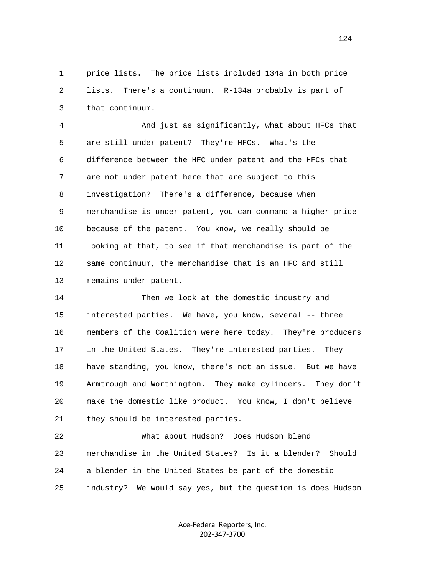1 price lists. The price lists included 134a in both price 2 lists. There's a continuum. R-134a probably is part of 3 that continuum.

 4 And just as significantly, what about HFCs that 5 are still under patent? They're HFCs. What's the 6 difference between the HFC under patent and the HFCs that 7 are not under patent here that are subject to this 8 investigation? There's a difference, because when 9 merchandise is under patent, you can command a higher price 10 because of the patent. You know, we really should be 11 looking at that, to see if that merchandise is part of the 12 same continuum, the merchandise that is an HFC and still 13 remains under patent.

 14 Then we look at the domestic industry and 15 interested parties. We have, you know, several -- three 16 members of the Coalition were here today. They're producers 17 in the United States. They're interested parties. They 18 have standing, you know, there's not an issue. But we have 19 Armtrough and Worthington. They make cylinders. They don't 20 make the domestic like product. You know, I don't believe 21 they should be interested parties.

 22 What about Hudson? Does Hudson blend 23 merchandise in the United States? Is it a blender? Should 24 a blender in the United States be part of the domestic 25 industry? We would say yes, but the question is does Hudson

> Ace‐Federal Reporters, Inc. 202‐347‐3700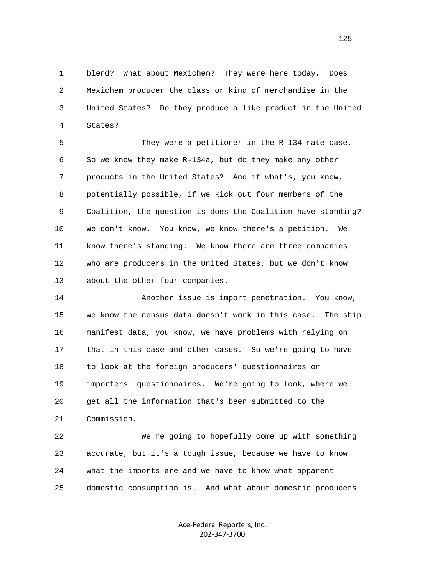1 blend? What about Mexichem? They were here today. Does 2 Mexichem producer the class or kind of merchandise in the 3 United States? Do they produce a like product in the United 4 States?

 5 They were a petitioner in the R-134 rate case. 6 So we know they make R-134a, but do they make any other 7 products in the United States? And if what's, you know, 8 potentially possible, if we kick out four members of the 9 Coalition, the question is does the Coalition have standing? 10 We don't know. You know, we know there's a petition. We 11 know there's standing. We know there are three companies 12 who are producers in the United States, but we don't know 13 about the other four companies.

 14 Another issue is import penetration. You know, 15 we know the census data doesn't work in this case. The ship 16 manifest data, you know, we have problems with relying on 17 that in this case and other cases. So we're going to have 18 to look at the foreign producers' questionnaires or 19 importers' questionnaires. We're going to look, where we 20 get all the information that's been submitted to the 21 Commission.

 22 We're going to hopefully come up with something 23 accurate, but it's a tough issue, because we have to know 24 what the imports are and we have to know what apparent 25 domestic consumption is. And what about domestic producers

> Ace‐Federal Reporters, Inc. 202‐347‐3700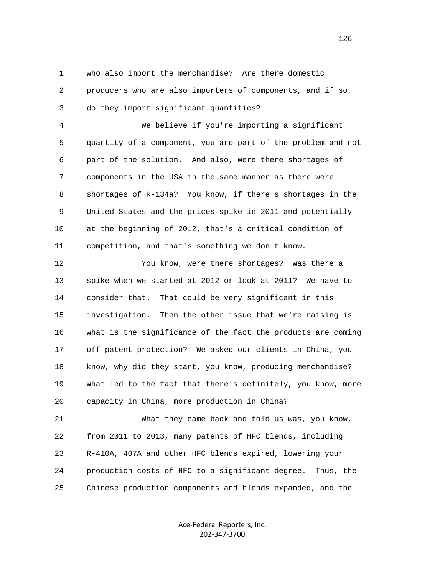1 who also import the merchandise? Are there domestic 2 producers who are also importers of components, and if so, 3 do they import significant quantities?

 4 We believe if you're importing a significant 5 quantity of a component, you are part of the problem and not 6 part of the solution. And also, were there shortages of 7 components in the USA in the same manner as there were 8 shortages of R-134a? You know, if there's shortages in the 9 United States and the prices spike in 2011 and potentially 10 at the beginning of 2012, that's a critical condition of 11 competition, and that's something we don't know.

 12 You know, were there shortages? Was there a 13 spike when we started at 2012 or look at 2011? We have to 14 consider that. That could be very significant in this 15 investigation. Then the other issue that we're raising is 16 what is the significance of the fact the products are coming 17 off patent protection? We asked our clients in China, you 18 know, why did they start, you know, producing merchandise? 19 What led to the fact that there's definitely, you know, more 20 capacity in China, more production in China?

 21 What they came back and told us was, you know, 22 from 2011 to 2013, many patents of HFC blends, including 23 R-410A, 407A and other HFC blends expired, lowering your 24 production costs of HFC to a significant degree. Thus, the 25 Chinese production components and blends expanded, and the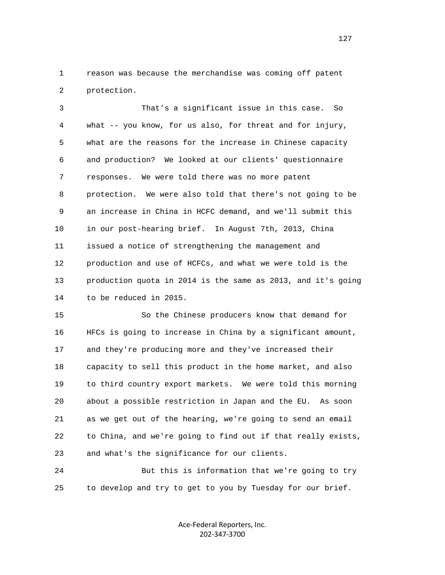1 reason was because the merchandise was coming off patent 2 protection.

 3 That's a significant issue in this case. So 4 what -- you know, for us also, for threat and for injury, 5 what are the reasons for the increase in Chinese capacity 6 and production? We looked at our clients' questionnaire 7 responses. We were told there was no more patent 8 protection. We were also told that there's not going to be 9 an increase in China in HCFC demand, and we'll submit this 10 in our post-hearing brief. In August 7th, 2013, China 11 issued a notice of strengthening the management and 12 production and use of HCFCs, and what we were told is the 13 production quota in 2014 is the same as 2013, and it's going 14 to be reduced in 2015.

 15 So the Chinese producers know that demand for 16 HFCs is going to increase in China by a significant amount, 17 and they're producing more and they've increased their 18 capacity to sell this product in the home market, and also 19 to third country export markets. We were told this morning 20 about a possible restriction in Japan and the EU. As soon 21 as we get out of the hearing, we're going to send an email 22 to China, and we're going to find out if that really exists, 23 and what's the significance for our clients.

 24 But this is information that we're going to try 25 to develop and try to get to you by Tuesday for our brief.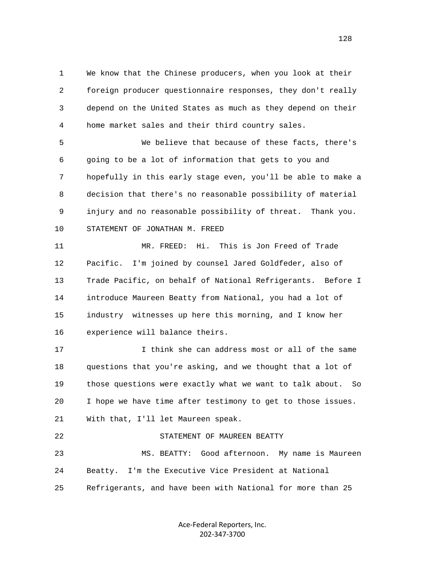1 We know that the Chinese producers, when you look at their 2 foreign producer questionnaire responses, they don't really 3 depend on the United States as much as they depend on their 4 home market sales and their third country sales.

 5 We believe that because of these facts, there's 6 going to be a lot of information that gets to you and 7 hopefully in this early stage even, you'll be able to make a 8 decision that there's no reasonable possibility of material 9 injury and no reasonable possibility of threat. Thank you. 10 STATEMENT OF JONATHAN M. FREED

 11 MR. FREED: Hi. This is Jon Freed of Trade 12 Pacific. I'm joined by counsel Jared Goldfeder, also of 13 Trade Pacific, on behalf of National Refrigerants. Before I 14 introduce Maureen Beatty from National, you had a lot of 15 industry witnesses up here this morning, and I know her 16 experience will balance theirs.

 17 I think she can address most or all of the same 18 questions that you're asking, and we thought that a lot of 19 those questions were exactly what we want to talk about. So 20 I hope we have time after testimony to get to those issues. 21 With that, I'll let Maureen speak. 22 STATEMENT OF MAUREEN BEATTY 23 MS. BEATTY: Good afternoon. My name is Maureen

 24 Beatty. I'm the Executive Vice President at National 25 Refrigerants, and have been with National for more than 25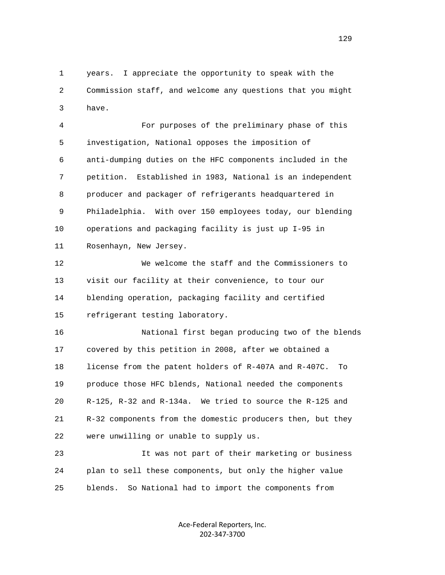1 years. I appreciate the opportunity to speak with the 2 Commission staff, and welcome any questions that you might 3 have.

 4 For purposes of the preliminary phase of this 5 investigation, National opposes the imposition of 6 anti-dumping duties on the HFC components included in the 7 petition. Established in 1983, National is an independent 8 producer and packager of refrigerants headquartered in 9 Philadelphia. With over 150 employees today, our blending 10 operations and packaging facility is just up I-95 in 11 Rosenhayn, New Jersey.

 12 We welcome the staff and the Commissioners to 13 visit our facility at their convenience, to tour our 14 blending operation, packaging facility and certified 15 refrigerant testing laboratory.

 16 National first began producing two of the blends 17 covered by this petition in 2008, after we obtained a 18 license from the patent holders of R-407A and R-407C. To 19 produce those HFC blends, National needed the components 20 R-125, R-32 and R-134a. We tried to source the R-125 and 21 R-32 components from the domestic producers then, but they 22 were unwilling or unable to supply us.

 23 It was not part of their marketing or business 24 plan to sell these components, but only the higher value 25 blends. So National had to import the components from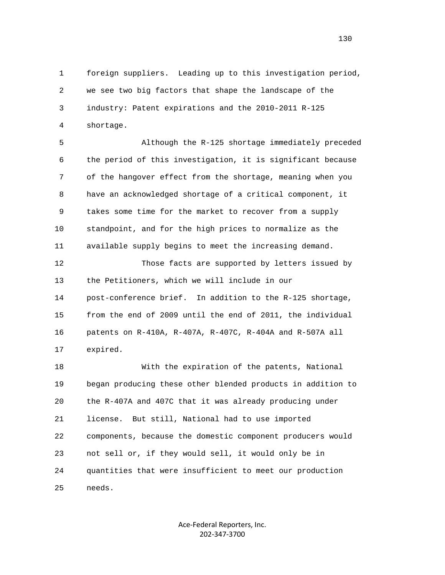1 foreign suppliers. Leading up to this investigation period, 2 we see two big factors that shape the landscape of the 3 industry: Patent expirations and the 2010-2011 R-125 4 shortage.

 5 Although the R-125 shortage immediately preceded 6 the period of this investigation, it is significant because 7 of the hangover effect from the shortage, meaning when you 8 have an acknowledged shortage of a critical component, it 9 takes some time for the market to recover from a supply 10 standpoint, and for the high prices to normalize as the 11 available supply begins to meet the increasing demand.

 12 Those facts are supported by letters issued by 13 the Petitioners, which we will include in our 14 post-conference brief. In addition to the R-125 shortage, 15 from the end of 2009 until the end of 2011, the individual 16 patents on R-410A, R-407A, R-407C, R-404A and R-507A all 17 expired.

 18 With the expiration of the patents, National 19 began producing these other blended products in addition to 20 the R-407A and 407C that it was already producing under 21 license. But still, National had to use imported 22 components, because the domestic component producers would 23 not sell or, if they would sell, it would only be in 24 quantities that were insufficient to meet our production 25 needs.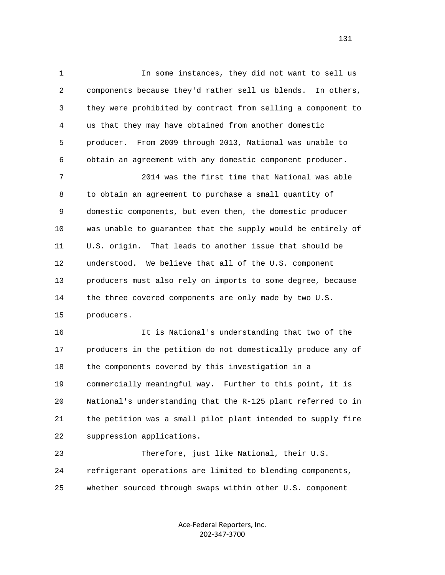1 In some instances, they did not want to sell us 2 components because they'd rather sell us blends. In others, 3 they were prohibited by contract from selling a component to 4 us that they may have obtained from another domestic 5 producer. From 2009 through 2013, National was unable to 6 obtain an agreement with any domestic component producer.

 7 2014 was the first time that National was able 8 to obtain an agreement to purchase a small quantity of 9 domestic components, but even then, the domestic producer 10 was unable to guarantee that the supply would be entirely of 11 U.S. origin. That leads to another issue that should be 12 understood. We believe that all of the U.S. component 13 producers must also rely on imports to some degree, because 14 the three covered components are only made by two U.S. 15 producers.

 16 It is National's understanding that two of the 17 producers in the petition do not domestically produce any of 18 the components covered by this investigation in a 19 commercially meaningful way. Further to this point, it is 20 National's understanding that the R-125 plant referred to in 21 the petition was a small pilot plant intended to supply fire 22 suppression applications.

 23 Therefore, just like National, their U.S. 24 refrigerant operations are limited to blending components, 25 whether sourced through swaps within other U.S. component

> Ace‐Federal Reporters, Inc. 202‐347‐3700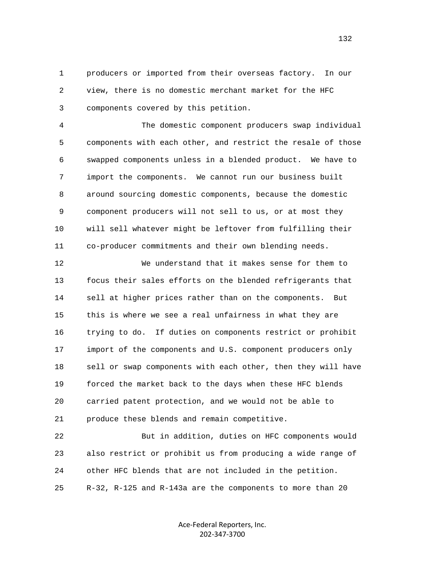1 producers or imported from their overseas factory. In our 2 view, there is no domestic merchant market for the HFC 3 components covered by this petition.

 4 The domestic component producers swap individual 5 components with each other, and restrict the resale of those 6 swapped components unless in a blended product. We have to 7 import the components. We cannot run our business built 8 around sourcing domestic components, because the domestic 9 component producers will not sell to us, or at most they 10 will sell whatever might be leftover from fulfilling their 11 co-producer commitments and their own blending needs.

 12 We understand that it makes sense for them to 13 focus their sales efforts on the blended refrigerants that 14 sell at higher prices rather than on the components. But 15 this is where we see a real unfairness in what they are 16 trying to do. If duties on components restrict or prohibit 17 import of the components and U.S. component producers only 18 sell or swap components with each other, then they will have 19 forced the market back to the days when these HFC blends 20 carried patent protection, and we would not be able to 21 produce these blends and remain competitive.

 22 But in addition, duties on HFC components would 23 also restrict or prohibit us from producing a wide range of 24 other HFC blends that are not included in the petition. 25 R-32, R-125 and R-143a are the components to more than 20

> Ace‐Federal Reporters, Inc. 202‐347‐3700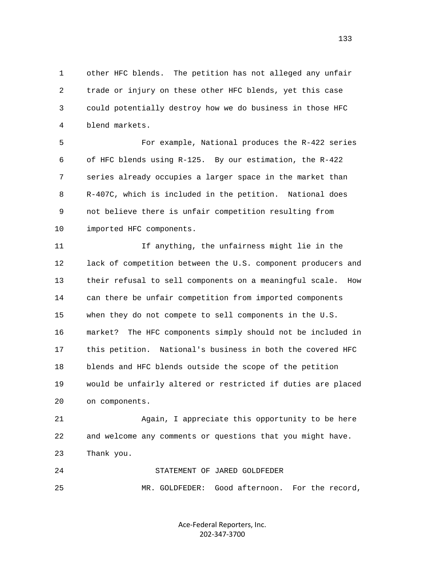1 other HFC blends. The petition has not alleged any unfair 2 trade or injury on these other HFC blends, yet this case 3 could potentially destroy how we do business in those HFC 4 blend markets.

 5 For example, National produces the R-422 series 6 of HFC blends using R-125. By our estimation, the R-422 7 series already occupies a larger space in the market than 8 R-407C, which is included in the petition. National does 9 not believe there is unfair competition resulting from 10 imported HFC components.

 11 If anything, the unfairness might lie in the 12 lack of competition between the U.S. component producers and 13 their refusal to sell components on a meaningful scale. How 14 can there be unfair competition from imported components 15 when they do not compete to sell components in the U.S. 16 market? The HFC components simply should not be included in 17 this petition. National's business in both the covered HFC 18 blends and HFC blends outside the scope of the petition 19 would be unfairly altered or restricted if duties are placed 20 on components.

 21 Again, I appreciate this opportunity to be here 22 and welcome any comments or questions that you might have. 23 Thank you.

 24 STATEMENT OF JARED GOLDFEDER 25 MR. GOLDFEDER: Good afternoon. For the record,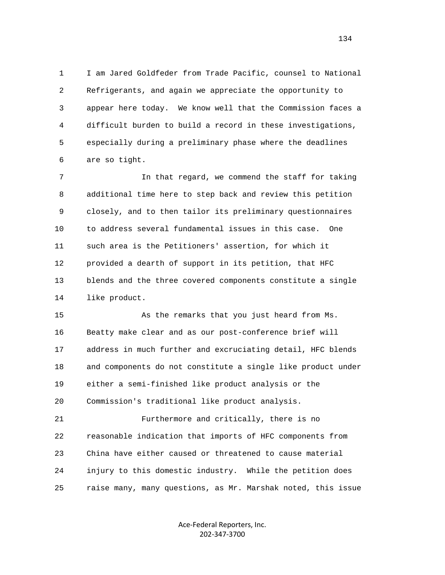1 I am Jared Goldfeder from Trade Pacific, counsel to National 2 Refrigerants, and again we appreciate the opportunity to 3 appear here today. We know well that the Commission faces a 4 difficult burden to build a record in these investigations, 5 especially during a preliminary phase where the deadlines 6 are so tight.

 7 In that regard, we commend the staff for taking 8 additional time here to step back and review this petition 9 closely, and to then tailor its preliminary questionnaires 10 to address several fundamental issues in this case. One 11 such area is the Petitioners' assertion, for which it 12 provided a dearth of support in its petition, that HFC 13 blends and the three covered components constitute a single 14 like product.

 15 As the remarks that you just heard from Ms. 16 Beatty make clear and as our post-conference brief will 17 address in much further and excruciating detail, HFC blends 18 and components do not constitute a single like product under 19 either a semi-finished like product analysis or the 20 Commission's traditional like product analysis.

 21 Furthermore and critically, there is no 22 reasonable indication that imports of HFC components from 23 China have either caused or threatened to cause material 24 injury to this domestic industry. While the petition does 25 raise many, many questions, as Mr. Marshak noted, this issue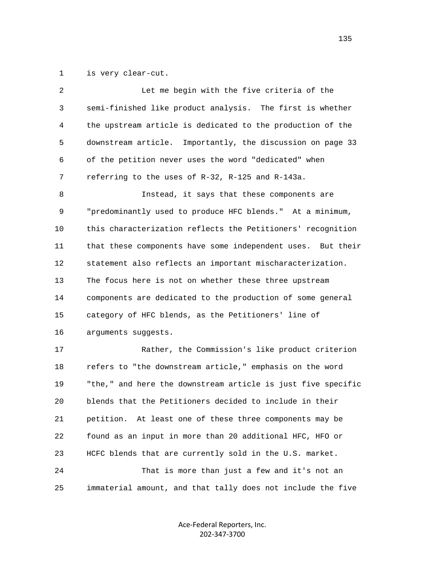1 is very clear-cut.

| 2            | Let me begin with the five criteria of the                   |
|--------------|--------------------------------------------------------------|
| $\mathbf{3}$ | semi-finished like product analysis. The first is whether    |
| 4            | the upstream article is dedicated to the production of the   |
| 5            | downstream article. Importantly, the discussion on page 33   |
| 6            | of the petition never uses the word "dedicated" when         |
| 7            | referring to the uses of R-32, R-125 and R-143a.             |
| 8            | Instead, it says that these components are                   |
| 9            | "predominantly used to produce HFC blends." At a minimum,    |
| 10           | this characterization reflects the Petitioners' recognition  |
| 11           | that these components have some independent uses. But their  |
| 12           | statement also reflects an important mischaracterization.    |
| 13           | The focus here is not on whether these three upstream        |
| 14           | components are dedicated to the production of some general   |
| 15           | category of HFC blends, as the Petitioners' line of          |
| 16           | arguments suggests.                                          |
| 17           | Rather, the Commission's like product criterion              |
| 18           | refers to "the downstream article," emphasis on the word     |
| 19           | "the," and here the downstream article is just five specific |
| 20           | blends that the Petitioners decided to include in their      |
| 21           | At least one of these three components may be<br>petition.   |
| 22           | found as an input in more than 20 additional HFC, HFO or     |
| 23           | HCFC blends that are currently sold in the U.S. market.      |
| 24           | That is more than just a few and it's not an                 |
| 25           | immaterial amount, and that tally does not include the five  |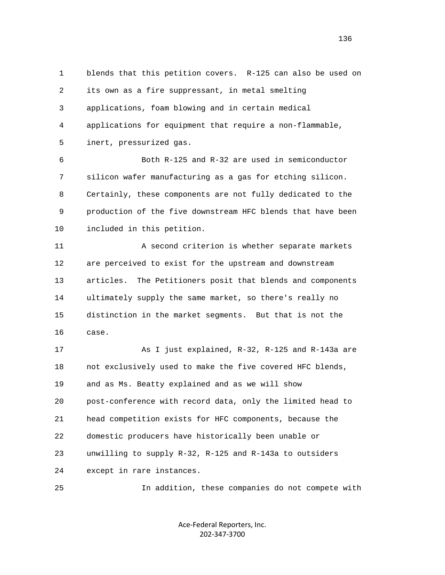1 blends that this petition covers. R-125 can also be used on 2 its own as a fire suppressant, in metal smelting 3 applications, foam blowing and in certain medical 4 applications for equipment that require a non-flammable, 5 inert, pressurized gas. 6 Both R-125 and R-32 are used in semiconductor 7 silicon wafer manufacturing as a gas for etching silicon. 8 Certainly, these components are not fully dedicated to the 9 production of the five downstream HFC blends that have been 10 included in this petition. 11 A second criterion is whether separate markets 12 are perceived to exist for the upstream and downstream 13 articles. The Petitioners posit that blends and components 14 ultimately supply the same market, so there's really no 15 distinction in the market segments. But that is not the 16 case. 17 As I just explained, R-32, R-125 and R-143a are 18 not exclusively used to make the five covered HFC blends, 19 and as Ms. Beatty explained and as we will show 20 post-conference with record data, only the limited head to 21 head competition exists for HFC components, because the 22 domestic producers have historically been unable or 23 unwilling to supply R-32, R-125 and R-143a to outsiders 24 except in rare instances. 25 In addition, these companies do not compete with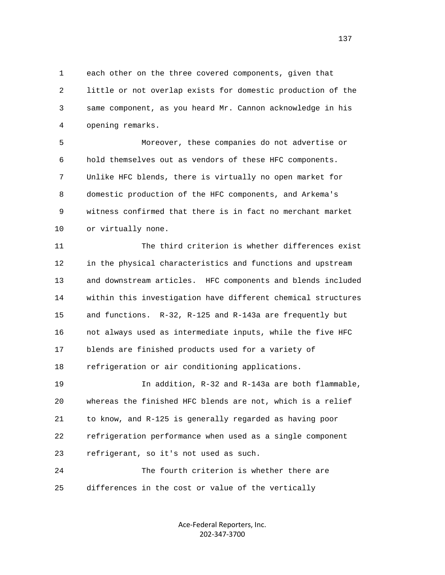1 each other on the three covered components, given that 2 little or not overlap exists for domestic production of the 3 same component, as you heard Mr. Cannon acknowledge in his 4 opening remarks.

 5 Moreover, these companies do not advertise or 6 hold themselves out as vendors of these HFC components. 7 Unlike HFC blends, there is virtually no open market for 8 domestic production of the HFC components, and Arkema's 9 witness confirmed that there is in fact no merchant market 10 or virtually none.

 11 The third criterion is whether differences exist 12 in the physical characteristics and functions and upstream 13 and downstream articles. HFC components and blends included 14 within this investigation have different chemical structures 15 and functions. R-32, R-125 and R-143a are frequently but 16 not always used as intermediate inputs, while the five HFC 17 blends are finished products used for a variety of 18 refrigeration or air conditioning applications.

 19 In addition, R-32 and R-143a are both flammable, 20 whereas the finished HFC blends are not, which is a relief 21 to know, and R-125 is generally regarded as having poor 22 refrigeration performance when used as a single component 23 refrigerant, so it's not used as such.

 24 The fourth criterion is whether there are 25 differences in the cost or value of the vertically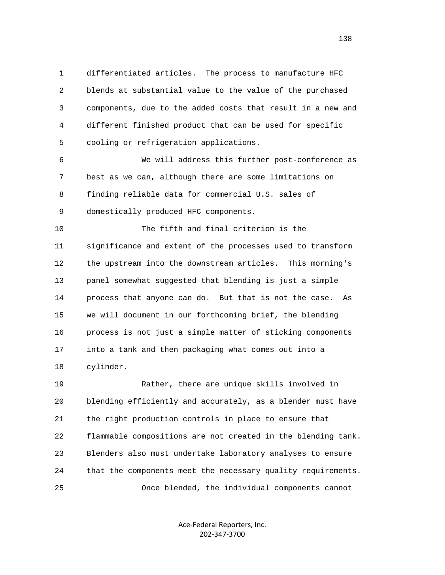1 differentiated articles. The process to manufacture HFC 2 blends at substantial value to the value of the purchased 3 components, due to the added costs that result in a new and 4 different finished product that can be used for specific 5 cooling or refrigeration applications.

 6 We will address this further post-conference as 7 best as we can, although there are some limitations on 8 finding reliable data for commercial U.S. sales of 9 domestically produced HFC components.

 10 The fifth and final criterion is the 11 significance and extent of the processes used to transform 12 the upstream into the downstream articles. This morning's 13 panel somewhat suggested that blending is just a simple 14 process that anyone can do. But that is not the case. As 15 we will document in our forthcoming brief, the blending 16 process is not just a simple matter of sticking components 17 into a tank and then packaging what comes out into a 18 cylinder.

 19 Rather, there are unique skills involved in 20 blending efficiently and accurately, as a blender must have 21 the right production controls in place to ensure that 22 flammable compositions are not created in the blending tank. 23 Blenders also must undertake laboratory analyses to ensure 24 that the components meet the necessary quality requirements. 25 Once blended, the individual components cannot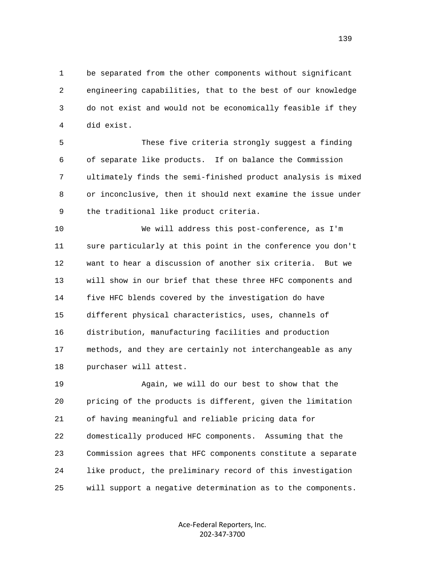1 be separated from the other components without significant 2 engineering capabilities, that to the best of our knowledge 3 do not exist and would not be economically feasible if they 4 did exist.

 5 These five criteria strongly suggest a finding 6 of separate like products. If on balance the Commission 7 ultimately finds the semi-finished product analysis is mixed 8 or inconclusive, then it should next examine the issue under 9 the traditional like product criteria.

 10 We will address this post-conference, as I'm 11 sure particularly at this point in the conference you don't 12 want to hear a discussion of another six criteria. But we 13 will show in our brief that these three HFC components and 14 five HFC blends covered by the investigation do have 15 different physical characteristics, uses, channels of 16 distribution, manufacturing facilities and production 17 methods, and they are certainly not interchangeable as any 18 purchaser will attest.

 19 Again, we will do our best to show that the 20 pricing of the products is different, given the limitation 21 of having meaningful and reliable pricing data for 22 domestically produced HFC components. Assuming that the 23 Commission agrees that HFC components constitute a separate 24 like product, the preliminary record of this investigation 25 will support a negative determination as to the components.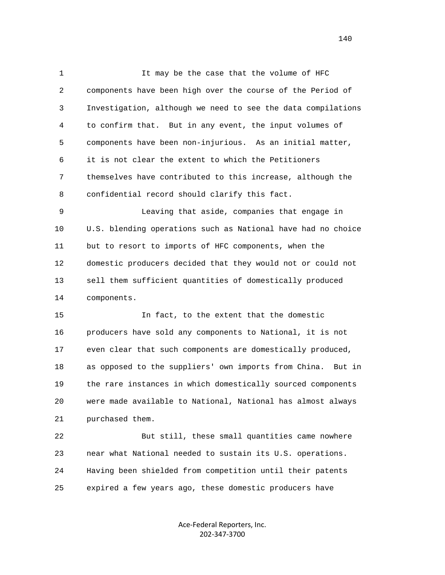1 1 It may be the case that the volume of HFC 2 components have been high over the course of the Period of 3 Investigation, although we need to see the data compilations 4 to confirm that. But in any event, the input volumes of 5 components have been non-injurious. As an initial matter, 6 it is not clear the extent to which the Petitioners 7 themselves have contributed to this increase, although the 8 confidential record should clarify this fact.

 9 Leaving that aside, companies that engage in 10 U.S. blending operations such as National have had no choice 11 but to resort to imports of HFC components, when the 12 domestic producers decided that they would not or could not 13 sell them sufficient quantities of domestically produced 14 components.

 15 In fact, to the extent that the domestic 16 producers have sold any components to National, it is not 17 even clear that such components are domestically produced, 18 as opposed to the suppliers' own imports from China. But in 19 the rare instances in which domestically sourced components 20 were made available to National, National has almost always 21 purchased them.

 22 But still, these small quantities came nowhere 23 near what National needed to sustain its U.S. operations. 24 Having been shielded from competition until their patents 25 expired a few years ago, these domestic producers have

> Ace‐Federal Reporters, Inc. 202‐347‐3700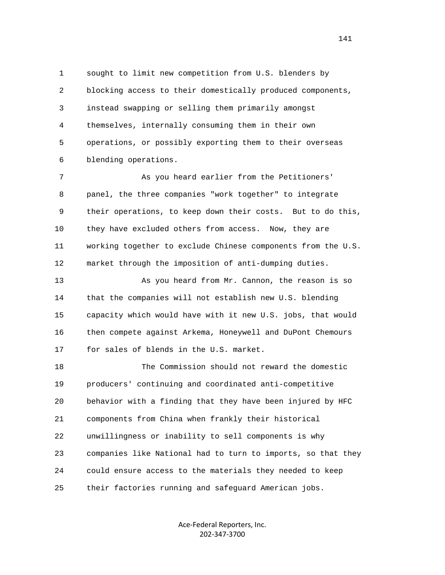1 sought to limit new competition from U.S. blenders by 2 blocking access to their domestically produced components, 3 instead swapping or selling them primarily amongst 4 themselves, internally consuming them in their own 5 operations, or possibly exporting them to their overseas 6 blending operations.

 7 As you heard earlier from the Petitioners' 8 panel, the three companies "work together" to integrate 9 their operations, to keep down their costs. But to do this, 10 they have excluded others from access. Now, they are 11 working together to exclude Chinese components from the U.S. 12 market through the imposition of anti-dumping duties.

13 As you heard from Mr. Cannon, the reason is so 14 that the companies will not establish new U.S. blending 15 capacity which would have with it new U.S. jobs, that would 16 then compete against Arkema, Honeywell and DuPont Chemours 17 for sales of blends in the U.S. market.

 18 The Commission should not reward the domestic 19 producers' continuing and coordinated anti-competitive 20 behavior with a finding that they have been injured by HFC 21 components from China when frankly their historical 22 unwillingness or inability to sell components is why 23 companies like National had to turn to imports, so that they 24 could ensure access to the materials they needed to keep 25 their factories running and safeguard American jobs.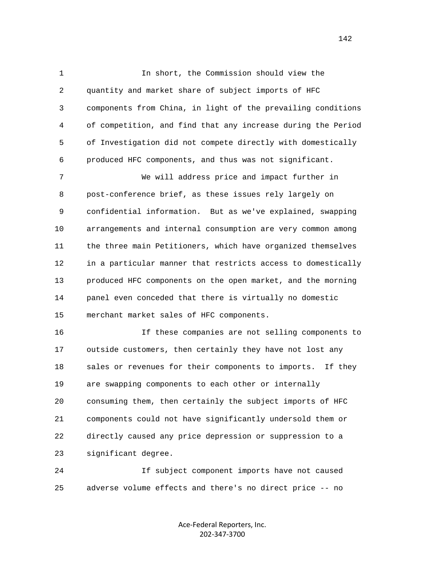1 In short, the Commission should view the 2 quantity and market share of subject imports of HFC 3 components from China, in light of the prevailing conditions 4 of competition, and find that any increase during the Period 5 of Investigation did not compete directly with domestically 6 produced HFC components, and thus was not significant.

 7 We will address price and impact further in 8 post-conference brief, as these issues rely largely on 9 confidential information. But as we've explained, swapping 10 arrangements and internal consumption are very common among 11 the three main Petitioners, which have organized themselves 12 in a particular manner that restricts access to domestically 13 produced HFC components on the open market, and the morning 14 panel even conceded that there is virtually no domestic 15 merchant market sales of HFC components.

 16 If these companies are not selling components to 17 outside customers, then certainly they have not lost any 18 sales or revenues for their components to imports. If they 19 are swapping components to each other or internally 20 consuming them, then certainly the subject imports of HFC 21 components could not have significantly undersold them or 22 directly caused any price depression or suppression to a 23 significant degree.

 24 If subject component imports have not caused 25 adverse volume effects and there's no direct price -- no

> Ace‐Federal Reporters, Inc. 202‐347‐3700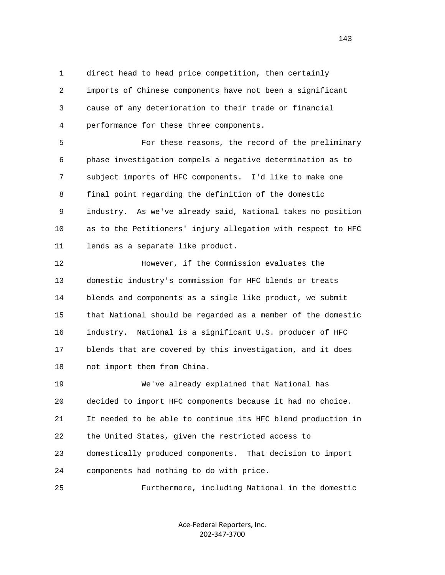1 direct head to head price competition, then certainly 2 imports of Chinese components have not been a significant 3 cause of any deterioration to their trade or financial 4 performance for these three components.

 5 For these reasons, the record of the preliminary 6 phase investigation compels a negative determination as to 7 subject imports of HFC components. I'd like to make one 8 final point regarding the definition of the domestic 9 industry. As we've already said, National takes no position 10 as to the Petitioners' injury allegation with respect to HFC 11 lends as a separate like product.

 12 However, if the Commission evaluates the 13 domestic industry's commission for HFC blends or treats 14 blends and components as a single like product, we submit 15 that National should be regarded as a member of the domestic 16 industry. National is a significant U.S. producer of HFC 17 blends that are covered by this investigation, and it does 18 not import them from China.

 19 We've already explained that National has 20 decided to import HFC components because it had no choice. 21 It needed to be able to continue its HFC blend production in 22 the United States, given the restricted access to 23 domestically produced components. That decision to import 24 components had nothing to do with price.

25 Furthermore, including National in the domestic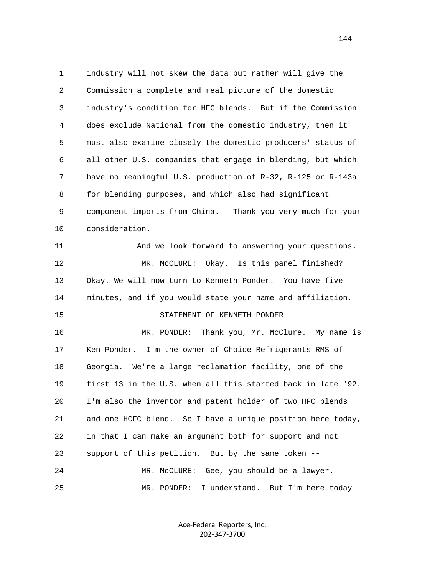1 industry will not skew the data but rather will give the 2 Commission a complete and real picture of the domestic 3 industry's condition for HFC blends. But if the Commission 4 does exclude National from the domestic industry, then it 5 must also examine closely the domestic producers' status of 6 all other U.S. companies that engage in blending, but which 7 have no meaningful U.S. production of R-32, R-125 or R-143a 8 for blending purposes, and which also had significant 9 component imports from China. Thank you very much for your 10 consideration. 11 And we look forward to answering your questions. 12 MR. McCLURE: Okay. Is this panel finished? 13 Okay. We will now turn to Kenneth Ponder. You have five 14 minutes, and if you would state your name and affiliation. 15 STATEMENT OF KENNETH PONDER 16 MR. PONDER: Thank you, Mr. McClure. My name is 17 Ken Ponder. I'm the owner of Choice Refrigerants RMS of 18 Georgia. We're a large reclamation facility, one of the 19 first 13 in the U.S. when all this started back in late '92. 20 I'm also the inventor and patent holder of two HFC blends 21 and one HCFC blend. So I have a unique position here today, 22 in that I can make an argument both for support and not 23 support of this petition. But by the same token -- 24 MR. McCLURE: Gee, you should be a lawyer. 25 MR. PONDER: I understand. But I'm here today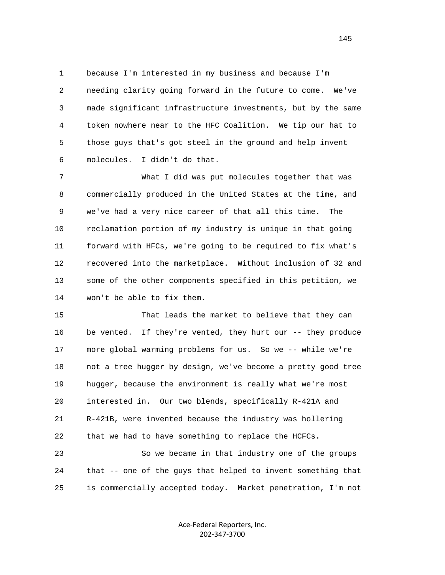1 because I'm interested in my business and because I'm 2 needing clarity going forward in the future to come. We've 3 made significant infrastructure investments, but by the same 4 token nowhere near to the HFC Coalition. We tip our hat to 5 those guys that's got steel in the ground and help invent 6 molecules. I didn't do that.

 7 What I did was put molecules together that was 8 commercially produced in the United States at the time, and 9 we've had a very nice career of that all this time. The 10 reclamation portion of my industry is unique in that going 11 forward with HFCs, we're going to be required to fix what's 12 recovered into the marketplace. Without inclusion of 32 and 13 some of the other components specified in this petition, we 14 won't be able to fix them.

 15 That leads the market to believe that they can 16 be vented. If they're vented, they hurt our -- they produce 17 more global warming problems for us. So we -- while we're 18 not a tree hugger by design, we've become a pretty good tree 19 hugger, because the environment is really what we're most 20 interested in. Our two blends, specifically R-421A and 21 R-421B, were invented because the industry was hollering 22 that we had to have something to replace the HCFCs.

 23 So we became in that industry one of the groups 24 that -- one of the guys that helped to invent something that 25 is commercially accepted today. Market penetration, I'm not

> Ace‐Federal Reporters, Inc. 202‐347‐3700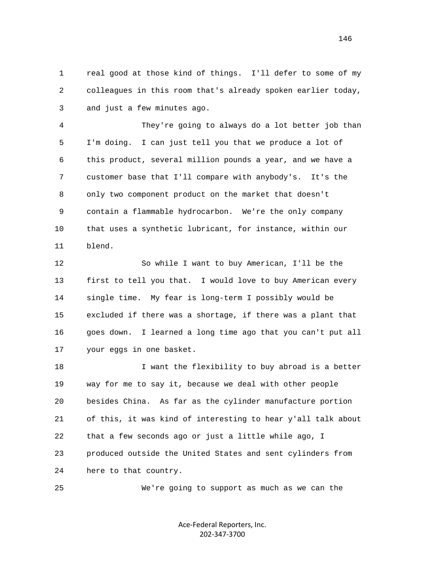1 real good at those kind of things. I'll defer to some of my 2 colleagues in this room that's already spoken earlier today, 3 and just a few minutes ago.

 4 They're going to always do a lot better job than 5 I'm doing. I can just tell you that we produce a lot of 6 this product, several million pounds a year, and we have a 7 customer base that I'll compare with anybody's. It's the 8 only two component product on the market that doesn't 9 contain a flammable hydrocarbon. We're the only company 10 that uses a synthetic lubricant, for instance, within our 11 blend.

 12 So while I want to buy American, I'll be the 13 first to tell you that. I would love to buy American every 14 single time. My fear is long-term I possibly would be 15 excluded if there was a shortage, if there was a plant that 16 goes down. I learned a long time ago that you can't put all 17 your eggs in one basket.

18 18 I want the flexibility to buy abroad is a better 19 way for me to say it, because we deal with other people 20 besides China. As far as the cylinder manufacture portion 21 of this, it was kind of interesting to hear y'all talk about 22 that a few seconds ago or just a little while ago, I 23 produced outside the United States and sent cylinders from 24 here to that country.

25 We're going to support as much as we can the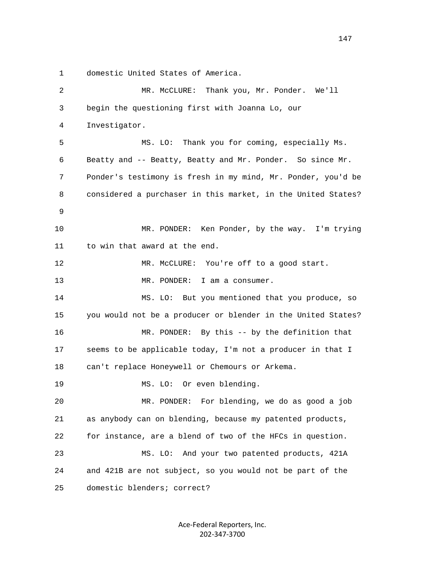1 domestic United States of America.

 2 MR. McCLURE: Thank you, Mr. Ponder. We'll 3 begin the questioning first with Joanna Lo, our 4 Investigator. 5 MS. LO: Thank you for coming, especially Ms. 6 Beatty and -- Beatty, Beatty and Mr. Ponder. So since Mr. 7 Ponder's testimony is fresh in my mind, Mr. Ponder, you'd be 8 considered a purchaser in this market, in the United States? 9 10 MR. PONDER: Ken Ponder, by the way. I'm trying 11 to win that award at the end. 12 MR. McCLURE: You're off to a good start. 13 MR. PONDER: I am a consumer. 14 MS. LO: But you mentioned that you produce, so 15 you would not be a producer or blender in the United States? 16 MR. PONDER: By this -- by the definition that 17 seems to be applicable today, I'm not a producer in that I 18 can't replace Honeywell or Chemours or Arkema. 19 MS. LO: Or even blending. 20 MR. PONDER: For blending, we do as good a job 21 as anybody can on blending, because my patented products, 22 for instance, are a blend of two of the HFCs in question. 23 MS. LO: And your two patented products, 421A 24 and 421B are not subject, so you would not be part of the 25 domestic blenders; correct?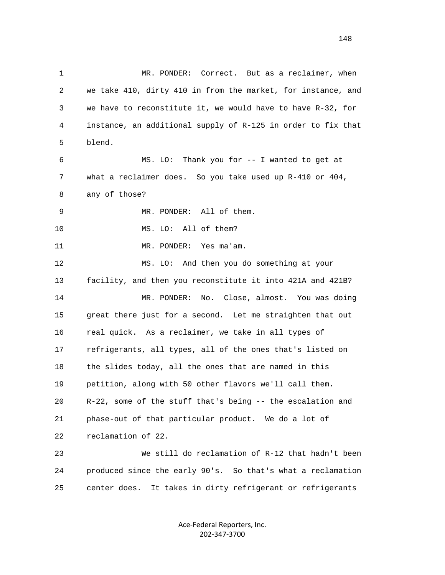1 MR. PONDER: Correct. But as a reclaimer, when 2 we take 410, dirty 410 in from the market, for instance, and 3 we have to reconstitute it, we would have to have R-32, for 4 instance, an additional supply of R-125 in order to fix that 5 blend. 6 MS. LO: Thank you for -- I wanted to get at 7 what a reclaimer does. So you take used up R-410 or 404, 8 any of those? 9 MR. PONDER: All of them. 10 MS. LO: All of them? 11 MR. PONDER: Yes ma'am. 12 MS. LO: And then you do something at your 13 facility, and then you reconstitute it into 421A and 421B? 14 MR. PONDER: No. Close, almost. You was doing 15 great there just for a second. Let me straighten that out 16 real quick. As a reclaimer, we take in all types of 17 refrigerants, all types, all of the ones that's listed on 18 the slides today, all the ones that are named in this 19 petition, along with 50 other flavors we'll call them. 20 R-22, some of the stuff that's being -- the escalation and 21 phase-out of that particular product. We do a lot of 22 reclamation of 22. 23 We still do reclamation of R-12 that hadn't been 24 produced since the early 90's. So that's what a reclamation 25 center does. It takes in dirty refrigerant or refrigerants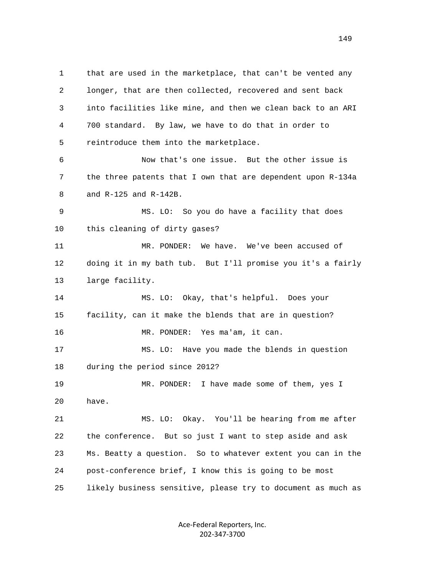1 that are used in the marketplace, that can't be vented any 2 longer, that are then collected, recovered and sent back 3 into facilities like mine, and then we clean back to an ARI 4 700 standard. By law, we have to do that in order to 5 reintroduce them into the marketplace. 6 Now that's one issue. But the other issue is 7 the three patents that I own that are dependent upon R-134a 8 and R-125 and R-142B. 9 MS. LO: So you do have a facility that does 10 this cleaning of dirty gases? 11 MR. PONDER: We have. We've been accused of 12 doing it in my bath tub. But I'll promise you it's a fairly 13 large facility. 14 MS. LO: Okay, that's helpful. Does your 15 facility, can it make the blends that are in question? 16 MR. PONDER: Yes ma'am, it can. 17 MS. LO: Have you made the blends in question 18 during the period since 2012? 19 MR. PONDER: I have made some of them, yes I 20 have. 21 MS. LO: Okay. You'll be hearing from me after 22 the conference. But so just I want to step aside and ask 23 Ms. Beatty a question. So to whatever extent you can in the 24 post-conference brief, I know this is going to be most 25 likely business sensitive, please try to document as much as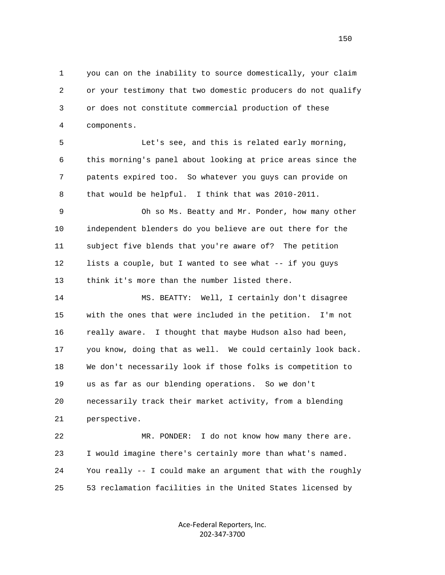1 you can on the inability to source domestically, your claim 2 or your testimony that two domestic producers do not qualify 3 or does not constitute commercial production of these 4 components.

 5 Let's see, and this is related early morning, 6 this morning's panel about looking at price areas since the 7 patents expired too. So whatever you guys can provide on 8 that would be helpful. I think that was 2010-2011.

 9 Oh so Ms. Beatty and Mr. Ponder, how many other 10 independent blenders do you believe are out there for the 11 subject five blends that you're aware of? The petition 12 lists a couple, but I wanted to see what -- if you guys 13 think it's more than the number listed there.

 14 MS. BEATTY: Well, I certainly don't disagree 15 with the ones that were included in the petition. I'm not 16 really aware. I thought that maybe Hudson also had been, 17 you know, doing that as well. We could certainly look back. 18 We don't necessarily look if those folks is competition to 19 us as far as our blending operations. So we don't 20 necessarily track their market activity, from a blending 21 perspective.

 22 MR. PONDER: I do not know how many there are. 23 I would imagine there's certainly more than what's named. 24 You really -- I could make an argument that with the roughly 25 53 reclamation facilities in the United States licensed by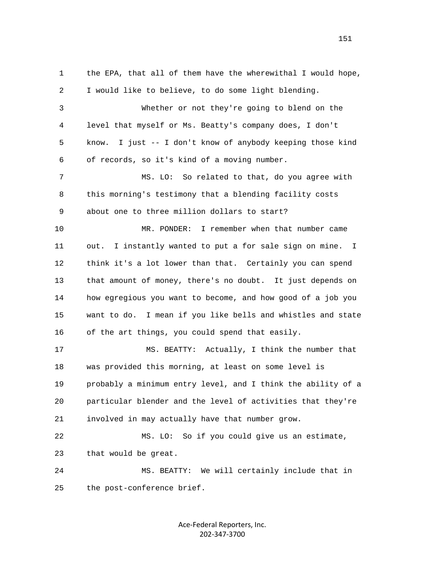1 the EPA, that all of them have the wherewithal I would hope, 2 I would like to believe, to do some light blending. 3 Whether or not they're going to blend on the 4 level that myself or Ms. Beatty's company does, I don't 5 know. I just -- I don't know of anybody keeping those kind 6 of records, so it's kind of a moving number. 7 MS. LO: So related to that, do you agree with 8 this morning's testimony that a blending facility costs 9 about one to three million dollars to start? 10 MR. PONDER: I remember when that number came 11 out. I instantly wanted to put a for sale sign on mine. I 12 think it's a lot lower than that. Certainly you can spend 13 that amount of money, there's no doubt. It just depends on 14 how egregious you want to become, and how good of a job you 15 want to do. I mean if you like bells and whistles and state 16 of the art things, you could spend that easily. 17 MS. BEATTY: Actually, I think the number that 18 was provided this morning, at least on some level is 19 probably a minimum entry level, and I think the ability of a 20 particular blender and the level of activities that they're 21 involved in may actually have that number grow. 22 MS. LO: So if you could give us an estimate, 23 that would be great. 24 MS. BEATTY: We will certainly include that in 25 the post-conference brief.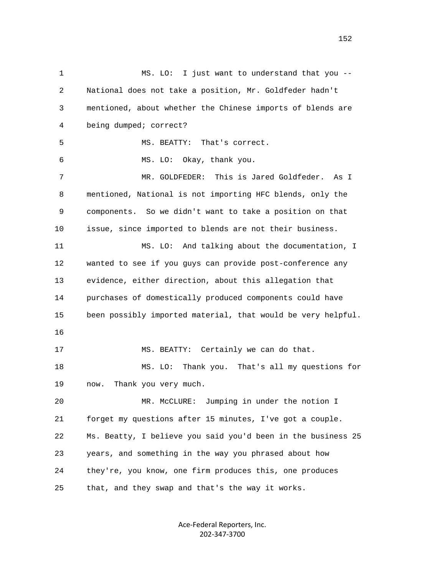1 MS. LO: I just want to understand that you -- 2 National does not take a position, Mr. Goldfeder hadn't 3 mentioned, about whether the Chinese imports of blends are 4 being dumped; correct? 5 MS. BEATTY: That's correct. 6 MS. LO: Okay, thank you. 7 MR. GOLDFEDER: This is Jared Goldfeder. As I 8 mentioned, National is not importing HFC blends, only the 9 components. So we didn't want to take a position on that 10 issue, since imported to blends are not their business. 11 MS. LO: And talking about the documentation, I 12 wanted to see if you guys can provide post-conference any 13 evidence, either direction, about this allegation that 14 purchases of domestically produced components could have 15 been possibly imported material, that would be very helpful. 16 17 MS. BEATTY: Certainly we can do that. 18 MS. LO: Thank you. That's all my questions for 19 now. Thank you very much. 20 MR. McCLURE: Jumping in under the notion I 21 forget my questions after 15 minutes, I've got a couple. 22 Ms. Beatty, I believe you said you'd been in the business 25 23 years, and something in the way you phrased about how 24 they're, you know, one firm produces this, one produces 25 that, and they swap and that's the way it works.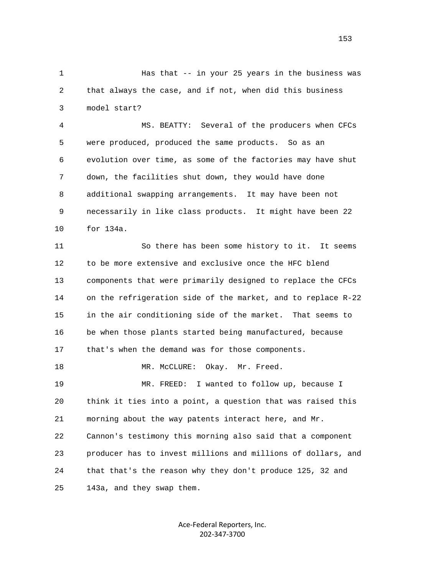1 Has that -- in your 25 years in the business was 2 that always the case, and if not, when did this business 3 model start?

 4 MS. BEATTY: Several of the producers when CFCs 5 were produced, produced the same products. So as an 6 evolution over time, as some of the factories may have shut 7 down, the facilities shut down, they would have done 8 additional swapping arrangements. It may have been not 9 necessarily in like class products. It might have been 22 10 for 134a.

 11 So there has been some history to it. It seems 12 to be more extensive and exclusive once the HFC blend 13 components that were primarily designed to replace the CFCs 14 on the refrigeration side of the market, and to replace R-22 15 in the air conditioning side of the market. That seems to 16 be when those plants started being manufactured, because 17 that's when the demand was for those components. 18 MR. McCLURE: Okay. Mr. Freed. 19 MR. FREED: I wanted to follow up, because I

 20 think it ties into a point, a question that was raised this 21 morning about the way patents interact here, and Mr. 22 Cannon's testimony this morning also said that a component 23 producer has to invest millions and millions of dollars, and 24 that that's the reason why they don't produce 125, 32 and 25 143a, and they swap them.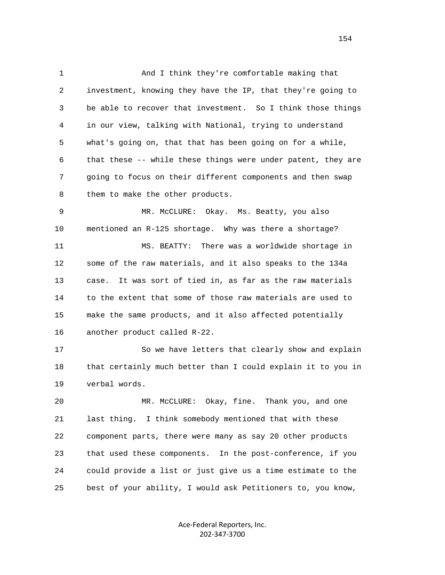1 And I think they're comfortable making that 2 investment, knowing they have the IP, that they're going to 3 be able to recover that investment. So I think those things 4 in our view, talking with National, trying to understand 5 what's going on, that that has been going on for a while, 6 that these -- while these things were under patent, they are 7 going to focus on their different components and then swap 8 them to make the other products.

 9 MR. McCLURE: Okay. Ms. Beatty, you also 10 mentioned an R-125 shortage. Why was there a shortage? 11 MS. BEATTY: There was a worldwide shortage in 12 some of the raw materials, and it also speaks to the 134a 13 case. It was sort of tied in, as far as the raw materials 14 to the extent that some of those raw materials are used to 15 make the same products, and it also affected potentially 16 another product called R-22.

17 So we have letters that clearly show and explain 18 that certainly much better than I could explain it to you in 19 verbal words.

 20 MR. McCLURE: Okay, fine. Thank you, and one 21 last thing. I think somebody mentioned that with these 22 component parts, there were many as say 20 other products 23 that used these components. In the post-conference, if you 24 could provide a list or just give us a time estimate to the 25 best of your ability, I would ask Petitioners to, you know,

> Ace‐Federal Reporters, Inc. 202‐347‐3700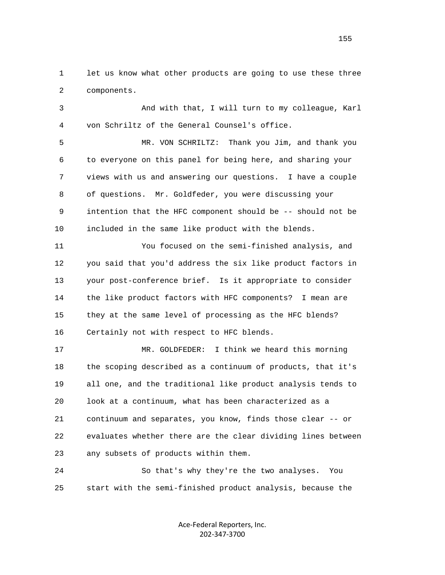1 let us know what other products are going to use these three 2 components.

 3 And with that, I will turn to my colleague, Karl 4 von Schriltz of the General Counsel's office.

 5 MR. VON SCHRILTZ: Thank you Jim, and thank you 6 to everyone on this panel for being here, and sharing your 7 views with us and answering our questions. I have a couple 8 of questions. Mr. Goldfeder, you were discussing your 9 intention that the HFC component should be -- should not be 10 included in the same like product with the blends.

 11 You focused on the semi-finished analysis, and 12 you said that you'd address the six like product factors in 13 your post-conference brief. Is it appropriate to consider 14 the like product factors with HFC components? I mean are 15 they at the same level of processing as the HFC blends? 16 Certainly not with respect to HFC blends.

 17 MR. GOLDFEDER: I think we heard this morning 18 the scoping described as a continuum of products, that it's 19 all one, and the traditional like product analysis tends to 20 look at a continuum, what has been characterized as a 21 continuum and separates, you know, finds those clear -- or 22 evaluates whether there are the clear dividing lines between 23 any subsets of products within them.

 24 So that's why they're the two analyses. You 25 start with the semi-finished product analysis, because the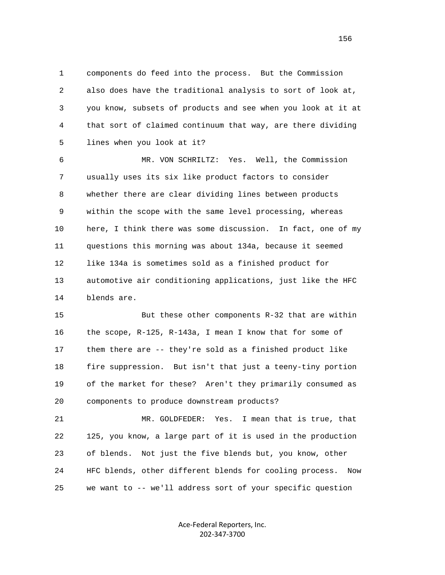1 components do feed into the process. But the Commission 2 also does have the traditional analysis to sort of look at, 3 you know, subsets of products and see when you look at it at 4 that sort of claimed continuum that way, are there dividing 5 lines when you look at it?

 6 MR. VON SCHRILTZ: Yes. Well, the Commission 7 usually uses its six like product factors to consider 8 whether there are clear dividing lines between products 9 within the scope with the same level processing, whereas 10 here, I think there was some discussion. In fact, one of my 11 questions this morning was about 134a, because it seemed 12 like 134a is sometimes sold as a finished product for 13 automotive air conditioning applications, just like the HFC 14 blends are.

 15 But these other components R-32 that are within 16 the scope, R-125, R-143a, I mean I know that for some of 17 them there are -- they're sold as a finished product like 18 fire suppression. But isn't that just a teeny-tiny portion 19 of the market for these? Aren't they primarily consumed as 20 components to produce downstream products?

 21 MR. GOLDFEDER: Yes. I mean that is true, that 22 125, you know, a large part of it is used in the production 23 of blends. Not just the five blends but, you know, other 24 HFC blends, other different blends for cooling process. Now 25 we want to -- we'll address sort of your specific question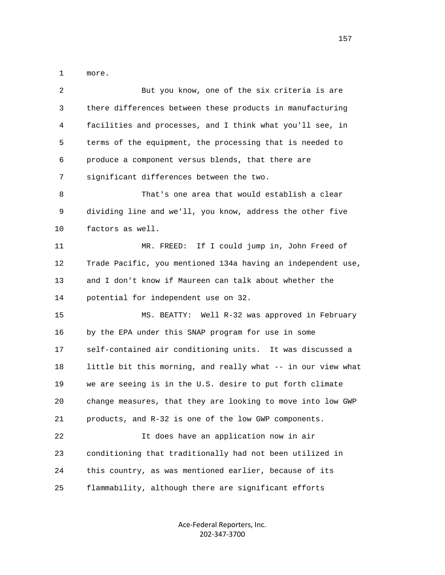1 more.

| 2  | But you know, one of the six criteria is are                 |
|----|--------------------------------------------------------------|
| 3  | there differences between these products in manufacturing    |
| 4  | facilities and processes, and I think what you'll see, in    |
| 5  | terms of the equipment, the processing that is needed to     |
| 6  | produce a component versus blends, that there are            |
| 7  | significant differences between the two.                     |
| 8  | That's one area that would establish a clear                 |
| 9  | dividing line and we'll, you know, address the other five    |
| 10 | factors as well.                                             |
| 11 | MR. FREED: If I could jump in, John Freed of                 |
| 12 | Trade Pacific, you mentioned 134a having an independent use, |
| 13 | and I don't know if Maureen can talk about whether the       |
| 14 | potential for independent use on 32.                         |
| 15 | MS. BEATTY: Well R-32 was approved in February               |
| 16 | by the EPA under this SNAP program for use in some           |
| 17 | self-contained air conditioning units. It was discussed a    |
| 18 | little bit this morning, and really what -- in our view what |
| 19 | we are seeing is in the U.S. desire to put forth climate     |
| 20 | change measures, that they are looking to move into low GWP  |
| 21 | products, and R-32 is one of the low GWP components.         |
| 22 | It does have an application now in air                       |
| 23 | conditioning that traditionally had not been utilized in     |
| 24 | this country, as was mentioned earlier, because of its       |
| 25 | flammability, although there are significant efforts         |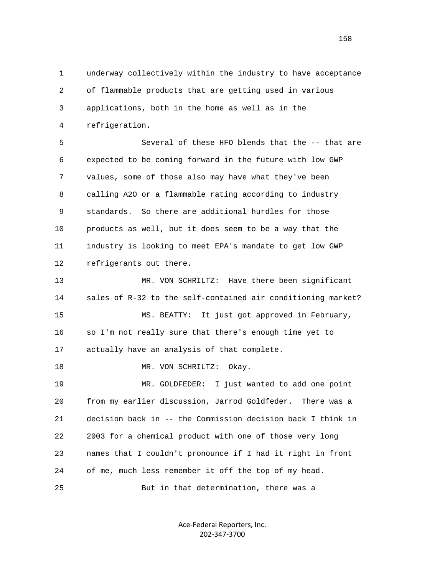1 underway collectively within the industry to have acceptance 2 of flammable products that are getting used in various 3 applications, both in the home as well as in the 4 refrigeration.

 5 Several of these HFO blends that the -- that are 6 expected to be coming forward in the future with low GWP 7 values, some of those also may have what they've been 8 calling A2O or a flammable rating according to industry 9 standards. So there are additional hurdles for those 10 products as well, but it does seem to be a way that the 11 industry is looking to meet EPA's mandate to get low GWP 12 refrigerants out there.

 13 MR. VON SCHRILTZ: Have there been significant 14 sales of R-32 to the self-contained air conditioning market? 15 MS. BEATTY: It just got approved in February, 16 so I'm not really sure that there's enough time yet to 17 actually have an analysis of that complete.

18 MR. VON SCHRILTZ: Okay.

 19 MR. GOLDFEDER: I just wanted to add one point 20 from my earlier discussion, Jarrod Goldfeder. There was a 21 decision back in -- the Commission decision back I think in 22 2003 for a chemical product with one of those very long 23 names that I couldn't pronounce if I had it right in front 24 of me, much less remember it off the top of my head.

25 But in that determination, there was a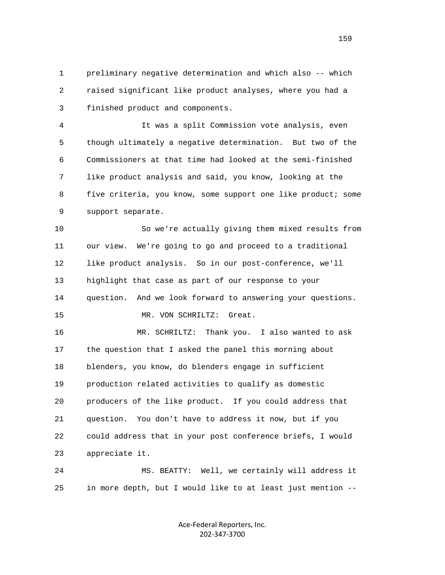1 preliminary negative determination and which also -- which 2 raised significant like product analyses, where you had a 3 finished product and components.

 4 It was a split Commission vote analysis, even 5 though ultimately a negative determination. But two of the 6 Commissioners at that time had looked at the semi-finished 7 like product analysis and said, you know, looking at the 8 five criteria, you know, some support one like product; some 9 support separate.

 10 So we're actually giving them mixed results from 11 our view. We're going to go and proceed to a traditional 12 like product analysis. So in our post-conference, we'll 13 highlight that case as part of our response to your 14 question. And we look forward to answering your questions. 15 MR. VON SCHRILTZ: Great.

 16 MR. SCHRILTZ: Thank you. I also wanted to ask 17 the question that I asked the panel this morning about 18 blenders, you know, do blenders engage in sufficient 19 production related activities to qualify as domestic 20 producers of the like product. If you could address that 21 question. You don't have to address it now, but if you 22 could address that in your post conference briefs, I would 23 appreciate it.

 24 MS. BEATTY: Well, we certainly will address it 25 in more depth, but I would like to at least just mention --

> Ace‐Federal Reporters, Inc. 202‐347‐3700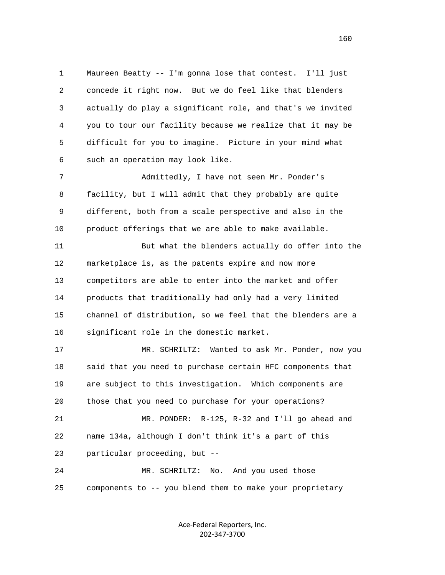1 Maureen Beatty -- I'm gonna lose that contest. I'll just 2 concede it right now. But we do feel like that blenders 3 actually do play a significant role, and that's we invited 4 you to tour our facility because we realize that it may be 5 difficult for you to imagine. Picture in your mind what 6 such an operation may look like.

 7 Admittedly, I have not seen Mr. Ponder's 8 facility, but I will admit that they probably are quite 9 different, both from a scale perspective and also in the 10 product offerings that we are able to make available.

 11 But what the blenders actually do offer into the 12 marketplace is, as the patents expire and now more 13 competitors are able to enter into the market and offer 14 products that traditionally had only had a very limited 15 channel of distribution, so we feel that the blenders are a 16 significant role in the domestic market.

 17 MR. SCHRILTZ: Wanted to ask Mr. Ponder, now you 18 said that you need to purchase certain HFC components that 19 are subject to this investigation. Which components are 20 those that you need to purchase for your operations? 21 MR. PONDER: R-125, R-32 and I'll go ahead and 22 name 134a, although I don't think it's a part of this 23 particular proceeding, but --

 24 MR. SCHRILTZ: No. And you used those 25 components to -- you blend them to make your proprietary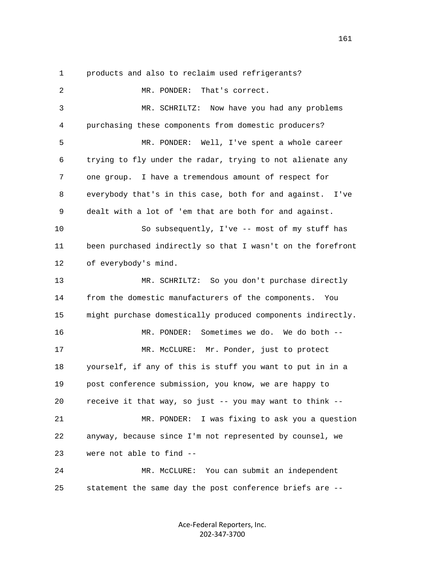|  |  |  |  |  |  |  | products and also to reclaim used refrigerants? |
|--|--|--|--|--|--|--|-------------------------------------------------|
|--|--|--|--|--|--|--|-------------------------------------------------|

 2 MR. PONDER: That's correct. 3 MR. SCHRILTZ: Now have you had any problems 4 purchasing these components from domestic producers? 5 MR. PONDER: Well, I've spent a whole career 6 trying to fly under the radar, trying to not alienate any 7 one group. I have a tremendous amount of respect for 8 everybody that's in this case, both for and against. I've 9 dealt with a lot of 'em that are both for and against. 10 So subsequently, I've -- most of my stuff has 11 been purchased indirectly so that I wasn't on the forefront 12 of everybody's mind. 13 MR. SCHRILTZ: So you don't purchase directly 14 from the domestic manufacturers of the components. You 15 might purchase domestically produced components indirectly. 16 MR. PONDER: Sometimes we do. We do both -- 17 MR. McCLURE: Mr. Ponder, just to protect 18 yourself, if any of this is stuff you want to put in in a 19 post conference submission, you know, we are happy to 20 receive it that way, so just -- you may want to think -- 21 MR. PONDER: I was fixing to ask you a question 22 anyway, because since I'm not represented by counsel, we 23 were not able to find -- 24 MR. McCLURE: You can submit an independent 25 statement the same day the post conference briefs are --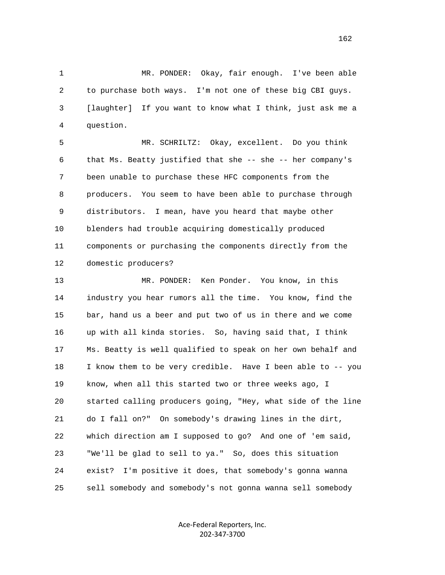1 MR. PONDER: Okay, fair enough. I've been able 2 to purchase both ways. I'm not one of these big CBI guys. 3 [laughter] If you want to know what I think, just ask me a 4 question.

 5 MR. SCHRILTZ: Okay, excellent. Do you think 6 that Ms. Beatty justified that she -- she -- her company's 7 been unable to purchase these HFC components from the 8 producers. You seem to have been able to purchase through 9 distributors. I mean, have you heard that maybe other 10 blenders had trouble acquiring domestically produced 11 components or purchasing the components directly from the 12 domestic producers?

 13 MR. PONDER: Ken Ponder. You know, in this 14 industry you hear rumors all the time. You know, find the 15 bar, hand us a beer and put two of us in there and we come 16 up with all kinda stories. So, having said that, I think 17 Ms. Beatty is well qualified to speak on her own behalf and 18 I know them to be very credible. Have I been able to -- you 19 know, when all this started two or three weeks ago, I 20 started calling producers going, "Hey, what side of the line 21 do I fall on?" On somebody's drawing lines in the dirt, 22 which direction am I supposed to go? And one of 'em said, 23 "We'll be glad to sell to ya." So, does this situation 24 exist? I'm positive it does, that somebody's gonna wanna 25 sell somebody and somebody's not gonna wanna sell somebody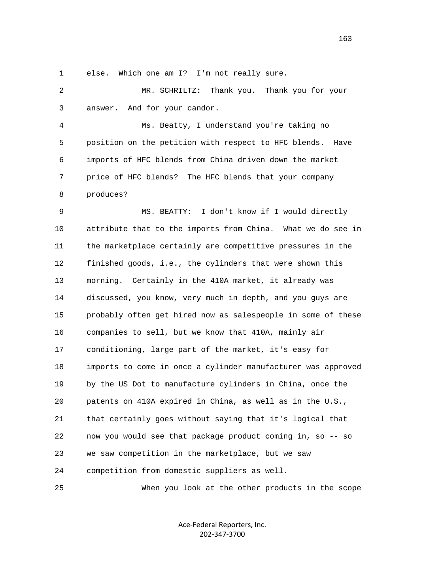1 else. Which one am I? I'm not really sure.

 2 MR. SCHRILTZ: Thank you. Thank you for your 3 answer. And for your candor.

 4 Ms. Beatty, I understand you're taking no 5 position on the petition with respect to HFC blends. Have 6 imports of HFC blends from China driven down the market 7 price of HFC blends? The HFC blends that your company 8 produces?

 9 MS. BEATTY: I don't know if I would directly 10 attribute that to the imports from China. What we do see in 11 the marketplace certainly are competitive pressures in the 12 finished goods, i.e., the cylinders that were shown this 13 morning. Certainly in the 410A market, it already was 14 discussed, you know, very much in depth, and you guys are 15 probably often get hired now as salespeople in some of these 16 companies to sell, but we know that 410A, mainly air 17 conditioning, large part of the market, it's easy for 18 imports to come in once a cylinder manufacturer was approved 19 by the US Dot to manufacture cylinders in China, once the 20 patents on 410A expired in China, as well as in the U.S., 21 that certainly goes without saying that it's logical that 22 now you would see that package product coming in, so -- so 23 we saw competition in the marketplace, but we saw 24 competition from domestic suppliers as well.

25 When you look at the other products in the scope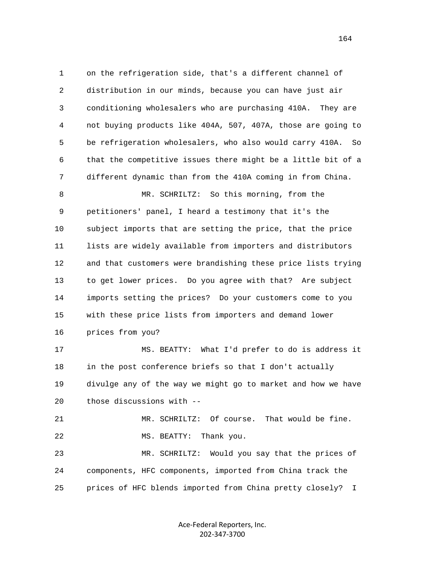1 on the refrigeration side, that's a different channel of 2 distribution in our minds, because you can have just air 3 conditioning wholesalers who are purchasing 410A. They are 4 not buying products like 404A, 507, 407A, those are going to 5 be refrigeration wholesalers, who also would carry 410A. So 6 that the competitive issues there might be a little bit of a 7 different dynamic than from the 410A coming in from China. 8 MR. SCHRILTZ: So this morning, from the 9 petitioners' panel, I heard a testimony that it's the 10 subject imports that are setting the price, that the price 11 lists are widely available from importers and distributors 12 and that customers were brandishing these price lists trying 13 to get lower prices. Do you agree with that? Are subject 14 imports setting the prices? Do your customers come to you 15 with these price lists from importers and demand lower 16 prices from you? 17 MS. BEATTY: What I'd prefer to do is address it 18 in the post conference briefs so that I don't actually 19 divulge any of the way we might go to market and how we have 20 those discussions with -- 21 MR. SCHRILTZ: Of course. That would be fine. 22 MS. BEATTY: Thank you.

 23 MR. SCHRILTZ: Would you say that the prices of 24 components, HFC components, imported from China track the 25 prices of HFC blends imported from China pretty closely? I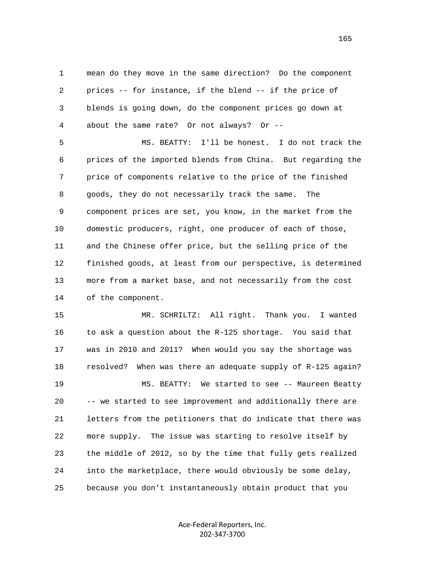1 mean do they move in the same direction? Do the component 2 prices -- for instance, if the blend -- if the price of 3 blends is going down, do the component prices go down at 4 about the same rate? Or not always? Or --

 5 MS. BEATTY: I'll be honest. I do not track the 6 prices of the imported blends from China. But regarding the 7 price of components relative to the price of the finished 8 goods, they do not necessarily track the same. The 9 component prices are set, you know, in the market from the 10 domestic producers, right, one producer of each of those, 11 and the Chinese offer price, but the selling price of the 12 finished goods, at least from our perspective, is determined 13 more from a market base, and not necessarily from the cost 14 of the component.

 15 MR. SCHRILTZ: All right. Thank you. I wanted 16 to ask a question about the R-125 shortage. You said that 17 was in 2010 and 2011? When would you say the shortage was 18 resolved? When was there an adequate supply of R-125 again? 19 MS. BEATTY: We started to see -- Maureen Beatty 20 -- we started to see improvement and additionally there are 21 letters from the petitioners that do indicate that there was 22 more supply. The issue was starting to resolve itself by 23 the middle of 2012, so by the time that fully gets realized 24 into the marketplace, there would obviously be some delay, 25 because you don't instantaneously obtain product that you

> Ace‐Federal Reporters, Inc. 202‐347‐3700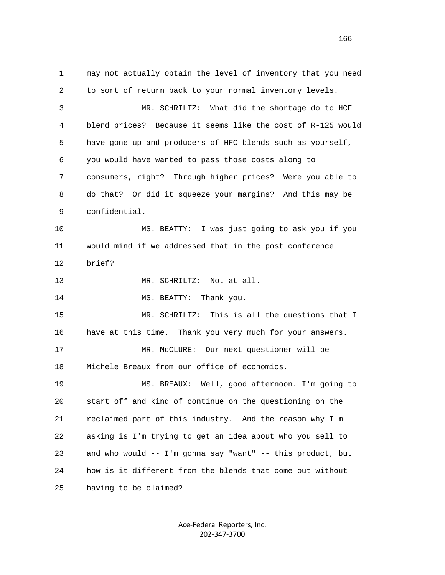1 may not actually obtain the level of inventory that you need 2 to sort of return back to your normal inventory levels. 3 MR. SCHRILTZ: What did the shortage do to HCF 4 blend prices? Because it seems like the cost of R-125 would 5 have gone up and producers of HFC blends such as yourself, 6 you would have wanted to pass those costs along to 7 consumers, right? Through higher prices? Were you able to 8 do that? Or did it squeeze your margins? And this may be 9 confidential. 10 MS. BEATTY: I was just going to ask you if you 11 would mind if we addressed that in the post conference 12 brief? 13 MR. SCHRILTZ: Not at all. 14 MS. BEATTY: Thank you. 15 MR. SCHRILTZ: This is all the questions that I 16 have at this time. Thank you very much for your answers. 17 MR. McCLURE: Our next questioner will be 18 Michele Breaux from our office of economics. 19 MS. BREAUX: Well, good afternoon. I'm going to 20 start off and kind of continue on the questioning on the 21 reclaimed part of this industry. And the reason why I'm 22 asking is I'm trying to get an idea about who you sell to 23 and who would -- I'm gonna say "want" -- this product, but 24 how is it different from the blends that come out without 25 having to be claimed?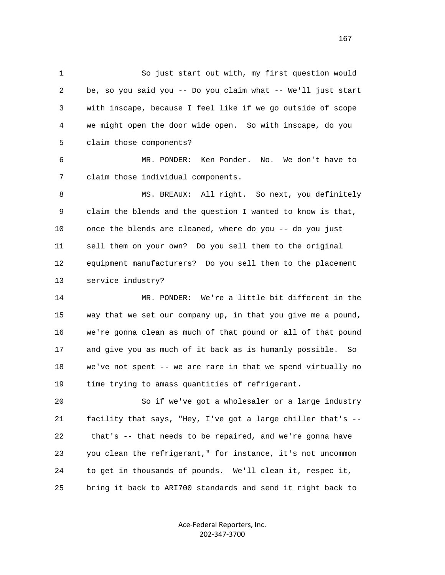1 So just start out with, my first question would 2 be, so you said you -- Do you claim what -- We'll just start 3 with inscape, because I feel like if we go outside of scope 4 we might open the door wide open. So with inscape, do you 5 claim those components?

 6 MR. PONDER: Ken Ponder. No. We don't have to 7 claim those individual components.

8 MS. BREAUX: All right. So next, you definitely 9 claim the blends and the question I wanted to know is that, 10 once the blends are cleaned, where do you -- do you just 11 sell them on your own? Do you sell them to the original 12 equipment manufacturers? Do you sell them to the placement 13 service industry?

 14 MR. PONDER: We're a little bit different in the 15 way that we set our company up, in that you give me a pound, 16 we're gonna clean as much of that pound or all of that pound 17 and give you as much of it back as is humanly possible. So 18 we've not spent -- we are rare in that we spend virtually no 19 time trying to amass quantities of refrigerant.

 20 So if we've got a wholesaler or a large industry 21 facility that says, "Hey, I've got a large chiller that's -- 22 that's -- that needs to be repaired, and we're gonna have 23 you clean the refrigerant," for instance, it's not uncommon 24 to get in thousands of pounds. We'll clean it, respec it, 25 bring it back to ARI700 standards and send it right back to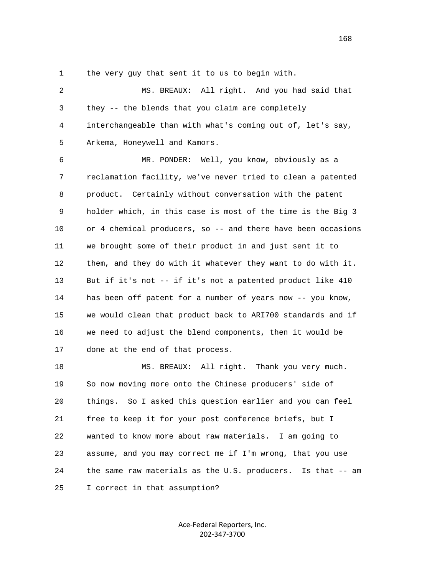1 the very guy that sent it to us to begin with.

 2 MS. BREAUX: All right. And you had said that 3 they -- the blends that you claim are completely 4 interchangeable than with what's coming out of, let's say, 5 Arkema, Honeywell and Kamors.

 6 MR. PONDER: Well, you know, obviously as a 7 reclamation facility, we've never tried to clean a patented 8 product. Certainly without conversation with the patent 9 holder which, in this case is most of the time is the Big 3 10 or 4 chemical producers, so -- and there have been occasions 11 we brought some of their product in and just sent it to 12 them, and they do with it whatever they want to do with it. 13 But if it's not -- if it's not a patented product like 410 14 has been off patent for a number of years now -- you know, 15 we would clean that product back to ARI700 standards and if 16 we need to adjust the blend components, then it would be 17 done at the end of that process.

18 MS. BREAUX: All right. Thank you very much. 19 So now moving more onto the Chinese producers' side of 20 things. So I asked this question earlier and you can feel 21 free to keep it for your post conference briefs, but I 22 wanted to know more about raw materials. I am going to 23 assume, and you may correct me if I'm wrong, that you use 24 the same raw materials as the U.S. producers. Is that -- am 25 I correct in that assumption?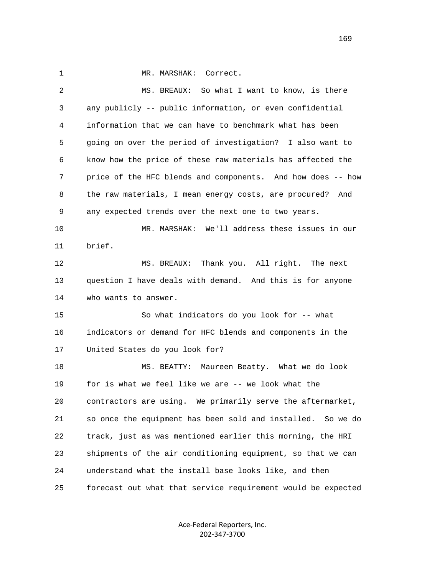1 MR. MARSHAK: Correct.

 2 MS. BREAUX: So what I want to know, is there 3 any publicly -- public information, or even confidential 4 information that we can have to benchmark what has been 5 going on over the period of investigation? I also want to 6 know how the price of these raw materials has affected the 7 price of the HFC blends and components. And how does -- how 8 the raw materials, I mean energy costs, are procured? And 9 any expected trends over the next one to two years. 10 MR. MARSHAK: We'll address these issues in our 11 brief. 12 MS. BREAUX: Thank you. All right. The next 13 question I have deals with demand. And this is for anyone 14 who wants to answer. 15 So what indicators do you look for -- what 16 indicators or demand for HFC blends and components in the 17 United States do you look for? 18 MS. BEATTY: Maureen Beatty. What we do look 19 for is what we feel like we are -- we look what the 20 contractors are using. We primarily serve the aftermarket, 21 so once the equipment has been sold and installed. So we do 22 track, just as was mentioned earlier this morning, the HRI 23 shipments of the air conditioning equipment, so that we can 24 understand what the install base looks like, and then 25 forecast out what that service requirement would be expected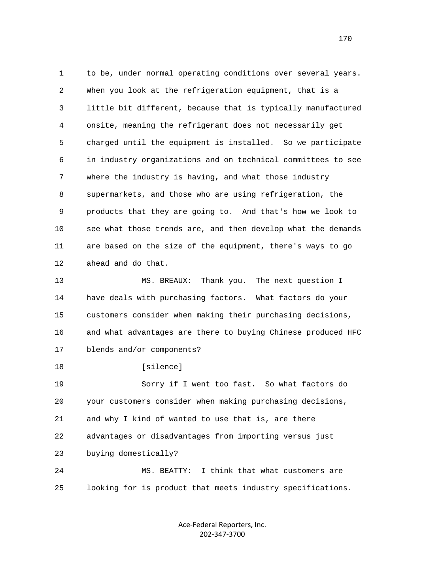1 to be, under normal operating conditions over several years. 2 When you look at the refrigeration equipment, that is a 3 little bit different, because that is typically manufactured 4 onsite, meaning the refrigerant does not necessarily get 5 charged until the equipment is installed. So we participate 6 in industry organizations and on technical committees to see 7 where the industry is having, and what those industry 8 supermarkets, and those who are using refrigeration, the 9 products that they are going to. And that's how we look to 10 see what those trends are, and then develop what the demands 11 are based on the size of the equipment, there's ways to go 12 ahead and do that. 13 MS. BREAUX: Thank you. The next question I 14 have deals with purchasing factors. What factors do your 15 customers consider when making their purchasing decisions, 16 and what advantages are there to buying Chinese produced HFC 17 blends and/or components? 18 [silence] 19 Sorry if I went too fast. So what factors do

 20 your customers consider when making purchasing decisions, 21 and why I kind of wanted to use that is, are there 22 advantages or disadvantages from importing versus just 23 buying domestically? 24 MS. BEATTY: I think that what customers are

25 looking for is product that meets industry specifications.

Ace‐Federal Reporters, Inc. 202‐347‐3700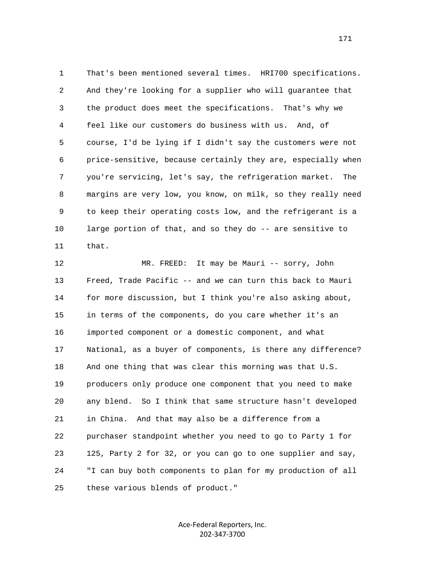1 That's been mentioned several times. HRI700 specifications. 2 And they're looking for a supplier who will guarantee that 3 the product does meet the specifications. That's why we 4 feel like our customers do business with us. And, of 5 course, I'd be lying if I didn't say the customers were not 6 price-sensitive, because certainly they are, especially when 7 you're servicing, let's say, the refrigeration market. The 8 margins are very low, you know, on milk, so they really need 9 to keep their operating costs low, and the refrigerant is a 10 large portion of that, and so they do -- are sensitive to 11 that.

 12 MR. FREED: It may be Mauri -- sorry, John 13 Freed, Trade Pacific -- and we can turn this back to Mauri 14 for more discussion, but I think you're also asking about, 15 in terms of the components, do you care whether it's an 16 imported component or a domestic component, and what 17 National, as a buyer of components, is there any difference? 18 And one thing that was clear this morning was that U.S. 19 producers only produce one component that you need to make 20 any blend. So I think that same structure hasn't developed 21 in China. And that may also be a difference from a 22 purchaser standpoint whether you need to go to Party 1 for 23 125, Party 2 for 32, or you can go to one supplier and say, 24 "I can buy both components to plan for my production of all 25 these various blends of product."

> Ace‐Federal Reporters, Inc. 202‐347‐3700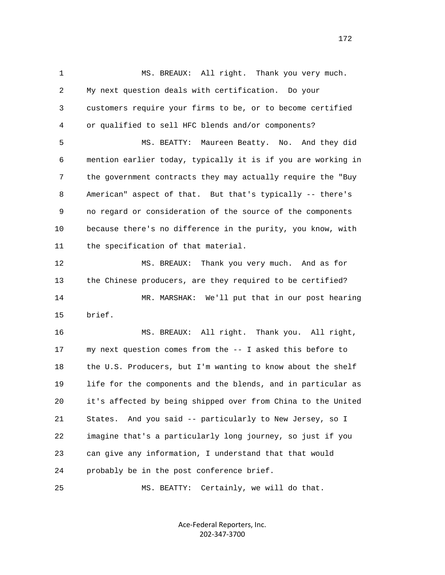1 MS. BREAUX: All right. Thank you very much. 2 My next question deals with certification. Do your 3 customers require your firms to be, or to become certified 4 or qualified to sell HFC blends and/or components? 5 MS. BEATTY: Maureen Beatty. No. And they did 6 mention earlier today, typically it is if you are working in 7 the government contracts they may actually require the "Buy 8 American" aspect of that. But that's typically -- there's 9 no regard or consideration of the source of the components 10 because there's no difference in the purity, you know, with 11 the specification of that material. 12 MS. BREAUX: Thank you very much. And as for 13 the Chinese producers, are they required to be certified? 14 MR. MARSHAK: We'll put that in our post hearing 15 brief. 16 MS. BREAUX: All right. Thank you. All right, 17 my next question comes from the -- I asked this before to 18 the U.S. Producers, but I'm wanting to know about the shelf 19 life for the components and the blends, and in particular as 20 it's affected by being shipped over from China to the United 21 States. And you said -- particularly to New Jersey, so I 22 imagine that's a particularly long journey, so just if you 23 can give any information, I understand that that would 24 probably be in the post conference brief. 25 MS. BEATTY: Certainly, we will do that.

> Ace‐Federal Reporters, Inc. 202‐347‐3700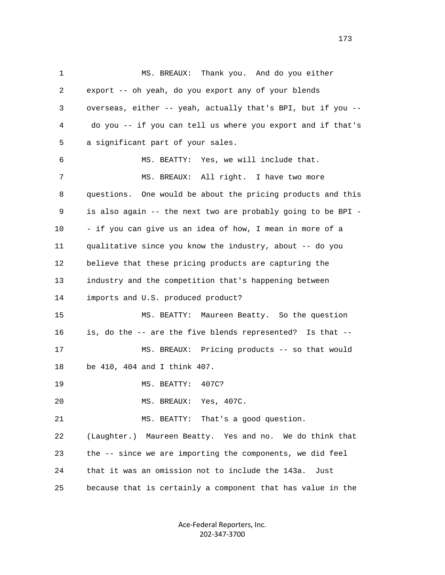1 MS. BREAUX: Thank you. And do you either 2 export -- oh yeah, do you export any of your blends 3 overseas, either -- yeah, actually that's BPI, but if you -- 4 do you -- if you can tell us where you export and if that's 5 a significant part of your sales. 6 MS. BEATTY: Yes, we will include that. 7 MS. BREAUX: All right. I have two more 8 questions. One would be about the pricing products and this 9 is also again -- the next two are probably going to be BPI - 10 - if you can give us an idea of how, I mean in more of a 11 qualitative since you know the industry, about -- do you 12 believe that these pricing products are capturing the 13 industry and the competition that's happening between 14 imports and U.S. produced product? 15 MS. BEATTY: Maureen Beatty. So the question 16 is, do the -- are the five blends represented? Is that -- 17 MS. BREAUX: Pricing products -- so that would 18 be 410, 404 and I think 407. 19 MS. BEATTY: 407C? 20 MS. BREAUX: Yes, 407C. 21 MS. BEATTY: That's a good question. 22 (Laughter.) Maureen Beatty. Yes and no. We do think that 23 the -- since we are importing the components, we did feel 24 that it was an omission not to include the 143a. Just 25 because that is certainly a component that has value in the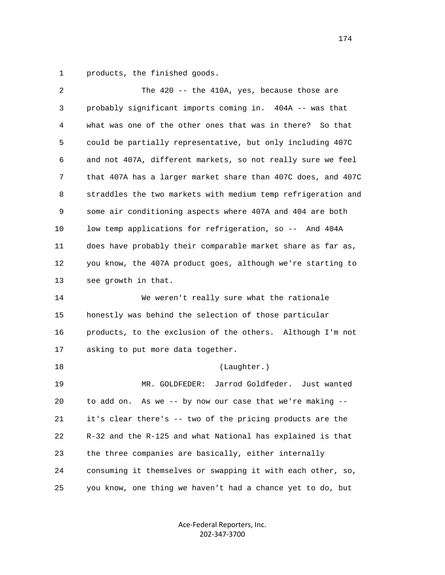1 products, the finished goods.

| $\sqrt{2}$ | The $420 - -$ the $410A$ , yes, because those are            |
|------------|--------------------------------------------------------------|
| 3          | probably significant imports coming in. 404A -- was that     |
| 4          | what was one of the other ones that was in there?<br>So that |
| 5          | could be partially representative, but only including 407C   |
| 6          | and not 407A, different markets, so not really sure we feel  |
| 7          | that 407A has a larger market share than 407C does, and 407C |
| 8          | straddles the two markets with medium temp refrigeration and |
| 9          | some air conditioning aspects where 407A and 404 are both    |
| 10         | low temp applications for refrigeration, so -- And 404A      |
| 11         | does have probably their comparable market share as far as,  |
| 12         | you know, the 407A product goes, although we're starting to  |
| 13         | see growth in that.                                          |
| 14         | We weren't really sure what the rationale                    |
| 15         | honestly was behind the selection of those particular        |
| 16         | products, to the exclusion of the others. Although I'm not   |
| 17         | asking to put more data together.                            |
| 18         | (Laughter.)                                                  |
| 19         | Jarrod Goldfeder. Just wanted<br>MR. GOLDFEDER:              |
| 20         | As we -- by now our case that we're making --<br>to add on.  |
| 21         | it's clear there's -- two of the pricing products are the    |
| 22         | R-32 and the R-125 and what National has explained is that   |
| 23         | the three companies are basically, either internally         |
| 24         | consuming it themselves or swapping it with each other, so,  |
| 25         | you know, one thing we haven't had a chance yet to do, but   |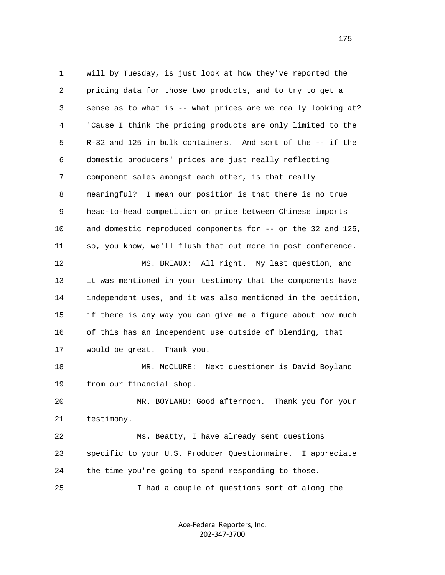1 will by Tuesday, is just look at how they've reported the 2 pricing data for those two products, and to try to get a 3 sense as to what is -- what prices are we really looking at? 4 'Cause I think the pricing products are only limited to the 5 R-32 and 125 in bulk containers. And sort of the -- if the 6 domestic producers' prices are just really reflecting 7 component sales amongst each other, is that really 8 meaningful? I mean our position is that there is no true 9 head-to-head competition on price between Chinese imports 10 and domestic reproduced components for -- on the 32 and 125, 11 so, you know, we'll flush that out more in post conference. 12 MS. BREAUX: All right. My last question, and 13 it was mentioned in your testimony that the components have 14 independent uses, and it was also mentioned in the petition, 15 if there is any way you can give me a figure about how much 16 of this has an independent use outside of blending, that 17 would be great. Thank you. 18 MR. McCLURE: Next questioner is David Boyland 19 from our financial shop. 20 MR. BOYLAND: Good afternoon. Thank you for your 21 testimony. 22 Ms. Beatty, I have already sent questions 23 specific to your U.S. Producer Questionnaire. I appreciate 24 the time you're going to spend responding to those. 25 I had a couple of questions sort of along the

> Ace‐Federal Reporters, Inc. 202‐347‐3700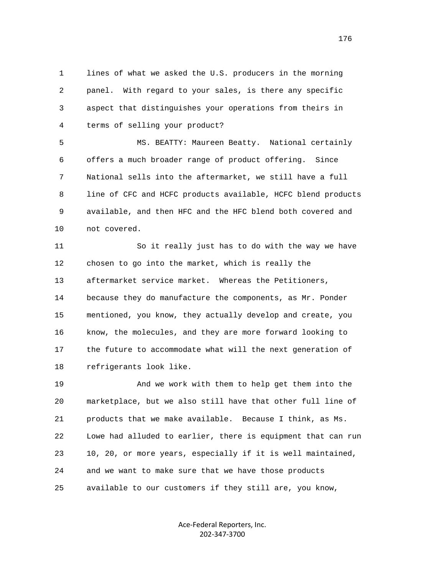1 lines of what we asked the U.S. producers in the morning 2 panel. With regard to your sales, is there any specific 3 aspect that distinguishes your operations from theirs in 4 terms of selling your product?

 5 MS. BEATTY: Maureen Beatty. National certainly 6 offers a much broader range of product offering. Since 7 National sells into the aftermarket, we still have a full 8 line of CFC and HCFC products available, HCFC blend products 9 available, and then HFC and the HFC blend both covered and 10 not covered.

 11 So it really just has to do with the way we have 12 chosen to go into the market, which is really the 13 aftermarket service market. Whereas the Petitioners, 14 because they do manufacture the components, as Mr. Ponder 15 mentioned, you know, they actually develop and create, you 16 know, the molecules, and they are more forward looking to 17 the future to accommodate what will the next generation of 18 refrigerants look like.

 19 And we work with them to help get them into the 20 marketplace, but we also still have that other full line of 21 products that we make available. Because I think, as Ms. 22 Lowe had alluded to earlier, there is equipment that can run 23 10, 20, or more years, especially if it is well maintained, 24 and we want to make sure that we have those products 25 available to our customers if they still are, you know,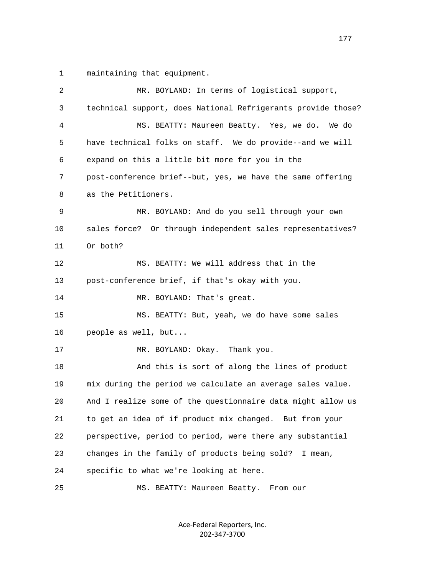1 maintaining that equipment.

| 2  | MR. BOYLAND: In terms of logistical support,                 |
|----|--------------------------------------------------------------|
| 3  | technical support, does National Refrigerants provide those? |
| 4  | MS. BEATTY: Maureen Beatty. Yes, we do.<br>We do             |
| 5  | have technical folks on staff. We do provide--and we will    |
| 6  | expand on this a little bit more for you in the              |
| 7  | post-conference brief--but, yes, we have the same offering   |
| 8  | as the Petitioners.                                          |
| 9  | MR. BOYLAND: And do you sell through your own                |
| 10 | sales force? Or through independent sales representatives?   |
| 11 | Or both?                                                     |
| 12 | MS. BEATTY: We will address that in the                      |
| 13 | post-conference brief, if that's okay with you.              |
| 14 | MR. BOYLAND: That's great.                                   |
| 15 | MS. BEATTY: But, yeah, we do have some sales                 |
| 16 | people as well, but                                          |
| 17 | MR. BOYLAND: Okay. Thank you.                                |
| 18 | And this is sort of along the lines of product               |
| 19 | mix during the period we calculate an average sales value.   |
| 20 | And I realize some of the questionnaire data might allow us  |
| 21 | to get an idea of if product mix changed. But from your      |
| 22 | perspective, period to period, were there any substantial    |
| 23 | changes in the family of products being sold?<br>I mean,     |
| 24 | specific to what we're looking at here.                      |
| 25 | MS. BEATTY: Maureen Beatty. From our                         |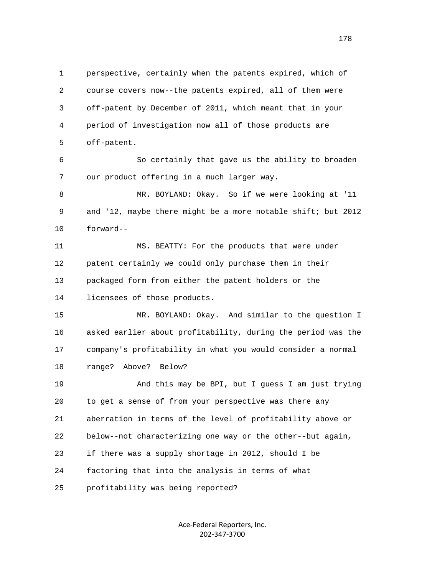1 perspective, certainly when the patents expired, which of 2 course covers now--the patents expired, all of them were 3 off-patent by December of 2011, which meant that in your 4 period of investigation now all of those products are 5 off-patent.

 6 So certainly that gave us the ability to broaden 7 our product offering in a much larger way.

 8 MR. BOYLAND: Okay. So if we were looking at '11 9 and '12, maybe there might be a more notable shift; but 2012 10 forward--

 11 MS. BEATTY: For the products that were under 12 patent certainly we could only purchase them in their 13 packaged form from either the patent holders or the 14 licensees of those products.

 15 MR. BOYLAND: Okay. And similar to the question I 16 asked earlier about profitability, during the period was the 17 company's profitability in what you would consider a normal 18 range? Above? Below?

 19 And this may be BPI, but I guess I am just trying 20 to get a sense of from your perspective was there any 21 aberration in terms of the level of profitability above or 22 below--not characterizing one way or the other--but again, 23 if there was a supply shortage in 2012, should I be 24 factoring that into the analysis in terms of what 25 profitability was being reported?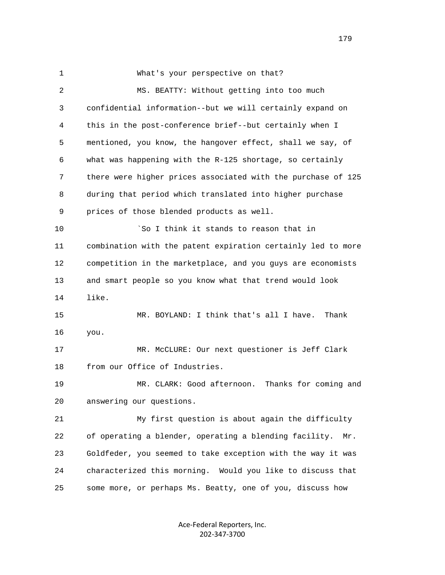1 What's your perspective on that? 2 MS. BEATTY: Without getting into too much 3 confidential information--but we will certainly expand on 4 this in the post-conference brief--but certainly when I 5 mentioned, you know, the hangover effect, shall we say, of 6 what was happening with the R-125 shortage, so certainly 7 there were higher prices associated with the purchase of 125 8 during that period which translated into higher purchase 9 prices of those blended products as well. 10 `So I think it stands to reason that in 11 combination with the patent expiration certainly led to more 12 competition in the marketplace, and you guys are economists 13 and smart people so you know what that trend would look 14 like. 15 MR. BOYLAND: I think that's all I have. Thank 16 you. 17 MR. McCLURE: Our next questioner is Jeff Clark 18 from our Office of Industries. 19 MR. CLARK: Good afternoon. Thanks for coming and 20 answering our questions. 21 My first question is about again the difficulty 22 of operating a blender, operating a blending facility. Mr. 23 Goldfeder, you seemed to take exception with the way it was 24 characterized this morning. Would you like to discuss that 25 some more, or perhaps Ms. Beatty, one of you, discuss how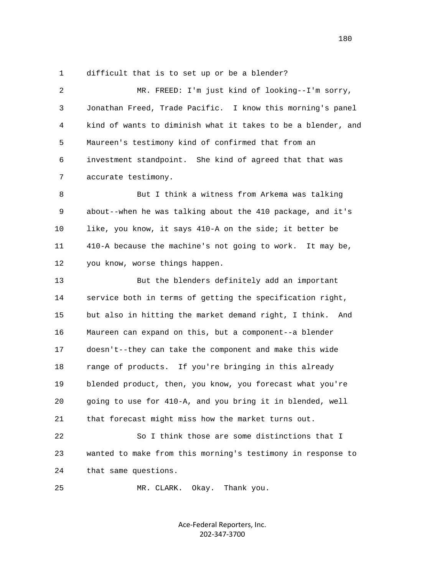1 difficult that is to set up or be a blender?

 2 MR. FREED: I'm just kind of looking--I'm sorry, 3 Jonathan Freed, Trade Pacific. I know this morning's panel 4 kind of wants to diminish what it takes to be a blender, and 5 Maureen's testimony kind of confirmed that from an 6 investment standpoint. She kind of agreed that that was 7 accurate testimony. 8 But I think a witness from Arkema was talking 9 about--when he was talking about the 410 package, and it's 10 like, you know, it says 410-A on the side; it better be 11 410-A because the machine's not going to work. It may be, 12 you know, worse things happen. 13 But the blenders definitely add an important 14 service both in terms of getting the specification right, 15 but also in hitting the market demand right, I think. And 16 Maureen can expand on this, but a component--a blender 17 doesn't--they can take the component and make this wide 18 range of products. If you're bringing in this already 19 blended product, then, you know, you forecast what you're 20 going to use for 410-A, and you bring it in blended, well 21 that forecast might miss how the market turns out. 22 So I think those are some distinctions that I 23 wanted to make from this morning's testimony in response to

24 that same questions.

25 MR. CLARK. Okay. Thank you.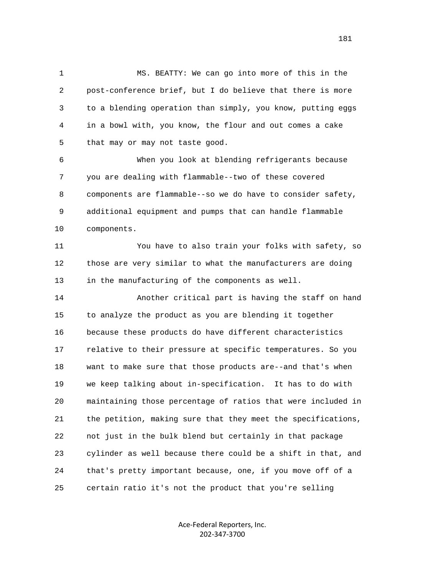1 MS. BEATTY: We can go into more of this in the 2 post-conference brief, but I do believe that there is more 3 to a blending operation than simply, you know, putting eggs 4 in a bowl with, you know, the flour and out comes a cake 5 that may or may not taste good.

 6 When you look at blending refrigerants because 7 you are dealing with flammable--two of these covered 8 components are flammable--so we do have to consider safety, 9 additional equipment and pumps that can handle flammable 10 components.

 11 You have to also train your folks with safety, so 12 those are very similar to what the manufacturers are doing 13 in the manufacturing of the components as well.

 14 Another critical part is having the staff on hand 15 to analyze the product as you are blending it together 16 because these products do have different characteristics 17 relative to their pressure at specific temperatures. So you 18 want to make sure that those products are--and that's when 19 we keep talking about in-specification. It has to do with 20 maintaining those percentage of ratios that were included in 21 the petition, making sure that they meet the specifications, 22 not just in the bulk blend but certainly in that package 23 cylinder as well because there could be a shift in that, and 24 that's pretty important because, one, if you move off of a 25 certain ratio it's not the product that you're selling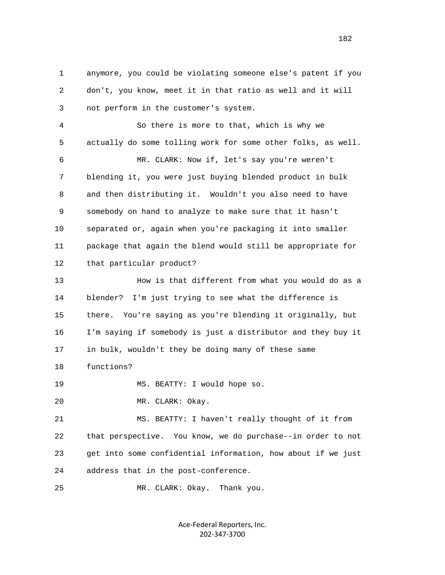1 anymore, you could be violating someone else's patent if you 2 don't, you know, meet it in that ratio as well and it will 3 not perform in the customer's system. 4 So there is more to that, which is why we 5 actually do some tolling work for some other folks, as well. 6 MR. CLARK: Now if, let's say you're weren't 7 blending it, you were just buying blended product in bulk 8 and then distributing it. Wouldn't you also need to have 9 somebody on hand to analyze to make sure that it hasn't 10 separated or, again when you're packaging it into smaller 11 package that again the blend would still be appropriate for 12 that particular product? 13 How is that different from what you would do as a 14 blender? I'm just trying to see what the difference is 15 there. You're saying as you're blending it originally, but 16 I'm saying if somebody is just a distributor and they buy it

17 in bulk, wouldn't they be doing many of these same

18 functions?

19 MS. BEATTY: I would hope so.

20 MR. CLARK: Okay.

 21 MS. BEATTY: I haven't really thought of it from 22 that perspective. You know, we do purchase--in order to not 23 get into some confidential information, how about if we just 24 address that in the post-conference.

25 MR. CLARK: Okay. Thank you.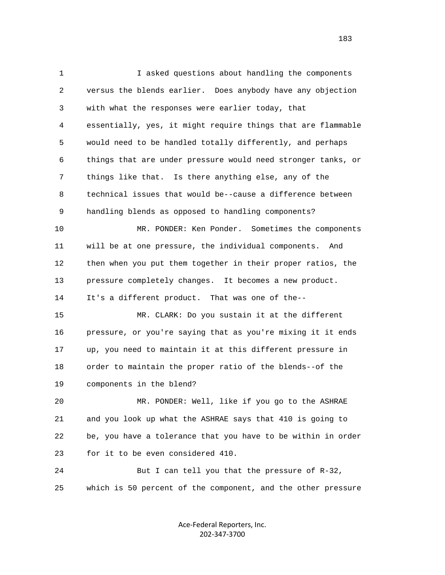1 I asked questions about handling the components 2 versus the blends earlier. Does anybody have any objection 3 with what the responses were earlier today, that 4 essentially, yes, it might require things that are flammable 5 would need to be handled totally differently, and perhaps 6 things that are under pressure would need stronger tanks, or 7 things like that. Is there anything else, any of the 8 technical issues that would be--cause a difference between 9 handling blends as opposed to handling components? 10 MR. PONDER: Ken Ponder. Sometimes the components 11 will be at one pressure, the individual components. And 12 then when you put them together in their proper ratios, the 13 pressure completely changes. It becomes a new product. 14 It's a different product. That was one of the-- 15 MR. CLARK: Do you sustain it at the different 16 pressure, or you're saying that as you're mixing it it ends 17 up, you need to maintain it at this different pressure in 18 order to maintain the proper ratio of the blends--of the 19 components in the blend? 20 MR. PONDER: Well, like if you go to the ASHRAE 21 and you look up what the ASHRAE says that 410 is going to 22 be, you have a tolerance that you have to be within in order 23 for it to be even considered 410. 24 But I can tell you that the pressure of R-32, 25 which is 50 percent of the component, and the other pressure

> Ace‐Federal Reporters, Inc. 202‐347‐3700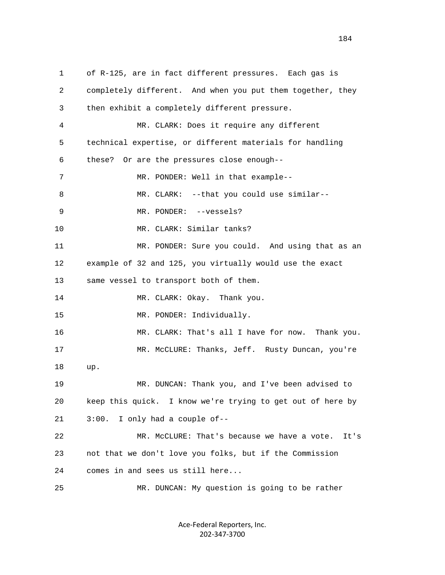1 of R-125, are in fact different pressures. Each gas is 2 completely different. And when you put them together, they 3 then exhibit a completely different pressure. 4 MR. CLARK: Does it require any different 5 technical expertise, or different materials for handling 6 these? Or are the pressures close enough-- 7 MR. PONDER: Well in that example-- 8 MR. CLARK: --that you could use similar-- 9 MR. PONDER: --vessels? 10 MR. CLARK: Similar tanks? 11 MR. PONDER: Sure you could. And using that as an 12 example of 32 and 125, you virtually would use the exact 13 same vessel to transport both of them. 14 MR. CLARK: Okay. Thank you. 15 MR. PONDER: Individually. 16 MR. CLARK: That's all I have for now. Thank you. 17 MR. McCLURE: Thanks, Jeff. Rusty Duncan, you're 18 up. 19 MR. DUNCAN: Thank you, and I've been advised to 20 keep this quick. I know we're trying to get out of here by 21 3:00. I only had a couple of-- 22 MR. McCLURE: That's because we have a vote. It's 23 not that we don't love you folks, but if the Commission 24 comes in and sees us still here... 25 MR. DUNCAN: My question is going to be rather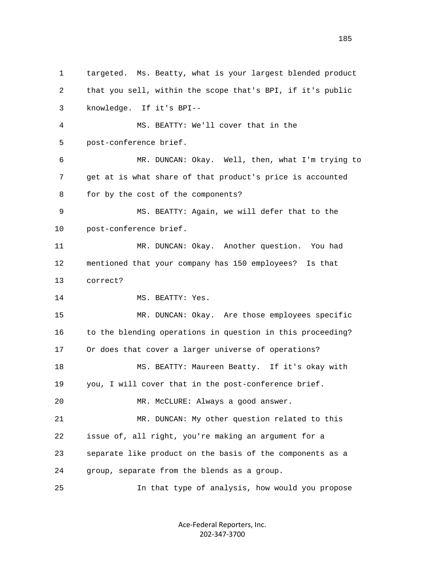1 targeted. Ms. Beatty, what is your largest blended product 2 that you sell, within the scope that's BPI, if it's public 3 knowledge. If it's BPI-- 4 MS. BEATTY: We'll cover that in the 5 post-conference brief. 6 MR. DUNCAN: Okay. Well, then, what I'm trying to 7 get at is what share of that product's price is accounted 8 for by the cost of the components? 9 MS. BEATTY: Again, we will defer that to the 10 post-conference brief. 11 MR. DUNCAN: Okay. Another question. You had 12 mentioned that your company has 150 employees? Is that 13 correct? 14 MS. BEATTY: Yes. 15 MR. DUNCAN: Okay. Are those employees specific 16 to the blending operations in question in this proceeding? 17 Or does that cover a larger universe of operations? 18 MS. BEATTY: Maureen Beatty. If it's okay with 19 you, I will cover that in the post-conference brief. 20 MR. McCLURE: Always a good answer. 21 MR. DUNCAN: My other question related to this 22 issue of, all right, you're making an argument for a 23 separate like product on the basis of the components as a 24 group, separate from the blends as a group. 25 In that type of analysis, how would you propose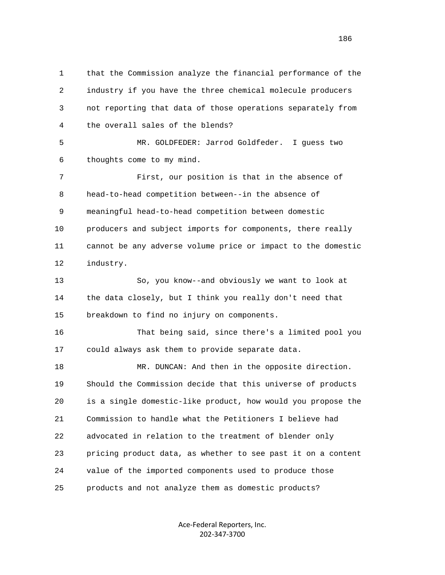1 that the Commission analyze the financial performance of the 2 industry if you have the three chemical molecule producers 3 not reporting that data of those operations separately from 4 the overall sales of the blends? 5 MR. GOLDFEDER: Jarrod Goldfeder. I guess two 6 thoughts come to my mind. 7 First, our position is that in the absence of 8 head-to-head competition between--in the absence of 9 meaningful head-to-head competition between domestic 10 producers and subject imports for components, there really 11 cannot be any adverse volume price or impact to the domestic 12 industry. 13 So, you know--and obviously we want to look at 14 the data closely, but I think you really don't need that 15 breakdown to find no injury on components. 16 That being said, since there's a limited pool you 17 could always ask them to provide separate data. 18 MR. DUNCAN: And then in the opposite direction. 19 Should the Commission decide that this universe of products 20 is a single domestic-like product, how would you propose the 21 Commission to handle what the Petitioners I believe had 22 advocated in relation to the treatment of blender only 23 pricing product data, as whether to see past it on a content 24 value of the imported components used to produce those 25 products and not analyze them as domestic products?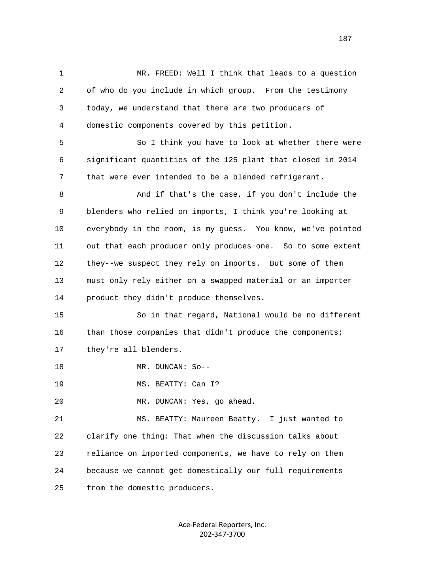1 MR. FREED: Well I think that leads to a question 2 of who do you include in which group. From the testimony 3 today, we understand that there are two producers of 4 domestic components covered by this petition. 5 So I think you have to look at whether there were 6 significant quantities of the 125 plant that closed in 2014 7 that were ever intended to be a blended refrigerant. 8 And if that's the case, if you don't include the 9 blenders who relied on imports, I think you're looking at 10 everybody in the room, is my guess. You know, we've pointed 11 out that each producer only produces one. So to some extent 12 they--we suspect they rely on imports. But some of them 13 must only rely either on a swapped material or an importer 14 product they didn't produce themselves. 15 So in that regard, National would be no different 16 than those companies that didn't produce the components; 17 they're all blenders. 18 MR. DUNCAN: So-- 19 MS. BEATTY: Can I? 20 MR. DUNCAN: Yes, go ahead. 21 MS. BEATTY: Maureen Beatty. I just wanted to 22 clarify one thing: That when the discussion talks about 23 reliance on imported components, we have to rely on them 24 because we cannot get domestically our full requirements 25 from the domestic producers.

> Ace‐Federal Reporters, Inc. 202‐347‐3700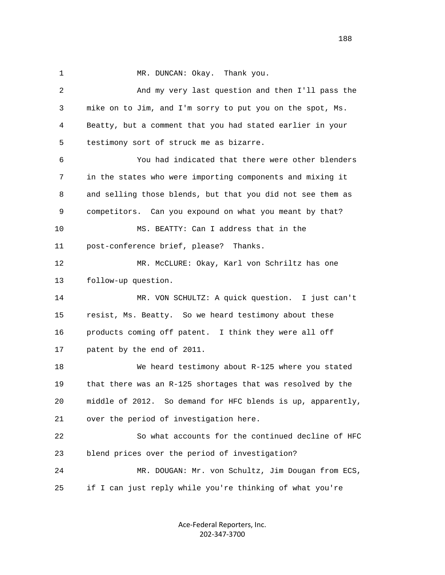1 MR. DUNCAN: Okay. Thank you.

 2 And my very last question and then I'll pass the 3 mike on to Jim, and I'm sorry to put you on the spot, Ms. 4 Beatty, but a comment that you had stated earlier in your 5 testimony sort of struck me as bizarre. 6 You had indicated that there were other blenders 7 in the states who were importing components and mixing it 8 and selling those blends, but that you did not see them as 9 competitors. Can you expound on what you meant by that? 10 MS. BEATTY: Can I address that in the 11 post-conference brief, please? Thanks. 12 MR. McCLURE: Okay, Karl von Schriltz has one 13 follow-up question. 14 MR. VON SCHULTZ: A quick question. I just can't 15 resist, Ms. Beatty. So we heard testimony about these 16 products coming off patent. I think they were all off 17 patent by the end of 2011. 18 We heard testimony about R-125 where you stated 19 that there was an R-125 shortages that was resolved by the 20 middle of 2012. So demand for HFC blends is up, apparently, 21 over the period of investigation here. 22 So what accounts for the continued decline of HFC 23 blend prices over the period of investigation? 24 MR. DOUGAN: Mr. von Schultz, Jim Dougan from ECS, 25 if I can just reply while you're thinking of what you're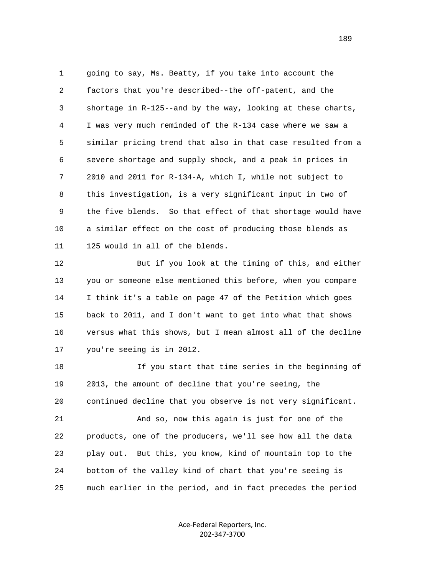1 going to say, Ms. Beatty, if you take into account the 2 factors that you're described--the off-patent, and the 3 shortage in R-125--and by the way, looking at these charts, 4 I was very much reminded of the R-134 case where we saw a 5 similar pricing trend that also in that case resulted from a 6 severe shortage and supply shock, and a peak in prices in 7 2010 and 2011 for R-134-A, which I, while not subject to 8 this investigation, is a very significant input in two of 9 the five blends. So that effect of that shortage would have 10 a similar effect on the cost of producing those blends as 11 125 would in all of the blends.

 12 But if you look at the timing of this, and either 13 you or someone else mentioned this before, when you compare 14 I think it's a table on page 47 of the Petition which goes 15 back to 2011, and I don't want to get into what that shows 16 versus what this shows, but I mean almost all of the decline 17 you're seeing is in 2012.

 18 If you start that time series in the beginning of 19 2013, the amount of decline that you're seeing, the 20 continued decline that you observe is not very significant. 21 And so, now this again is just for one of the 22 products, one of the producers, we'll see how all the data 23 play out. But this, you know, kind of mountain top to the 24 bottom of the valley kind of chart that you're seeing is 25 much earlier in the period, and in fact precedes the period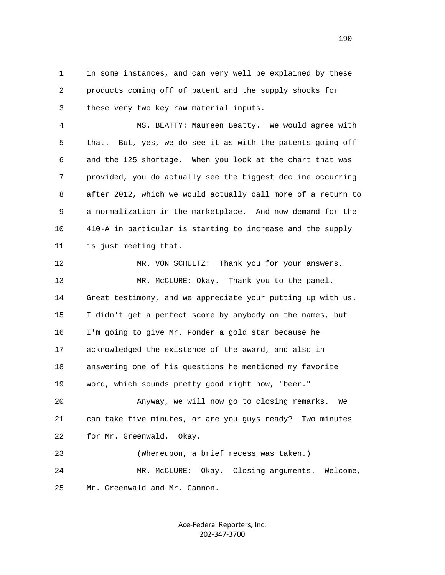1 in some instances, and can very well be explained by these 2 products coming off of patent and the supply shocks for 3 these very two key raw material inputs.

 4 MS. BEATTY: Maureen Beatty. We would agree with 5 that. But, yes, we do see it as with the patents going off 6 and the 125 shortage. When you look at the chart that was 7 provided, you do actually see the biggest decline occurring 8 after 2012, which we would actually call more of a return to 9 a normalization in the marketplace. And now demand for the 10 410-A in particular is starting to increase and the supply 11 is just meeting that.

 12 MR. VON SCHULTZ: Thank you for your answers. 13 MR. McCLURE: Okay. Thank you to the panel. 14 Great testimony, and we appreciate your putting up with us. 15 I didn't get a perfect score by anybody on the names, but 16 I'm going to give Mr. Ponder a gold star because he 17 acknowledged the existence of the award, and also in 18 answering one of his questions he mentioned my favorite 19 word, which sounds pretty good right now, "beer." 20 Anyway, we will now go to closing remarks. We 21 can take five minutes, or are you guys ready? Two minutes 22 for Mr. Greenwald. Okay. 23 (Whereupon, a brief recess was taken.) 24 MR. McCLURE: Okay. Closing arguments. Welcome,

25 Mr. Greenwald and Mr. Cannon.

Ace‐Federal Reporters, Inc. 202‐347‐3700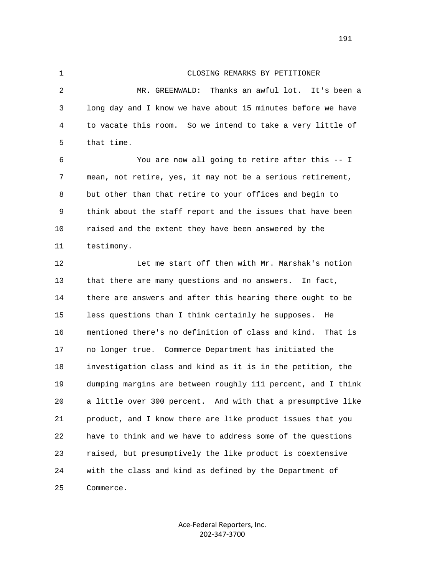## 1 CLOSING REMARKS BY PETITIONER

 2 MR. GREENWALD: Thanks an awful lot. It's been a 3 long day and I know we have about 15 minutes before we have 4 to vacate this room. So we intend to take a very little of 5 that time.

 6 You are now all going to retire after this -- I 7 mean, not retire, yes, it may not be a serious retirement, 8 but other than that retire to your offices and begin to 9 think about the staff report and the issues that have been 10 raised and the extent they have been answered by the 11 testimony.

 12 Let me start off then with Mr. Marshak's notion 13 that there are many questions and no answers. In fact, 14 there are answers and after this hearing there ought to be 15 less questions than I think certainly he supposes. He 16 mentioned there's no definition of class and kind. That is 17 no longer true. Commerce Department has initiated the 18 investigation class and kind as it is in the petition, the 19 dumping margins are between roughly 111 percent, and I think 20 a little over 300 percent. And with that a presumptive like 21 product, and I know there are like product issues that you 22 have to think and we have to address some of the questions 23 raised, but presumptively the like product is coextensive 24 with the class and kind as defined by the Department of 25 Commerce.

> Ace‐Federal Reporters, Inc. 202‐347‐3700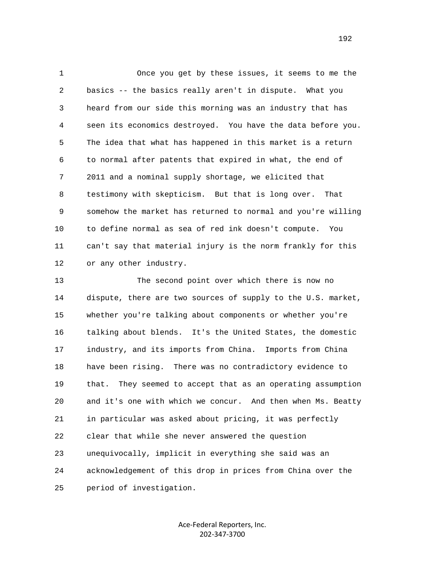1 Once you get by these issues, it seems to me the 2 basics -- the basics really aren't in dispute. What you 3 heard from our side this morning was an industry that has 4 seen its economics destroyed. You have the data before you. 5 The idea that what has happened in this market is a return 6 to normal after patents that expired in what, the end of 7 2011 and a nominal supply shortage, we elicited that 8 testimony with skepticism. But that is long over. That 9 somehow the market has returned to normal and you're willing 10 to define normal as sea of red ink doesn't compute. You 11 can't say that material injury is the norm frankly for this 12 or any other industry.

 13 The second point over which there is now no 14 dispute, there are two sources of supply to the U.S. market, 15 whether you're talking about components or whether you're 16 talking about blends. It's the United States, the domestic 17 industry, and its imports from China. Imports from China 18 have been rising. There was no contradictory evidence to 19 that. They seemed to accept that as an operating assumption 20 and it's one with which we concur. And then when Ms. Beatty 21 in particular was asked about pricing, it was perfectly 22 clear that while she never answered the question 23 unequivocally, implicit in everything she said was an 24 acknowledgement of this drop in prices from China over the 25 period of investigation.

> Ace‐Federal Reporters, Inc. 202‐347‐3700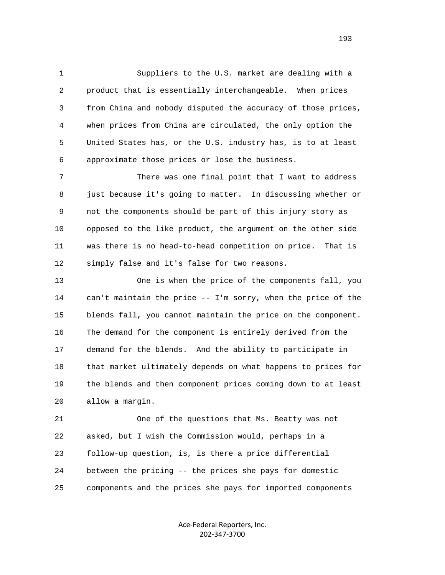1 Suppliers to the U.S. market are dealing with a 2 product that is essentially interchangeable. When prices 3 from China and nobody disputed the accuracy of those prices, 4 when prices from China are circulated, the only option the 5 United States has, or the U.S. industry has, is to at least 6 approximate those prices or lose the business.

 7 There was one final point that I want to address 8 just because it's going to matter. In discussing whether or 9 not the components should be part of this injury story as 10 opposed to the like product, the argument on the other side 11 was there is no head-to-head competition on price. That is 12 simply false and it's false for two reasons.

 13 One is when the price of the components fall, you 14 can't maintain the price -- I'm sorry, when the price of the 15 blends fall, you cannot maintain the price on the component. 16 The demand for the component is entirely derived from the 17 demand for the blends. And the ability to participate in 18 that market ultimately depends on what happens to prices for 19 the blends and then component prices coming down to at least 20 allow a margin.

 21 One of the questions that Ms. Beatty was not 22 asked, but I wish the Commission would, perhaps in a 23 follow-up question, is, is there a price differential 24 between the pricing -- the prices she pays for domestic 25 components and the prices she pays for imported components

> Ace‐Federal Reporters, Inc. 202‐347‐3700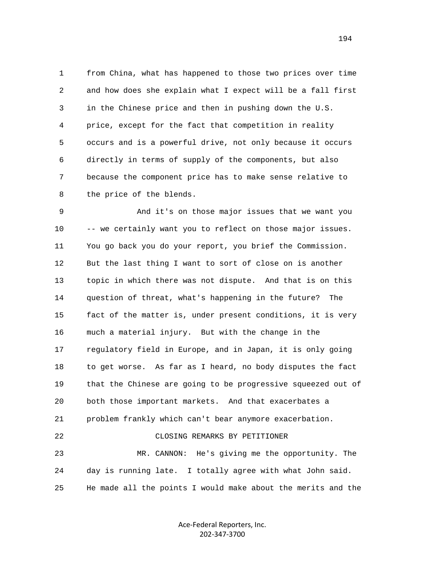1 from China, what has happened to those two prices over time 2 and how does she explain what I expect will be a fall first 3 in the Chinese price and then in pushing down the U.S. 4 price, except for the fact that competition in reality 5 occurs and is a powerful drive, not only because it occurs 6 directly in terms of supply of the components, but also 7 because the component price has to make sense relative to 8 the price of the blends.

 9 And it's on those major issues that we want you 10 -- we certainly want you to reflect on those major issues. 11 You go back you do your report, you brief the Commission. 12 But the last thing I want to sort of close on is another 13 topic in which there was not dispute. And that is on this 14 question of threat, what's happening in the future? The 15 fact of the matter is, under present conditions, it is very 16 much a material injury. But with the change in the 17 regulatory field in Europe, and in Japan, it is only going 18 to get worse. As far as I heard, no body disputes the fact 19 that the Chinese are going to be progressive squeezed out of 20 both those important markets. And that exacerbates a 21 problem frankly which can't bear anymore exacerbation. 22 CLOSING REMARKS BY PETITIONER 23 MR. CANNON: He's giving me the opportunity. The 24 day is running late. I totally agree with what John said. 25 He made all the points I would make about the merits and the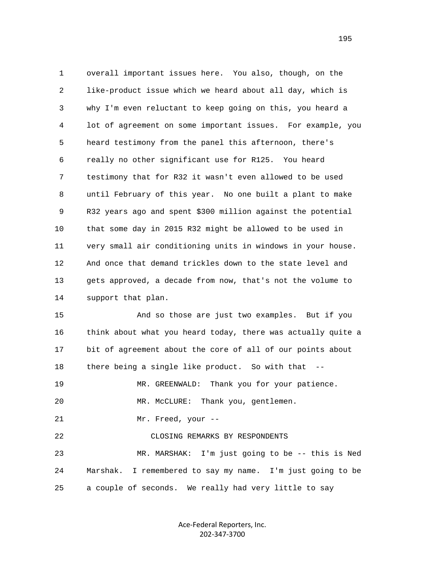1 overall important issues here. You also, though, on the 2 like-product issue which we heard about all day, which is 3 why I'm even reluctant to keep going on this, you heard a 4 lot of agreement on some important issues. For example, you 5 heard testimony from the panel this afternoon, there's 6 really no other significant use for R125. You heard 7 testimony that for R32 it wasn't even allowed to be used 8 until February of this year. No one built a plant to make 9 R32 years ago and spent \$300 million against the potential 10 that some day in 2015 R32 might be allowed to be used in 11 very small air conditioning units in windows in your house. 12 And once that demand trickles down to the state level and 13 gets approved, a decade from now, that's not the volume to 14 support that plan. 15 And so those are just two examples. But if you

 16 think about what you heard today, there was actually quite a 17 bit of agreement about the core of all of our points about 18 there being a single like product. So with that -- 19 MR. GREENWALD: Thank you for your patience. 20 MR. McCLURE: Thank you, gentlemen. 21 Mr. Freed, your -- 22 CLOSING REMARKS BY RESPONDENTS 23 MR. MARSHAK: I'm just going to be -- this is Ned 24 Marshak. I remembered to say my name. I'm just going to be 25 a couple of seconds. We really had very little to say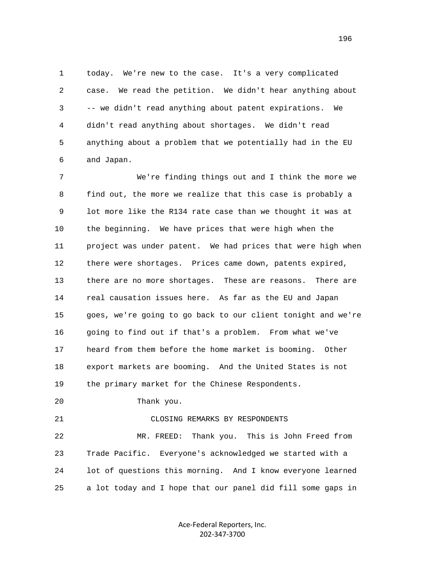1 today. We're new to the case. It's a very complicated 2 case. We read the petition. We didn't hear anything about 3 -- we didn't read anything about patent expirations. We 4 didn't read anything about shortages. We didn't read 5 anything about a problem that we potentially had in the EU 6 and Japan.

 7 We're finding things out and I think the more we 8 find out, the more we realize that this case is probably a 9 lot more like the R134 rate case than we thought it was at 10 the beginning. We have prices that were high when the 11 project was under patent. We had prices that were high when 12 there were shortages. Prices came down, patents expired, 13 there are no more shortages. These are reasons. There are 14 real causation issues here. As far as the EU and Japan 15 goes, we're going to go back to our client tonight and we're 16 going to find out if that's a problem. From what we've 17 heard from them before the home market is booming. Other 18 export markets are booming. And the United States is not 19 the primary market for the Chinese Respondents.

20 Thank you.

## 21 CLOSING REMARKS BY RESPONDENTS

 22 MR. FREED: Thank you. This is John Freed from 23 Trade Pacific. Everyone's acknowledged we started with a 24 lot of questions this morning. And I know everyone learned 25 a lot today and I hope that our panel did fill some gaps in

> Ace‐Federal Reporters, Inc. 202‐347‐3700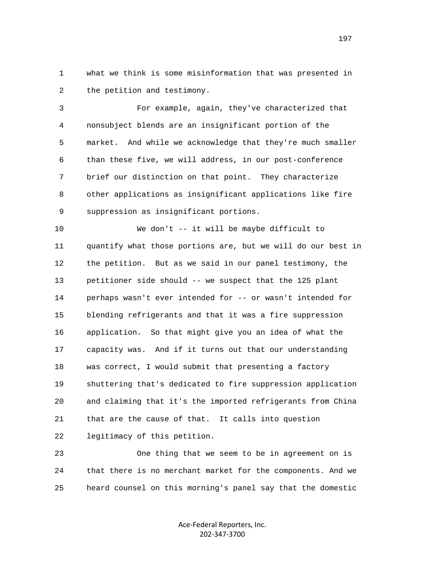1 what we think is some misinformation that was presented in 2 the petition and testimony.

 3 For example, again, they've characterized that 4 nonsubject blends are an insignificant portion of the 5 market. And while we acknowledge that they're much smaller 6 than these five, we will address, in our post-conference 7 brief our distinction on that point. They characterize 8 other applications as insignificant applications like fire 9 suppression as insignificant portions.

 10 We don't -- it will be maybe difficult to 11 quantify what those portions are, but we will do our best in 12 the petition. But as we said in our panel testimony, the 13 petitioner side should -- we suspect that the 125 plant 14 perhaps wasn't ever intended for -- or wasn't intended for 15 blending refrigerants and that it was a fire suppression 16 application. So that might give you an idea of what the 17 capacity was. And if it turns out that our understanding 18 was correct, I would submit that presenting a factory 19 shuttering that's dedicated to fire suppression application 20 and claiming that it's the imported refrigerants from China 21 that are the cause of that. It calls into question 22 legitimacy of this petition.

 23 One thing that we seem to be in agreement on is 24 that there is no merchant market for the components. And we 25 heard counsel on this morning's panel say that the domestic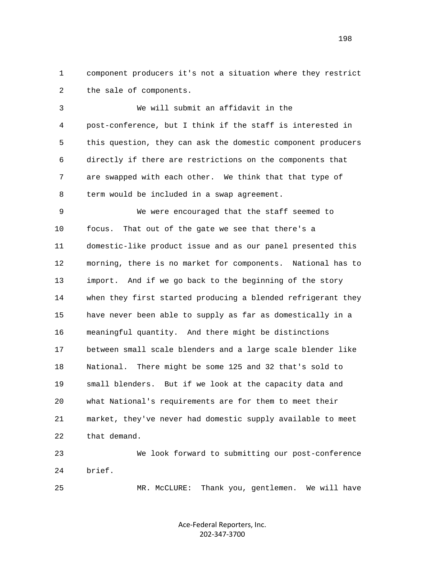1 component producers it's not a situation where they restrict 2 the sale of components.

 3 We will submit an affidavit in the 4 post-conference, but I think if the staff is interested in 5 this question, they can ask the domestic component producers 6 directly if there are restrictions on the components that 7 are swapped with each other. We think that that type of 8 term would be included in a swap agreement.

 9 We were encouraged that the staff seemed to 10 focus. That out of the gate we see that there's a 11 domestic-like product issue and as our panel presented this 12 morning, there is no market for components. National has to 13 import. And if we go back to the beginning of the story 14 when they first started producing a blended refrigerant they 15 have never been able to supply as far as domestically in a 16 meaningful quantity. And there might be distinctions 17 between small scale blenders and a large scale blender like 18 National. There might be some 125 and 32 that's sold to 19 small blenders. But if we look at the capacity data and 20 what National's requirements are for them to meet their 21 market, they've never had domestic supply available to meet 22 that demand.

 23 We look forward to submitting our post-conference 24 brief.

25 MR. McCLURE: Thank you, gentlemen. We will have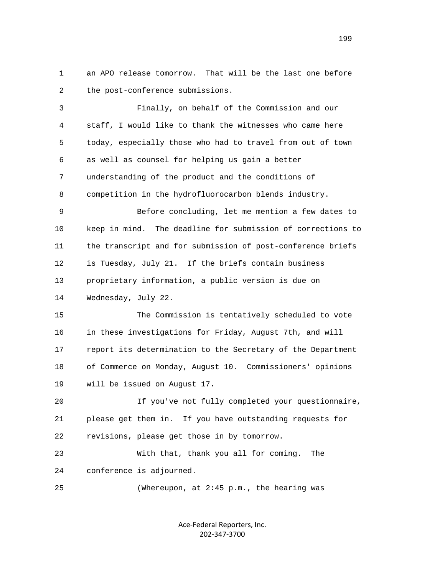1 an APO release tomorrow. That will be the last one before 2 the post-conference submissions.

 3 Finally, on behalf of the Commission and our 4 staff, I would like to thank the witnesses who came here 5 today, especially those who had to travel from out of town 6 as well as counsel for helping us gain a better 7 understanding of the product and the conditions of 8 competition in the hydrofluorocarbon blends industry. 9 Before concluding, let me mention a few dates to 10 keep in mind. The deadline for submission of corrections to 11 the transcript and for submission of post-conference briefs 12 is Tuesday, July 21. If the briefs contain business 13 proprietary information, a public version is due on 14 Wednesday, July 22. 15 The Commission is tentatively scheduled to vote 16 in these investigations for Friday, August 7th, and will 17 report its determination to the Secretary of the Department 18 of Commerce on Monday, August 10. Commissioners' opinions 19 will be issued on August 17. 20 If you've not fully completed your questionnaire, 21 please get them in. If you have outstanding requests for

22 revisions, please get those in by tomorrow.

 23 With that, thank you all for coming. The 24 conference is adjourned.

25 (Whereupon, at 2:45 p.m., the hearing was

Ace‐Federal Reporters, Inc. 202‐347‐3700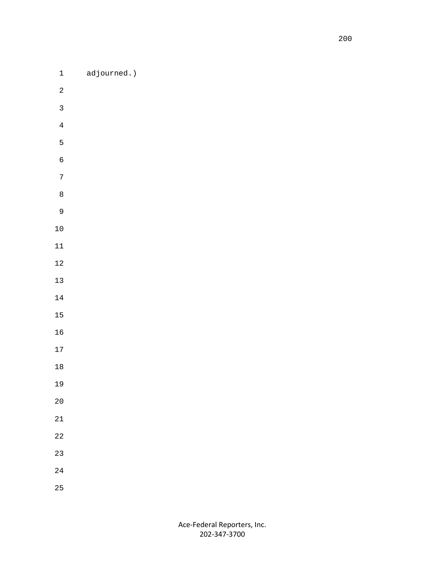1 adjourned.)

- 
- 
- 
-